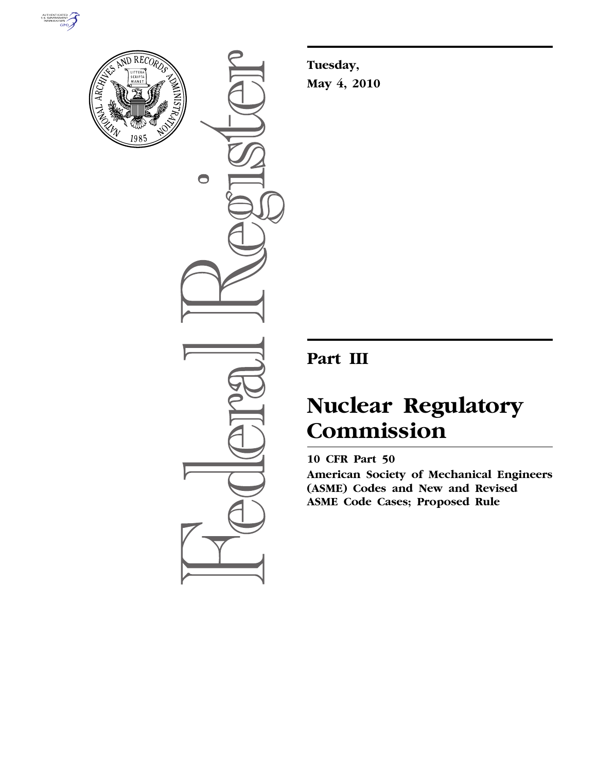



 $\bigcirc$ 

**Tuesday, May 4, 2010** 

# **Part III**

# **Nuclear Regulatory Commission**

# **10 CFR Part 50**

**American Society of Mechanical Engineers (ASME) Codes and New and Revised ASME Code Cases; Proposed Rule**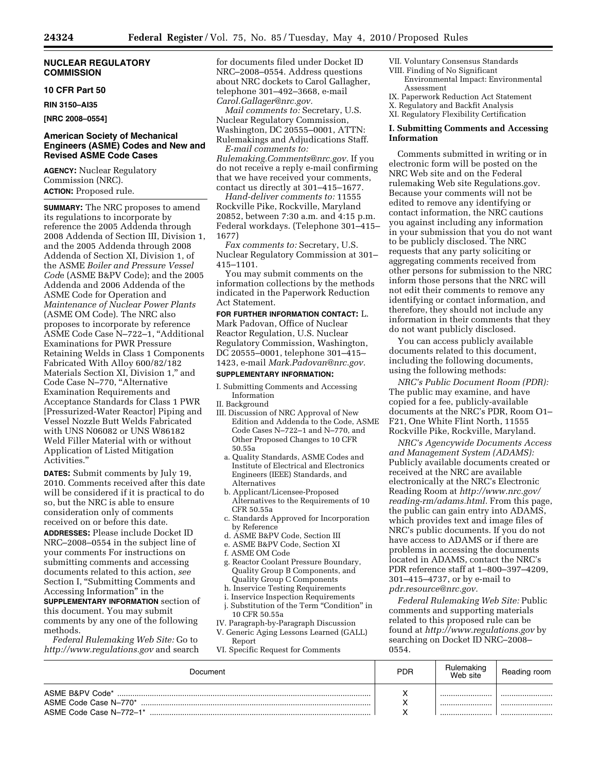#### **NUCLEAR REGULATORY COMMISSION**

#### **10 CFR Part 50**

**RIN 3150–AI35** 

**[NRC 2008–0554]** 

#### **American Society of Mechanical Engineers (ASME) Codes and New and Revised ASME Code Cases**

**AGENCY:** Nuclear Regulatory Commission (NRC). **ACTION:** Proposed rule.

**SUMMARY:** The NRC proposes to amend its regulations to incorporate by reference the 2005 Addenda through 2008 Addenda of Section III, Division 1, and the 2005 Addenda through 2008 Addenda of Section XI, Division 1, of the ASME *Boiler and Pressure Vessel Cod*e (ASME B&PV Code); and the 2005 Addenda and 2006 Addenda of the ASME Code for Operation and *Maintenance of Nuclear Power Plants*  (ASME OM Code). The NRC also proposes to incorporate by reference ASME Code Case N–722–1, ''Additional Examinations for PWR Pressure Retaining Welds in Class 1 Components Fabricated With Alloy 600/82/182 Materials Section XI, Division 1,'' and Code Case N–770, ''Alternative Examination Requirements and Acceptance Standards for Class 1 PWR [Pressurized-Water Reactor] Piping and Vessel Nozzle Butt Welds Fabricated with UNS N06082 or UNS W86182 Weld Filler Material with or without Application of Listed Mitigation Activities.''

**DATES:** Submit comments by July 19, 2010. Comments received after this date will be considered if it is practical to do so, but the NRC is able to ensure consideration only of comments received on or before this date.

**ADDRESSES:** Please include Docket ID NRC–2008–0554 in the subject line of your comments For instructions on submitting comments and accessing documents related to this action, *see*  Section I, "Submitting Comments and Accessing Information'' in the

**SUPPLEMENTARY INFORMATION** section of this document. You may submit comments by any one of the following methods.

*Federal Rulemaking Web Site:* Go to *http://www.regulations.gov* and search

for documents filed under Docket ID NRC–2008–0554. Address questions about NRC dockets to Carol Gallagher, telephone 301–492–3668, e-mail *Carol.Gallager@nrc.gov.* 

*Mail comments to:* Secretary, U.S. Nuclear Regulatory Commission, Washington, DC 20555–0001, ATTN: Rulemakings and Adjudications Staff. *E-mail comments to:* 

*Rulemaking.Comments@nrc.gov.* If you do not receive a reply e-mail confirming that we have received your comments, contact us directly at 301–415–1677.

*Hand-deliver comments to:* 11555 Rockville Pike, Rockville, Maryland 20852, between 7:30 a.m. and 4:15 p.m. Federal workdays. (Telephone 301–415– 1677)

*Fax comments to:* Secretary, U.S. Nuclear Regulatory Commission at 301– 415–1101.

You may submit comments on the information collections by the methods indicated in the Paperwork Reduction Act Statement.

#### **FOR FURTHER INFORMATION CONTACT:** L.

Mark Padovan, Office of Nuclear Reactor Regulation, U.S. Nuclear Regulatory Commission, Washington, DC 20555–0001, telephone 301–415– 1423, e-mail *Mark.Padovan@nrc.gov.* 

# **SUPPLEMENTARY INFORMATION:**

- I. Submitting Comments and Accessing Information
- II. Background
- III. Discussion of NRC Approval of New Edition and Addenda to the Code, ASME Code Cases N–722–1 and N–770, and Other Proposed Changes to 10 CFR 50.55a
	- a. Quality Standards, ASME Codes and Institute of Electrical and Electronics Engineers (IEEE) Standards, and Alternatives
	- b. Applicant/Licensee-Proposed Alternatives to the Requirements of 10 CFR 50.55a
	- c. Standards Approved for Incorporation by Reference
	- d. ASME B&PV Code, Section III
	- e. ASME B&PV Code, Section XI
	- f. ASME OM Code
	- g. Reactor Coolant Pressure Boundary, Quality Group B Components, and Quality Group C Components
	- h. Inservice Testing Requirements
	- i. Inservice Inspection Requirements
- j. Substitution of the Term "Condition" in 10 CFR 50.55a
- IV. Paragraph-by-Paragraph Discussion V. Generic Aging Lessons Learned (GALL)
- Report
- VI. Specific Request for Comments

VII. Voluntary Consensus Standards

- VIII. Finding of No Significant Environmental Impact: Environmental Assessment
- IX. Paperwork Reduction Act Statement
- X. Regulatory and Backfit Analysis

XI. Regulatory Flexibility Certification

#### **I. Submitting Comments and Accessing Information**

Comments submitted in writing or in electronic form will be posted on the NRC Web site and on the Federal rulemaking Web site Regulations.gov. Because your comments will not be edited to remove any identifying or contact information, the NRC cautions you against including any information in your submission that you do not want to be publicly disclosed. The NRC requests that any party soliciting or aggregating comments received from other persons for submission to the NRC inform those persons that the NRC will not edit their comments to remove any identifying or contact information, and therefore, they should not include any information in their comments that they do not want publicly disclosed.

You can access publicly available documents related to this document, including the following documents, using the following methods:

*NRC's Public Document Room (PDR):*  The public may examine, and have copied for a fee, publicly-available documents at the NRC's PDR, Room O1– F21, One White Flint North, 11555 Rockville Pike, Rockville, Maryland.

*NRC's Agencywide Documents Access and Management System (ADAMS):*  Publicly available documents created or received at the NRC are available electronically at the NRC's Electronic Reading Room at *http://www.nrc.gov/ reading-rm/adams.html.* From this page, the public can gain entry into ADAMS, which provides text and image files of NRC's public documents. If you do not have access to ADAMS or if there are problems in accessing the documents located in ADAMS, contact the NRC's PDR reference staff at 1–800–397–4209, 301–415–4737, or by e-mail to *pdr.resource@nrc.gov.* 

*Federal Rulemaking Web Site:* Public comments and supporting materials related to this proposed rule can be found at *http://www.regulations.gov* by searching on Docket ID NRC–2008– 0554.

| Document                                                            | <b>PDR</b> | Rulemaking<br>Web site | Reading room |
|---------------------------------------------------------------------|------------|------------------------|--------------|
| ASME B&PV Code*<br>ASME Code Case N-770*<br>ASME Code Case N-772-1* | ۰.         | <br><br>               | <br><br>     |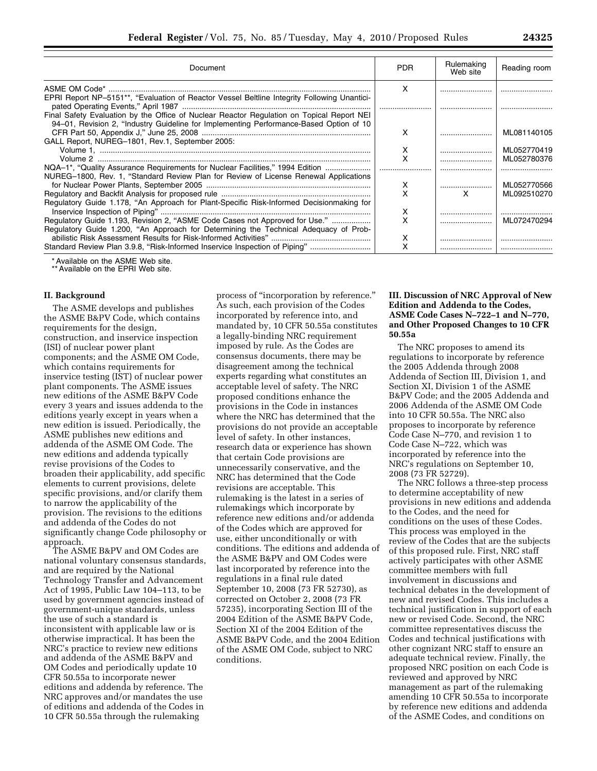| Document                                                                                                                                                                            | <b>PDR</b> | Rulemaking<br>Web site | Reading room |
|-------------------------------------------------------------------------------------------------------------------------------------------------------------------------------------|------------|------------------------|--------------|
|                                                                                                                                                                                     | x          |                        |              |
| EPRI Report NP-5151**, "Evaluation of Reactor Vessel Beltline Integrity Following Unantici-                                                                                         |            |                        |              |
| Final Safety Evaluation by the Office of Nuclear Reactor Regulation on Topical Report NEI<br>94-01, Revision 2, "Industry Guideline for Implementing Performance-Based Option of 10 |            |                        |              |
|                                                                                                                                                                                     |            |                        | ML081140105  |
| GALL Report, NUREG-1801, Rev.1, September 2005:                                                                                                                                     | x          |                        | ML052770419  |
|                                                                                                                                                                                     |            |                        | ML052780376  |
| NQA-1*, "Quality Assurance Requirements for Nuclear Facilities," 1994 Edition                                                                                                       |            |                        |              |
| NUREG-1800, Rev. 1, "Standard Review Plan for Review of License Renewal Applications                                                                                                |            |                        |              |
|                                                                                                                                                                                     | х          |                        | ML052770566  |
|                                                                                                                                                                                     | x          | x                      | ML092510270  |
| Regulatory Guide 1.178, "An Approach for Plant-Specific Risk-Informed Decisionmaking for                                                                                            |            |                        |              |
|                                                                                                                                                                                     | х          |                        |              |
| Regulatory Guide 1.193, Revision 2, "ASME Code Cases not Approved for Use."                                                                                                         | x          |                        | ML072470294  |
| Regulatory Guide 1.200, "An Approach for Determining the Technical Adeguacy of Prob-                                                                                                |            |                        |              |
|                                                                                                                                                                                     | х          |                        |              |
| Standard Review Plan 3.9.8, "Risk-Informed Inservice Inspection of Piping"                                                                                                          | x          |                        |              |

\* Available on the ASME Web site.

\*\* Available on the EPRI Web site.

#### **II. Background**

The ASME develops and publishes the ASME B&PV Code, which contains requirements for the design, construction, and inservice inspection (ISI) of nuclear power plant components; and the ASME OM Code, which contains requirements for inservice testing (IST) of nuclear power plant components. The ASME issues new editions of the ASME B&PV Code every 3 years and issues addenda to the editions yearly except in years when a new edition is issued. Periodically, the ASME publishes new editions and addenda of the ASME OM Code. The new editions and addenda typically revise provisions of the Codes to broaden their applicability, add specific elements to current provisions, delete specific provisions, and/or clarify them to narrow the applicability of the provision. The revisions to the editions and addenda of the Codes do not significantly change Code philosophy or approach.

The ASME B&PV and OM Codes are national voluntary consensus standards, and are required by the National Technology Transfer and Advancement Act of 1995, Public Law 104–113, to be used by government agencies instead of government-unique standards, unless the use of such a standard is inconsistent with applicable law or is otherwise impractical. It has been the NRC's practice to review new editions and addenda of the ASME B&PV and OM Codes and periodically update 10 CFR 50.55a to incorporate newer editions and addenda by reference. The NRC approves and/or mandates the use of editions and addenda of the Codes in 10 CFR 50.55a through the rulemaking

process of ''incorporation by reference.'' As such, each provision of the Codes incorporated by reference into, and mandated by, 10 CFR 50.55a constitutes a legally-binding NRC requirement imposed by rule. As the Codes are consensus documents, there may be disagreement among the technical experts regarding what constitutes an acceptable level of safety. The NRC proposed conditions enhance the provisions in the Code in instances where the NRC has determined that the provisions do not provide an acceptable level of safety. In other instances, research data or experience has shown that certain Code provisions are unnecessarily conservative, and the NRC has determined that the Code revisions are acceptable. This rulemaking is the latest in a series of rulemakings which incorporate by reference new editions and/or addenda of the Codes which are approved for use, either unconditionally or with conditions. The editions and addenda of the ASME B&PV and OM Codes were last incorporated by reference into the regulations in a final rule dated September 10, 2008 (73 FR 52730), as corrected on October 2, 2008 (73 FR 57235), incorporating Section III of the 2004 Edition of the ASME B&PV Code, Section XI of the 2004 Edition of the ASME B&PV Code, and the 2004 Edition of the ASME OM Code, subject to NRC conditions.

#### **III. Discussion of NRC Approval of New Edition and Addenda to the Codes, ASME Code Cases N–722–1 and N–770, and Other Proposed Changes to 10 CFR 50.55a**

The NRC proposes to amend its regulations to incorporate by reference the 2005 Addenda through 2008 Addenda of Section III, Division 1, and Section XI, Division 1 of the ASME B&PV Code; and the 2005 Addenda and 2006 Addenda of the ASME OM Code into 10 CFR 50.55a. The NRC also proposes to incorporate by reference Code Case N–770, and revision 1 to Code Case N–722, which was incorporated by reference into the NRC's regulations on September 10, 2008 (73 FR 52729).

The NRC follows a three-step process to determine acceptability of new provisions in new editions and addenda to the Codes, and the need for conditions on the uses of these Codes. This process was employed in the review of the Codes that are the subjects of this proposed rule. First, NRC staff actively participates with other ASME committee members with full involvement in discussions and technical debates in the development of new and revised Codes. This includes a technical justification in support of each new or revised Code. Second, the NRC committee representatives discuss the Codes and technical justifications with other cognizant NRC staff to ensure an adequate technical review. Finally, the proposed NRC position on each Code is reviewed and approved by NRC management as part of the rulemaking amending 10 CFR 50.55a to incorporate by reference new editions and addenda of the ASME Codes, and conditions on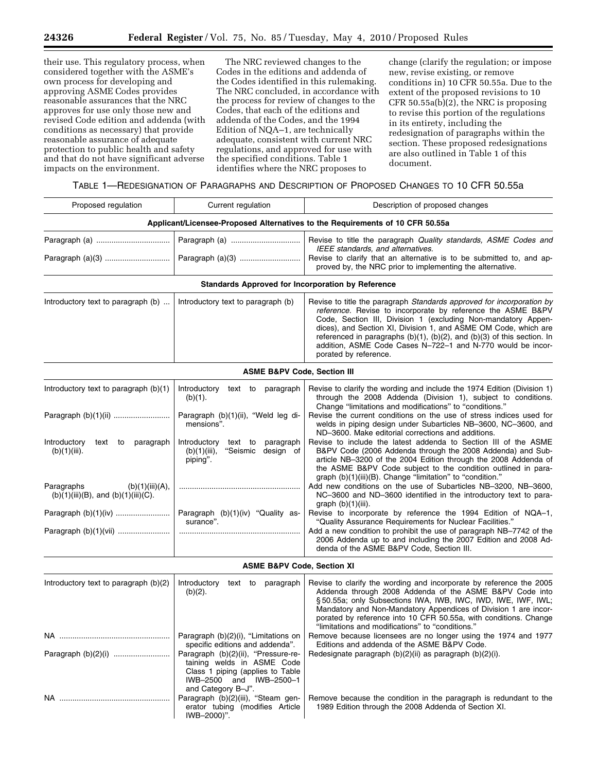their use. This regulatory process, when considered together with the ASME's own process for developing and approving ASME Codes provides reasonable assurances that the NRC approves for use only those new and revised Code edition and addenda (with conditions as necessary) that provide reasonable assurance of adequate protection to public health and safety and that do not have significant adverse impacts on the environment.

The NRC reviewed changes to the Codes in the editions and addenda of the Codes identified in this rulemaking. The NRC concluded, in accordance with the process for review of changes to the Codes, that each of the editions and addenda of the Codes, and the 1994 Edition of NQA–1, are technically adequate, consistent with current NRC regulations, and approved for use with the specified conditions. Table 1 identifies where the NRC proposes to

change (clarify the regulation; or impose new, revise existing, or remove conditions in) 10 CFR 50.55a. Due to the extent of the proposed revisions to 10 CFR 50.55a(b)(2), the NRC is proposing to revise this portion of the regulations in its entirety, including the redesignation of paragraphs within the section. These proposed redesignations are also outlined in Table 1 of this document.

TABLE 1—REDESIGNATION OF PARAGRAPHS AND DESCRIPTION OF PROPOSED CHANGES TO 10 CFR 50.55a

| Proposed regulation                                                        | Current regulation                                                                                                                                     | Description of proposed changes                                                                                                                                                                                                                                                                                                                                                                                                                     |
|----------------------------------------------------------------------------|--------------------------------------------------------------------------------------------------------------------------------------------------------|-----------------------------------------------------------------------------------------------------------------------------------------------------------------------------------------------------------------------------------------------------------------------------------------------------------------------------------------------------------------------------------------------------------------------------------------------------|
|                                                                            |                                                                                                                                                        | Applicant/Licensee-Proposed Alternatives to the Requirements of 10 CFR 50.55a                                                                                                                                                                                                                                                                                                                                                                       |
| Paragraph (a)(3)                                                           |                                                                                                                                                        | Revise to title the paragraph Quality standards, ASME Codes and<br>IEEE standards, and alternatives.<br>Revise to clarify that an alternative is to be submitted to, and ap-<br>proved by, the NRC prior to implementing the alternative.                                                                                                                                                                                                           |
|                                                                            | Standards Approved for Incorporation by Reference                                                                                                      |                                                                                                                                                                                                                                                                                                                                                                                                                                                     |
| Introductory text to paragraph (b)                                         | Introductory text to paragraph (b)                                                                                                                     | Revise to title the paragraph Standards approved for incorporation by<br>reference. Revise to incorporate by reference the ASME B&PV<br>Code, Section III, Division 1 (excluding Non-mandatory Appen-<br>dices), and Section XI, Division 1, and ASME OM Code, which are<br>referenced in paragraphs $(b)(1)$ , $(b)(2)$ , and $(b)(3)$ of this section. In<br>addition, ASME Code Cases N-722-1 and N-770 would be incor-<br>porated by reference. |
|                                                                            | <b>ASME B&amp;PV Code, Section III</b>                                                                                                                 |                                                                                                                                                                                                                                                                                                                                                                                                                                                     |
| Introductory text to paragraph (b)(1)                                      | Introductory text to paragraph<br>(b)(1).                                                                                                              | Revise to clarify the wording and include the 1974 Edition (Division 1)<br>through the 2008 Addenda (Division 1), subject to conditions.<br>Change "limitations and modifications" to "conditions."                                                                                                                                                                                                                                                 |
|                                                                            | Paragraph (b)(1)(ii), "Weld leg di-<br>mensions".                                                                                                      | Revise the current conditions on the use of stress indices used for<br>welds in piping design under Subarticles NB-3600, NC-3600, and<br>ND-3600. Make editorial corrections and additions.                                                                                                                                                                                                                                                         |
| Introductory<br>text to<br>paragraph<br>$(b)(1)(iii)$ .                    | Introductory text to paragraph<br>"Seismic design of<br>$(b)(1)(iii)$ ,<br>piping".                                                                    | Revise to include the latest addenda to Section III of the ASME<br>B&PV Code (2006 Addenda through the 2008 Addenda) and Sub-<br>article NB-3200 of the 2004 Edition through the 2008 Addenda of<br>the ASME B&PV Code subject to the condition outlined in para-<br>graph (b)(1)(iii)(B). Change "limitation" to "condition."                                                                                                                      |
| Paragraphs<br>(b)(1)(iii)(A),<br>$(b)(1)(iii)(B)$ , and $(b)(1)(iii)(C)$ . |                                                                                                                                                        | Add new conditions on the use of Subarticles NB-3200, NB-3600,<br>NC-3600 and ND-3600 identified in the introductory text to para-<br>graph $(b)(1)(iii)$ .                                                                                                                                                                                                                                                                                         |
|                                                                            | Paragraph (b)(1)(iv) "Quality as-<br>surance".                                                                                                         | Revise to incorporate by reference the 1994 Edition of NQA-1,<br>"Quality Assurance Requirements for Nuclear Facilities."                                                                                                                                                                                                                                                                                                                           |
| Paragraph (b)(1)(vii)                                                      |                                                                                                                                                        | Add a new condition to prohibit the use of paragraph NB-7742 of the<br>2006 Addenda up to and including the 2007 Edition and 2008 Ad-<br>denda of the ASME B&PV Code, Section III.                                                                                                                                                                                                                                                                  |
|                                                                            | <b>ASME B&amp;PV Code, Section XI</b>                                                                                                                  |                                                                                                                                                                                                                                                                                                                                                                                                                                                     |
| Introductory text to paragraph (b)(2)                                      | Introductory<br>text to paragraph<br>$(b)(2)$ .                                                                                                        | Revise to clarify the wording and incorporate by reference the 2005<br>Addenda through 2008 Addenda of the ASME B&PV Code into<br>§50.55a; only Subsections IWA, IWB, IWC, IWD, IWE, IWF, IWL;<br>Mandatory and Non-Mandatory Appendices of Division 1 are incor-<br>porated by reference into 10 CFR 50.55a, with conditions. Change<br>"limitations and modifications" to "conditions."                                                           |
|                                                                            | Paragraph (b)(2)(i), "Limitations on<br>specific editions and addenda".                                                                                | Remove because licensees are no longer using the 1974 and 1977<br>Editions and addenda of the ASME B&PV Code.                                                                                                                                                                                                                                                                                                                                       |
|                                                                            | Paragraph (b)(2)(ii), "Pressure-re-<br>taining welds in ASME Code<br>Class 1 piping (applies to Table<br>IWB-2500 and IWB-2500-1<br>and Category B-J". | Redesignate paragraph (b)(2)(ii) as paragraph (b)(2)(i).                                                                                                                                                                                                                                                                                                                                                                                            |
|                                                                            | Paragraph (b)(2)(iii), "Steam gen-<br>erator tubing (modifies Article<br>IWB-2000)".                                                                   | Remove because the condition in the paragraph is redundant to the<br>1989 Edition through the 2008 Addenda of Section XI.                                                                                                                                                                                                                                                                                                                           |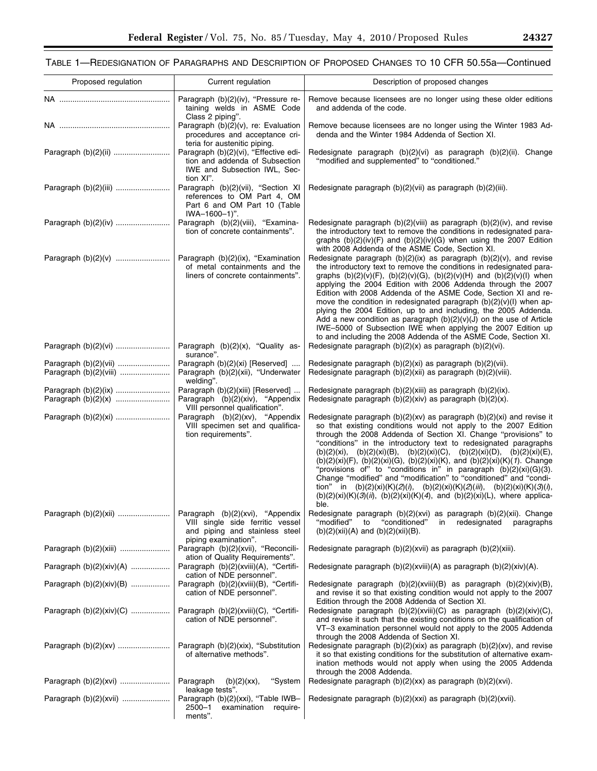۰

# TABLE 1—REDESIGNATION OF PARAGRAPHS AND DESCRIPTION OF PROPOSED CHANGES TO 10 CFR 50.55a—Continued

| Proposed regulation                             | Current regulation                                                                                                                                   | Description of proposed changes                                                                                                                                                                                                                                                                                                                                                                                                                                                                                                                                                                                                                                                                                                                                  |
|-------------------------------------------------|------------------------------------------------------------------------------------------------------------------------------------------------------|------------------------------------------------------------------------------------------------------------------------------------------------------------------------------------------------------------------------------------------------------------------------------------------------------------------------------------------------------------------------------------------------------------------------------------------------------------------------------------------------------------------------------------------------------------------------------------------------------------------------------------------------------------------------------------------------------------------------------------------------------------------|
|                                                 | Paragraph (b)(2)(iv), "Pressure re-<br>taining welds in ASME Code                                                                                    | Remove because licensees are no longer using these older editions<br>and addenda of the code.                                                                                                                                                                                                                                                                                                                                                                                                                                                                                                                                                                                                                                                                    |
|                                                 | Class 2 piping".<br>Paragraph (b)(2)(v), re: Evaluation<br>procedures and acceptance cri-                                                            | Remove because licensees are no longer using the Winter 1983 Ad-<br>denda and the Winter 1984 Addenda of Section XI.                                                                                                                                                                                                                                                                                                                                                                                                                                                                                                                                                                                                                                             |
|                                                 | teria for austenitic piping.<br>Paragraph (b)(2)(vi), "Effective edi-<br>tion and addenda of Subsection<br>IWE and Subsection IWL, Sec-<br>tion XI". | Redesignate paragraph (b)(2)(vi) as paragraph (b)(2)(ii). Change<br>"modified and supplemented" to "conditioned."                                                                                                                                                                                                                                                                                                                                                                                                                                                                                                                                                                                                                                                |
|                                                 | Paragraph (b)(2)(vii), "Section XI<br>references to OM Part 4, OM<br>Part 6 and OM Part 10 (Table<br>IWA-1600-1)".                                   | Redesignate paragraph (b)(2)(vii) as paragraph (b)(2)(iii).                                                                                                                                                                                                                                                                                                                                                                                                                                                                                                                                                                                                                                                                                                      |
|                                                 | Paragraph (b)(2)(viii), "Examina-<br>tion of concrete containments".                                                                                 | Redesignate paragraph (b)(2)(viii) as paragraph (b)(2)(iv), and revise<br>the introductory text to remove the conditions in redesignated para-<br>graphs $(b)(2)(iv)(F)$ and $(b)(2)(iv)(G)$ when using the 2007 Edition<br>with 2008 Addenda of the ASME Code, Section XI.                                                                                                                                                                                                                                                                                                                                                                                                                                                                                      |
|                                                 | Paragraph (b)(2)(ix), "Examination<br>of metal containments and the<br>liners of concrete containments".                                             | Redesignate paragraph $(b)(2)(ix)$ as paragraph $(b)(2)(v)$ , and revise<br>the introductory text to remove the conditions in redesignated para-<br>graphs $(b)(2)(v)(F)$ , $(b)(2)(v)(G)$ , $(b)(2)(v)(H)$ and $(b)(2)(v)(I)$ when<br>applying the 2004 Edition with 2006 Addenda through the 2007<br>Edition with 2008 Addenda of the ASME Code, Section XI and re-<br>move the condition in redesignated paragraph $(b)(2)(v)(l)$ when ap-<br>plying the 2004 Edition, up to and including, the 2005 Addenda.<br>Add a new condition as paragraph $(b)(2)(v)(J)$ on the use of Article<br>IWE-5000 of Subsection IWE when applying the 2007 Edition up<br>to and including the 2008 Addenda of the ASME Code, Section XI.                                     |
| Paragraph (b)(2)(vi)                            | Paragraph (b)(2)(x), "Quality as-<br>surance".                                                                                                       | Redesignate paragraph $(b)(2)(x)$ as paragraph $(b)(2)(vi)$ .                                                                                                                                                                                                                                                                                                                                                                                                                                                                                                                                                                                                                                                                                                    |
| Paragraph (b)(2)(vii)<br>Paragraph (b)(2)(viii) | Paragraph (b)(2)(xi) [Reserved]<br>Paragraph (b)(2)(xii), "Underwater<br>welding".                                                                   | Redesignate paragraph (b)(2)(xi) as paragraph (b)(2)(vii).<br>Redesignate paragraph (b)(2)(xii) as paragraph (b)(2)(viii).                                                                                                                                                                                                                                                                                                                                                                                                                                                                                                                                                                                                                                       |
| Paragraph (b)(2)(ix)                            | Paragraph (b)(2)(xiii) [Reserved]<br>Paragraph (b)(2)(xiv), "Appendix<br>VIII personnel qualification".                                              | Redesignate paragraph (b)(2)(xiii) as paragraph (b)(2)(ix).<br>Redesignate paragraph $(b)(2)(xiv)$ as paragraph $(b)(2)(x)$ .                                                                                                                                                                                                                                                                                                                                                                                                                                                                                                                                                                                                                                    |
| Paragraph (b)(2)(xi)                            | Paragraph (b)(2)(xv), "Appendix<br>VIII specimen set and qualifica-<br>tion requirements".                                                           | Redesignate paragraph $(b)(2)(xv)$ as paragraph $(b)(2)(xi)$ and revise it<br>so that existing conditions would not apply to the 2007 Edition<br>through the 2008 Addenda of Section XI. Change "provisions" to<br>"conditions" in the introductory text to redesignated paragraphs<br>(b)(2)(xi), (b)(2)(xi)(B), (b)(2)(xi)(C), (b)(2)(xi)(D), (b)(2)(xi)(E),<br>(b)(2)(xi)(F), (b)(2)(xi)(G), (b)(2)(xi)(K), and (b)(2)(xi)(K)(1). Change<br>"provisions of" to "conditions in" in paragraph (b)(2)(xi)(G)(3).<br>Change "modified" and "modification" to "conditioned" and "condi-<br>tion" in (b)(2)(xi)(K)(2)(i), (b)(2)(xi)(K)(2)(iii), (b)(2)(xi)(K)(3)(i),<br>$(b)(2)(xi)(K)(3)(ii)$ , $(b)(2)(xi)(K)(4)$ , and $(b)(2)(xi)(L)$ , where applica-<br>ble. |
|                                                 | VIII single side ferritic vessel<br>and piping and stainless steel<br>piping examination".                                                           | Redesignate paragraph (b)(2)(xvi) as paragraph (b)(2)(xii). Change<br>"modified"<br>"conditioned"<br>to<br>redesignated<br>paragraphs<br>in<br>$(b)(2)(xii)(A)$ and $(b)(2)(xi)(B)$ .                                                                                                                                                                                                                                                                                                                                                                                                                                                                                                                                                                            |
|                                                 | Paragraph (b)(2)(xvii), "Reconcili-<br>ation of Quality Requirements".                                                                               | Redesignate paragraph (b)(2)(xvii) as paragraph (b)(2)(xiii).                                                                                                                                                                                                                                                                                                                                                                                                                                                                                                                                                                                                                                                                                                    |
| Paragraph $(b)(2)(xiv)(A)$                      | Paragraph (b)(2)(xviii)(A), "Certifi-<br>cation of NDE personnel".                                                                                   | Redesignate paragraph $(b)(2)(xviii)(A)$ as paragraph $(b)(2)(xiv)(A)$ .                                                                                                                                                                                                                                                                                                                                                                                                                                                                                                                                                                                                                                                                                         |
| Paragraph $(b)(2)(xiv)(B)$                      | Paragraph (b)(2)(xviii)(B), "Certifi-<br>cation of NDE personnel".                                                                                   | Redesignate paragraph $(b)(2)(xviii)(B)$ as paragraph $(b)(2)(xiv)(B)$ ,<br>and revise it so that existing condition would not apply to the 2007<br>Edition through the 2008 Addenda of Section XI.                                                                                                                                                                                                                                                                                                                                                                                                                                                                                                                                                              |
| Paragraph $(b)(2)(xiv)(C)$                      | Paragraph (b)(2)(xviii)(C), "Certifi-<br>cation of NDE personnel".                                                                                   | Redesignate paragraph (b)(2)(xviii)(C) as paragraph (b)(2)(xiv)(C),<br>and revise it such that the existing conditions on the qualification of<br>VT-3 examination personnel would not apply to the 2005 Addenda<br>through the 2008 Addenda of Section XI.                                                                                                                                                                                                                                                                                                                                                                                                                                                                                                      |
|                                                 | Paragraph (b)(2)(xix), "Substitution<br>of alternative methods".                                                                                     | Redesignate paragraph $(b)(2)(xix)$ as paragraph $(b)(2)(xv)$ , and revise<br>it so that existing conditions for the substitution of alternative exam-<br>ination methods would not apply when using the 2005 Addenda<br>through the 2008 Addenda.                                                                                                                                                                                                                                                                                                                                                                                                                                                                                                               |
|                                                 | Paragraph<br>"System<br>$(b)(2)(xx)$ ,<br>leakage tests".                                                                                            | Redesignate paragraph (b)(2)(xx) as paragraph (b)(2)(xvi).                                                                                                                                                                                                                                                                                                                                                                                                                                                                                                                                                                                                                                                                                                       |
| Paragraph (b)(2)(xvii)                          | Paragraph (b)(2)(xxi), "Table IWB-<br>2500-1<br>examination require-<br>ments".                                                                      | Redesignate paragraph $(b)(2)(xxi)$ as paragraph $(b)(2)(xvii)$ .                                                                                                                                                                                                                                                                                                                                                                                                                                                                                                                                                                                                                                                                                                |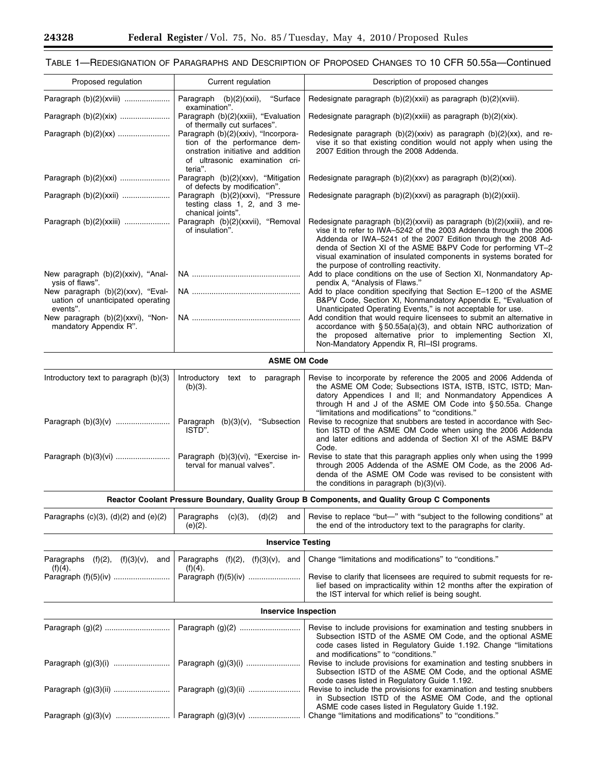$\equiv$ 

# TABLE 1—REDESIGNATION OF PARAGRAPHS AND DESCRIPTION OF PROPOSED CHANGES TO 10 CFR 50.55a—Continued

| Proposed regulation                                                                                                                        | Current regulation                                                                                                                                                         | Description of proposed changes                                                                                                                                                                                                                                                                                                                                                                                                                 |
|--------------------------------------------------------------------------------------------------------------------------------------------|----------------------------------------------------------------------------------------------------------------------------------------------------------------------------|-------------------------------------------------------------------------------------------------------------------------------------------------------------------------------------------------------------------------------------------------------------------------------------------------------------------------------------------------------------------------------------------------------------------------------------------------|
| Paragraph (b)(2)(xviii)                                                                                                                    | Paragraph (b)(2)(xxii),<br>"Surface                                                                                                                                        | Redesignate paragraph (b)(2)(xxii) as paragraph (b)(2)(xviii).                                                                                                                                                                                                                                                                                                                                                                                  |
| Paragraph (b)(2)(xix)                                                                                                                      | examination".<br>Paragraph (b)(2)(xxiii), "Evaluation                                                                                                                      | Redesignate paragraph (b)(2)(xxiii) as paragraph (b)(2)(xix).                                                                                                                                                                                                                                                                                                                                                                                   |
|                                                                                                                                            | of thermally cut surfaces".<br>Paragraph (b)(2)(xxiv), "Incorpora-<br>tion of the performance dem-<br>onstration initiative and addition<br>of ultrasonic examination cri- | Redesignate paragraph $(b)(2)(xxiv)$ as paragraph $(b)(2)(xx)$ , and re-<br>vise it so that existing condition would not apply when using the<br>2007 Edition through the 2008 Addenda.                                                                                                                                                                                                                                                         |
| Paragraph (b)(2)(xxi)                                                                                                                      | teria".<br>Paragraph (b)(2)(xxv), "Mitigation<br>of defects by modification".                                                                                              | Redesignate paragraph $(b)(2)(xx)$ as paragraph $(b)(2)(xx)$ .                                                                                                                                                                                                                                                                                                                                                                                  |
| Paragraph (b)(2)(xxii)                                                                                                                     | Paragraph (b)(2)(xxvi), "Pressure<br>testing class 1, 2, and 3 me-<br>chanical joints".                                                                                    | Redesignate paragraph (b)(2)(xxvi) as paragraph (b)(2)(xxii).                                                                                                                                                                                                                                                                                                                                                                                   |
| Paragraph (b)(2)(xxiii)                                                                                                                    | Paragraph (b)(2)(xxvii), "Removal<br>of insulation".                                                                                                                       | Redesignate paragraph (b)(2)(xxvii) as paragraph (b)(2)(xxiii), and re-<br>vise it to refer to IWA-5242 of the 2003 Addenda through the 2006<br>Addenda or IWA-5241 of the 2007 Edition through the 2008 Ad-<br>denda of Section XI of the ASME B&PV Code for performing VT-2<br>visual examination of insulated components in systems borated for<br>the purpose of controlling reactivity.                                                    |
| New paragraph (b)(2)(xxiv), "Anal-                                                                                                         |                                                                                                                                                                            | Add to place conditions on the use of Section XI, Nonmandatory Ap-                                                                                                                                                                                                                                                                                                                                                                              |
| ysis of flaws".<br>New paragraph (b)(2)(xxv), "Eval-<br>uation of unanticipated operating<br>events".<br>New paragraph (b)(2)(xxvi), "Non- |                                                                                                                                                                            | pendix A, "Analysis of Flaws."<br>Add to place condition specifying that Section E-1200 of the ASME<br>B&PV Code, Section XI, Nonmandatory Appendix E, "Evaluation of<br>Unanticipated Operating Events," is not acceptable for use.<br>Add condition that would require licensees to submit an alternative in                                                                                                                                  |
| mandatory Appendix R".                                                                                                                     |                                                                                                                                                                            | accordance with $\S 50.55a(a)(3)$ , and obtain NRC authorization of<br>the proposed alternative prior to implementing Section XI,<br>Non-Mandatory Appendix R, RI-ISI programs.                                                                                                                                                                                                                                                                 |
|                                                                                                                                            | <b>ASME OM Code</b>                                                                                                                                                        |                                                                                                                                                                                                                                                                                                                                                                                                                                                 |
| Introductory text to paragraph (b)(3)<br>Paragraph (b)(3)(v)                                                                               | text to paragraph<br>Introductory<br>$(b)(3)$ .<br>Paragraph (b)(3)(v), "Subsection<br>ISTD".                                                                              | Revise to incorporate by reference the 2005 and 2006 Addenda of<br>the ASME OM Code; Subsections ISTA, ISTB, ISTC, ISTD; Man-<br>datory Appendices I and II; and Nonmandatory Appendices A<br>through H and J of the ASME OM Code into §50.55a. Change<br>"limitations and modifications" to "conditions."<br>Revise to recognize that snubbers are tested in accordance with Sec-<br>tion ISTD of the ASME OM Code when using the 2006 Addenda |
|                                                                                                                                            |                                                                                                                                                                            | and later editions and addenda of Section XI of the ASME B&PV<br>Code.                                                                                                                                                                                                                                                                                                                                                                          |
| Paragraph (b)(3)(vi)                                                                                                                       | Paragraph (b)(3)(vi), "Exercise in-<br>terval for manual valves".                                                                                                          | Revise to state that this paragraph applies only when using the 1999<br>through 2005 Addenda of the ASME OM Code, as the 2006 Ad-<br>denda of the ASME OM Code was revised to be consistent with<br>the conditions in paragraph (b)(3)(vi).                                                                                                                                                                                                     |
|                                                                                                                                            |                                                                                                                                                                            | Reactor Coolant Pressure Boundary, Quality Group B Components, and Quality Group C Components                                                                                                                                                                                                                                                                                                                                                   |
| Paragraphs $(c)(3)$ , $(d)(2)$ and $(e)(2)$                                                                                                | Paragraphs<br>(c)(3),<br>(d)(2)<br>and<br>$(e)(2)$ .                                                                                                                       | Revise to replace "but-" with "subject to the following conditions" at<br>the end of the introductory text to the paragraphs for clarity.                                                                                                                                                                                                                                                                                                       |
|                                                                                                                                            | <b>Inservice Testing</b>                                                                                                                                                   |                                                                                                                                                                                                                                                                                                                                                                                                                                                 |
| (f)(2), (f)(3)(v),<br>Paragraphs<br>and                                                                                                    | Paragraphs $(f)(2)$ , $(f)(3)(v)$ , and                                                                                                                                    | Change "limitations and modifications" to "conditions."                                                                                                                                                                                                                                                                                                                                                                                         |
| $(f)(4)$ .                                                                                                                                 | $(f)(4)$ .<br>Paragraph (f)(5)(iv)                                                                                                                                         | Revise to clarify that licensees are required to submit requests for re-<br>lief based on impracticality within 12 months after the expiration of<br>the IST interval for which relief is being sought.                                                                                                                                                                                                                                         |
|                                                                                                                                            | <b>Inservice Inspection</b>                                                                                                                                                |                                                                                                                                                                                                                                                                                                                                                                                                                                                 |
|                                                                                                                                            | Paragraph (g)(2)                                                                                                                                                           | Revise to include provisions for examination and testing snubbers in<br>Subsection ISTD of the ASME OM Code, and the optional ASME<br>code cases listed in Regulatory Guide 1.192. Change "limitations<br>and modifications" to "conditions."                                                                                                                                                                                                   |
| Paragraph (g)(3)(i)                                                                                                                        |                                                                                                                                                                            | Revise to include provisions for examination and testing snubbers in<br>Subsection ISTD of the ASME OM Code, and the optional ASME                                                                                                                                                                                                                                                                                                              |
| Paragraph (g)(3)(ii)                                                                                                                       |                                                                                                                                                                            | code cases listed in Regulatory Guide 1.192.<br>Revise to include the provisions for examination and testing snubbers<br>in Subsection ISTD of the ASME OM Code, and the optional<br>ASME code cases listed in Regulatory Guide 1.192.                                                                                                                                                                                                          |
|                                                                                                                                            |                                                                                                                                                                            | Change "limitations and modifications" to "conditions."                                                                                                                                                                                                                                                                                                                                                                                         |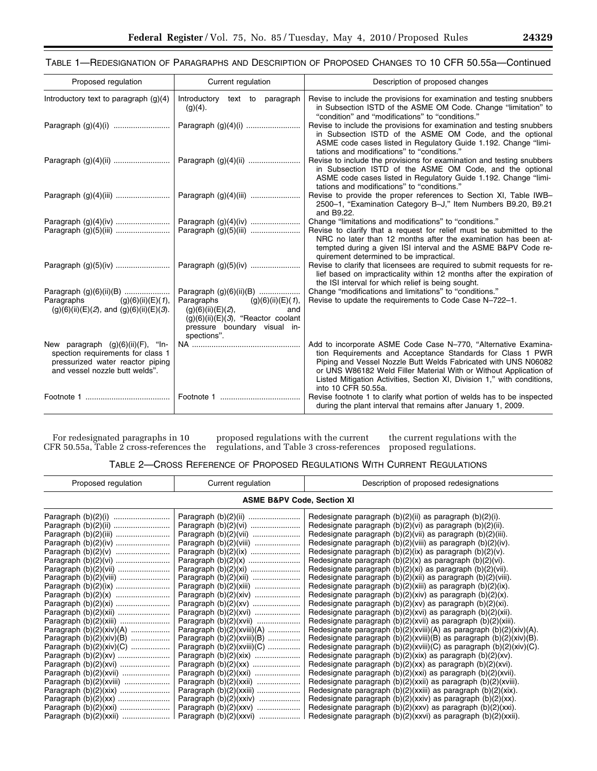# TABLE 1—REDESIGNATION OF PARAGRAPHS AND DESCRIPTION OF PROPOSED CHANGES TO 10 CFR 50.55a—Continued

| Proposed regulation                                                                                                                          | Current regulation                                                                                                                                                             | Description of proposed changes                                                                                                                                                                                                                                                                                                                                       |
|----------------------------------------------------------------------------------------------------------------------------------------------|--------------------------------------------------------------------------------------------------------------------------------------------------------------------------------|-----------------------------------------------------------------------------------------------------------------------------------------------------------------------------------------------------------------------------------------------------------------------------------------------------------------------------------------------------------------------|
| Introductory text to paragraph $(g)(4)$                                                                                                      | Introductory text to paragraph<br>$(g)(4)$ .                                                                                                                                   | Revise to include the provisions for examination and testing snubbers<br>in Subsection ISTD of the ASME OM Code. Change "limitation" to<br>"condition" and "modifications" to "conditions."                                                                                                                                                                           |
|                                                                                                                                              |                                                                                                                                                                                | Revise to include the provisions for examination and testing snubbers<br>in Subsection ISTD of the ASME OM Code, and the optional<br>ASME code cases listed in Regulatory Guide 1.192. Change "limi-<br>tations and modifications" to "conditions."                                                                                                                   |
|                                                                                                                                              | Paragraph (g)(4)(ii)                                                                                                                                                           | Revise to include the provisions for examination and testing snubbers<br>in Subsection ISTD of the ASME OM Code, and the optional<br>ASME code cases listed in Regulatory Guide 1.192. Change "limi-<br>tations and modifications" to "conditions."                                                                                                                   |
|                                                                                                                                              |                                                                                                                                                                                | Revise to provide the proper references to Section XI, Table IWB-<br>2500-1, "Examination Category B-J," Item Numbers B9.20, B9.21<br>and B9.22.                                                                                                                                                                                                                      |
| Paragraph (g)(5)(iii)                                                                                                                        | Paragraph (g)(4)(iv)                                                                                                                                                           | Change "limitations and modifications" to "conditions."<br>Revise to clarify that a request for relief must be submitted to the<br>NRC no later than 12 months after the examination has been at-<br>tempted during a given ISI interval and the ASME B&PV Code re-<br>quirement determined to be impractical.                                                        |
|                                                                                                                                              | Paragraph (g)(5)(iv)                                                                                                                                                           | Revise to clarify that licensees are required to submit requests for re-<br>lief based on impracticality within 12 months after the expiration of<br>the ISI interval for which relief is being sought.                                                                                                                                                               |
| Paragraph (g)(6)(ii)(B)<br>Paragraphs $(g)(6)(ii)(E)(1),$<br>$(g)(6)(ii)(E)(2)$ , and $(g)(6)(ii)(E)(3)$ .                                   | Paragraph (g)(6)(ii)(B)<br>Paragraphs $(g)(6)(ii)(E)(1)$ ,<br>(g)(6)(ii)(E)(2),<br>and<br>$(g)(6)(ii)(E)(3)$ , "Reactor coolant<br>pressure boundary visual in-<br>spections". | Change "modifications and limitations" to "conditions."<br>Revise to update the requirements to Code Case N-722-1.                                                                                                                                                                                                                                                    |
| New paragraph (g)(6)(ii)(F), "In-<br>spection requirements for class 1<br>pressurized water reactor piping<br>and vessel nozzle butt welds". |                                                                                                                                                                                | Add to incorporate ASME Code Case N-770, "Alternative Examina-<br>tion Requirements and Acceptance Standards for Class 1 PWR<br>Piping and Vessel Nozzle Butt Welds Fabricated with UNS N06082<br>or UNS W86182 Weld Filler Material With or Without Application of<br>Listed Mitigation Activities, Section XI, Division 1," with conditions,<br>into 10 CFR 50.55a. |
|                                                                                                                                              |                                                                                                                                                                                | Revise footnote 1 to clarify what portion of welds has to be inspected<br>during the plant interval that remains after January 1, 2009.                                                                                                                                                                                                                               |

For redesignated paragraphs in 10 CFR 50.55a, Table 2 cross-references the

proposed regulations with the current regulations, and Table 3 cross-references

the current regulations with the proposed regulations.

TABLE 2—CROSS REFERENCE OF PROPOSED REGULATIONS WITH CURRENT REGULATIONS

| Proposed regulation                   | Current regulation           | Description of proposed redesignations                                   |  |
|---------------------------------------|------------------------------|--------------------------------------------------------------------------|--|
| <b>ASME B&amp;PV Code, Section XI</b> |                              |                                                                          |  |
|                                       |                              | Redesignate paragraph $(b)(2)(ii)$ as paragraph $(b)(2)(i)$ .            |  |
|                                       |                              | Redesignate paragraph $(b)(2)(vi)$ as paragraph $(b)(2)(ii)$ .           |  |
|                                       |                              | Redesignate paragraph $(b)(2)(vi)$ as paragraph $(b)(2)(iii)$ .          |  |
|                                       | Paragraph (b)(2)(viii)       | Redesignate paragraph $(b)(2)(viii)$ as paragraph $(b)(2)(iv)$ .         |  |
|                                       |                              | Redesignate paragraph $(b)(2)(ix)$ as paragraph $(b)(2)(v)$ .            |  |
|                                       |                              | Redesignate paragraph $(b)(2)(x)$ as paragraph $(b)(2)(vi)$ .            |  |
|                                       |                              | Redesignate paragraph $(b)(2)(xi)$ as paragraph $(b)(2)(vii)$ .          |  |
|                                       |                              | Redesignate paragraph $(b)(2)(xii)$ as paragraph $(b)(2)(viii)$ .        |  |
|                                       | Paragraph (b)(2)(xiii)       | Redesignate paragraph $(b)(2)(xiii)$ as paragraph $(b)(2)(ix)$ .         |  |
|                                       | Paragraph (b)(2)(xiv)        | Redesignate paragraph $(b)(2)(xiv)$ as paragraph $(b)(2)(x)$ .           |  |
|                                       |                              | Redesignate paragraph $(b)(2)(xv)$ as paragraph $(b)(2)(xi)$ .           |  |
|                                       |                              | Redesignate paragraph $(b)(2)(xvi)$ as paragraph $(b)(2)(xii)$ .         |  |
| Paragraph (b)(2)(xiii)                | Paragraph (b)(2)(xvii)       | Redesignate paragraph $(b)(2)(xvii)$ as paragraph $(b)(2)(xiii)$ .       |  |
| Paragraph (b)(2)(xiv)(A)              | Paragraph $(b)(2)(xviii)(A)$ | Redesignate paragraph $(b)(2)(xviii)(A)$ as paragraph $(b)(2)(xiv)(A)$ . |  |
| Paragraph $(b)(2)(xiv)(B)$            | Paragraph $(b)(2)(xviii)(B)$ | Redesignate paragraph $(b)(2)(xviii)(B)$ as paragraph $(b)(2)(xiv)(B)$ . |  |
| Paragraph $(b)(2)(xiv)(C)$            | Paragraph $(b)(2)(xviii)(C)$ | Redesignate paragraph $(b)(2)(xviii)(C)$ as paragraph $(b)(2)(xiv)(C)$ . |  |
|                                       |                              | Redesignate paragraph $(b)(2)(xix)$ as paragraph $(b)(2)(xv)$ .          |  |
|                                       |                              | Redesignate paragraph $(b)(2)(xx)$ as paragraph $(b)(2)(xvi)$ .          |  |
|                                       | Paragraph (b)(2)(xxi)        | Redesignate paragraph $(b)(2)(xxi)$ as paragraph $(b)(2)(xvii)$ .        |  |
|                                       |                              | Redesignate paragraph $(b)(2)(xxi)$ as paragraph $(b)(2)(xviii)$ .       |  |
|                                       | Paragraph (b)(2)(xxiii)      | Redesignate paragraph $(b)(2)(xxiii)$ as paragraph $(b)(2)(xix)$ .       |  |
|                                       | Paragraph $(b)(2)(xxiv)$     | Redesignate paragraph $(b)(2)(xxiv)$ as paragraph $(b)(2)(xx)$ .         |  |
|                                       |                              | Redesignate paragraph $(b)(2)(xx)$ as paragraph $(b)(2)(xxi)$ .          |  |
| Paragraph (b)(2)(xxii)                | Paragraph $(b)(2)(xxx)$      | Redesignate paragraph $(b)(2)(xxv)$ as paragraph $(b)(2)(xxi)$ .         |  |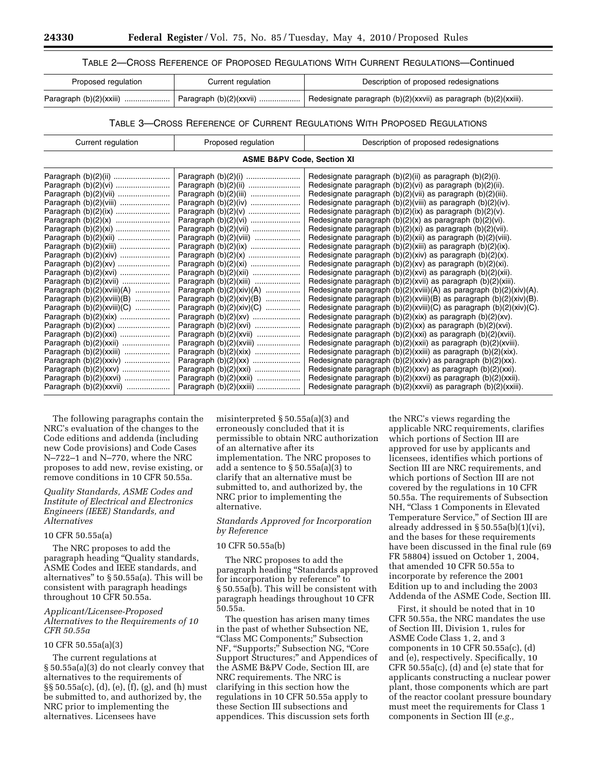# TABLE 2—CROSS REFERENCE OF PROPOSED REGULATIONS WITH CURRENT REGULATIONS—Continued

| Proposed regulation | Current regulation | Description of proposed redesignations                               |
|---------------------|--------------------|----------------------------------------------------------------------|
|                     |                    | Redesignate paragraph $(b)(2)(xxvii)$ as paragraph $(b)(2)(xxiii)$ . |

# TABLE 3—CROSS REFERENCE OF CURRENT REGULATIONS WITH PROPOSED REGULATIONS

| <b>ASME B&amp;PV Code, Section XI</b><br>Redesignate paragraph (b)(2)(ii) as paragraph (b)(2)(i).                                                                                                                                                                                                                                                                                                                                                                                                                                                                                                                                                                                                                                                                                                                                                                                                                                                                                                                                                                                                                                                                                                                                                                                                                                                                                                                                                                                                                                                                                                                                                                                                                                | Redesignate paragraph $(b)(2)(vi)$ as paragraph $(b)(2)(ii)$ .                                                                                                                                                                                                                                                                                                                                                                               |
|----------------------------------------------------------------------------------------------------------------------------------------------------------------------------------------------------------------------------------------------------------------------------------------------------------------------------------------------------------------------------------------------------------------------------------------------------------------------------------------------------------------------------------------------------------------------------------------------------------------------------------------------------------------------------------------------------------------------------------------------------------------------------------------------------------------------------------------------------------------------------------------------------------------------------------------------------------------------------------------------------------------------------------------------------------------------------------------------------------------------------------------------------------------------------------------------------------------------------------------------------------------------------------------------------------------------------------------------------------------------------------------------------------------------------------------------------------------------------------------------------------------------------------------------------------------------------------------------------------------------------------------------------------------------------------------------------------------------------------|----------------------------------------------------------------------------------------------------------------------------------------------------------------------------------------------------------------------------------------------------------------------------------------------------------------------------------------------------------------------------------------------------------------------------------------------|
|                                                                                                                                                                                                                                                                                                                                                                                                                                                                                                                                                                                                                                                                                                                                                                                                                                                                                                                                                                                                                                                                                                                                                                                                                                                                                                                                                                                                                                                                                                                                                                                                                                                                                                                                  |                                                                                                                                                                                                                                                                                                                                                                                                                                              |
| Redesignate paragraph $(b)(2)(vi)$ as paragraph $(b)(2)(iii)$ .<br>Redesignate paragraph (b)(2)(viii) as paragraph (b)(2)(iv).<br>Redesignate paragraph $(b)(2)(ix)$ as paragraph $(b)(2)(v)$ .<br>Redesignate paragraph $(b)(2)(x)$ as paragraph $(b)(2)(vi)$ .<br>Paragraph (b)(2)(vi)<br>Paragraph (b)(2)(vii)<br>Redesignate paragraph $(b)(2)(xi)$ as paragraph $(b)(2)(vii)$ .<br>Redesignate paragraph $(b)(2)(xii)$ as paragraph $(b)(2)(viii)$ .<br>Paragraph (b)(2)(viii)<br>Paragraph (b)(2)(xiii)<br>Redesignate paragraph $(b)(2)(xiii)$ as paragraph $(b)(2)(ix)$ .<br>Redesignate paragraph $(b)(2)(xiv)$ as paragraph $(b)(2)(x)$ .<br>Redesignate paragraph $(b)(2)(xv)$ as paragraph $(b)(2)(xi)$ .<br>Redesignate paragraph $(b)(2)(xvi)$ as paragraph $(b)(2)(xii)$ .<br>Paragraph (b)(2)(xvii)<br>Paragraph (b)(2)(xiii)<br>Redesignate paragraph $(b)(2)(xvi)$ as paragraph $(b)(2)(xiii)$ .<br>Paragraph $(b)(2)(xviii)(A)$<br>Paragraph $(b)(2)(xiv)(A)$<br>Paragraph $(b)(2)(xviii)(B)$<br>Paragraph $(b)(2)(xiv)(B)$<br>Paragraph $(b)(2)(xviii)(C)$<br>Paragraph $(b)(2)(xiv)(C)$<br>Redesignate paragraph $(b)(2)(xix)$ as paragraph $(b)(2)(xv)$ .<br>Redesignate paragraph $(b)(2)(xx)$ as paragraph $(b)(2)(xvi)$ .<br>Paragraph $(b)(2)(xvi)$<br>Paragraph (b)(2)(xvii)<br>Redesignate paragraph $(b)(2)(xxi)$ as paragraph $(b)(2)(xvii)$ .<br>Paragraph (b)(2)(xviii)<br>Redesignate paragraph $(b)(2)(x^2)$ as paragraph $(b)(2)(x^2)$ .<br>Paragraph $(b)(2)(xxiv)$<br>Redesignate paragraph $(b)(2)(xxiv)$ as paragraph $(b)(2)(xx)$ .<br>Paragraph (b)(2)(xxi)<br>Redesignate paragraph $(b)(2)(xx)$ as paragraph $(b)(2)(xx)$ .<br>Paragraph $(b)(2)(xxxii)$<br>Paragraph $(b)(2)(xxiii)$ | Redesignate paragraph $(b)(2)(xviii)(A)$ as paragraph $(b)(2)(xiv)(A)$ .<br>Redesignate paragraph $(b)(2)(xviii)(B)$ as paragraph $(b)(2)(xiv)(B)$ .<br>Redesignate paragraph $(b)(2)(x^2)(C)$ as paragraph $(b)(2)(x^2)(C)$ .<br>Redesignate paragraph (b)(2)(xxii) as paragraph (b)(2)(xviii).<br>Redesignate paragraph $(b)(2)(xxv)$ as paragraph $(b)(2)(xxi)$ .<br>Redesignate paragraph $(b)(2)(xxvii)$ as paragraph $(b)(2)(xxiii)$ . |

The following paragraphs contain the NRC's evaluation of the changes to the Code editions and addenda (including new Code provisions) and Code Cases N–722–1 and N–770, where the NRC proposes to add new, revise existing, or remove conditions in 10 CFR 50.55a.

#### *Quality Standards, ASME Codes and Institute of Electrical and Electronics Engineers (IEEE) Standards, and Alternatives*

#### 10 CFR 50.55a(a)

The NRC proposes to add the paragraph heading "Quality standards, ASME Codes and IEEE standards, and alternatives'' to § 50.55a(a). This will be consistent with paragraph headings throughout 10 CFR 50.55a.

#### *Applicant/Licensee-Proposed Alternatives to the Requirements of 10 CFR 50.55a*

#### 10 CFR 50.55a(a)(3)

The current regulations at § 50.55a(a)(3) do not clearly convey that alternatives to the requirements of §§ 50.55a(c), (d), (e), (f), (g), and (h) must be submitted to, and authorized by, the NRC prior to implementing the alternatives. Licensees have

misinterpreted § 50.55a(a)(3) and erroneously concluded that it is permissible to obtain NRC authorization of an alternative after its implementation. The NRC proposes to add a sentence to § 50.55a(a)(3) to clarify that an alternative must be submitted to, and authorized by, the NRC prior to implementing the alternative.

#### *Standards Approved for Incorporation by Reference*

#### 10 CFR 50.55a(b)

The NRC proposes to add the paragraph heading ''Standards approved for incorporation by reference'' to § 50.55a(b). This will be consistent with paragraph headings throughout 10 CFR 50.55a.

The question has arisen many times in the past of whether Subsection NE, ''Class MC Components;'' Subsection NF, ''Supports;'' Subsection NG, ''Core Support Structures;'' and Appendices of the ASME B&PV Code, Section III, are NRC requirements. The NRC is clarifying in this section how the regulations in 10 CFR 50.55a apply to these Section III subsections and appendices. This discussion sets forth

the NRC's views regarding the applicable NRC requirements, clarifies which portions of Section III are approved for use by applicants and licensees, identifies which portions of Section III are NRC requirements, and which portions of Section III are not covered by the regulations in 10 CFR 50.55a. The requirements of Subsection NH, "Class 1 Components in Elevated Temperature Service,'' of Section III are already addressed in § 50.55a(b)(1)(vi), and the bases for these requirements have been discussed in the final rule (69 FR 58804) issued on October 1, 2004, that amended 10 CFR 50.55a to incorporate by reference the 2001 Edition up to and including the 2003 Addenda of the ASME Code, Section III.

First, it should be noted that in 10 CFR 50.55a, the NRC mandates the use of Section III, Division 1, rules for ASME Code Class 1, 2, and 3 components in 10 CFR 50.55a(c), (d) and (e), respectively. Specifically, 10  $CFR 50.55a(c)$ , (d) and (e) state that for applicants constructing a nuclear power plant, those components which are part of the reactor coolant pressure boundary must meet the requirements for Class 1 components in Section III (*e.g.,*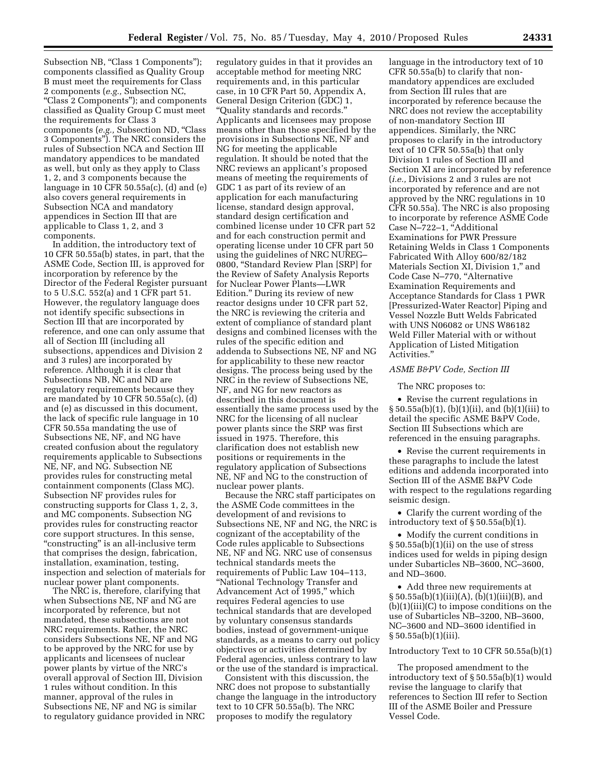Subsection NB, "Class 1 Components"); components classified as Quality Group B must meet the requirements for Class 2 components (*e.g.,* Subsection NC, ''Class 2 Components''); and components classified as Quality Group C must meet the requirements for Class 3 components (*e.g.,* Subsection ND, ''Class 3 Components''). The NRC considers the rules of Subsection NCA and Section III mandatory appendices to be mandated as well, but only as they apply to Class 1, 2, and 3 components because the language in 10 CFR 50.55a(c), (d) and (e) also covers general requirements in Subsection NCA and mandatory appendices in Section III that are applicable to Class 1, 2, and 3 components.

In addition, the introductory text of 10 CFR 50.55a(b) states, in part, that the ASME Code, Section III, is approved for incorporation by reference by the Director of the Federal Register pursuant to 5 U.S.C. 552(a) and 1 CFR part 51. However, the regulatory language does not identify specific subsections in Section III that are incorporated by reference, and one can only assume that all of Section III (including all subsections, appendices and Division 2 and 3 rules) are incorporated by reference. Although it is clear that Subsections NB, NC and ND are regulatory requirements because they are mandated by 10 CFR 50.55a(c), (d) and (e) as discussed in this document, the lack of specific rule language in 10 CFR 50.55a mandating the use of Subsections NE, NF, and NG have created confusion about the regulatory requirements applicable to Subsections NE, NF, and NG. Subsection NE provides rules for constructing metal containment components (Class MC). Subsection NF provides rules for constructing supports for Class 1, 2, 3, and MC components. Subsection NG provides rules for constructing reactor core support structures. In this sense, ''constructing'' is an all-inclusive term that comprises the design, fabrication, installation, examination, testing, inspection and selection of materials for nuclear power plant components.

The NRC is, therefore, clarifying that when Subsections NE, NF and NG are incorporated by reference, but not mandated, these subsections are not NRC requirements. Rather, the NRC considers Subsections NE, NF and NG to be approved by the NRC for use by applicants and licensees of nuclear power plants by virtue of the NRC's overall approval of Section III, Division 1 rules without condition. In this manner, approval of the rules in Subsections NE, NF and NG is similar to regulatory guidance provided in NRC

regulatory guides in that it provides an acceptable method for meeting NRC requirements and, in this particular case, in 10 CFR Part 50, Appendix A, General Design Criterion (GDC) 1, ''Quality standards and records.'' Applicants and licensees may propose means other than those specified by the provisions in Subsections NE, NF and NG for meeting the applicable regulation. It should be noted that the NRC reviews an applicant's proposed means of meeting the requirements of GDC 1 as part of its review of an application for each manufacturing license, standard design approval, standard design certification and combined license under 10 CFR part 52 and for each construction permit and operating license under 10 CFR part 50 using the guidelines of NRC NUREG– 0800, ''Standard Review Plan [SRP] for the Review of Safety Analysis Reports for Nuclear Power Plants—LWR Edition.'' During its review of new reactor designs under 10 CFR part 52, the NRC is reviewing the criteria and extent of compliance of standard plant designs and combined licenses with the rules of the specific edition and addenda to Subsections NE, NF and NG for applicability to these new reactor designs. The process being used by the NRC in the review of Subsections NE, NF, and NG for new reactors as described in this document is essentially the same process used by the NRC for the licensing of all nuclear power plants since the SRP was first issued in 1975. Therefore, this clarification does not establish new positions or requirements in the regulatory application of Subsections NE, NF and NG to the construction of nuclear power plants.

Because the NRC staff participates on the ASME Code committees in the development of and revisions to Subsections NE, NF and NG, the NRC is cognizant of the acceptability of the Code rules applicable to Subsections NE, NF and NG. NRC use of consensus technical standards meets the requirements of Public Law 104–113, ''National Technology Transfer and Advancement Act of 1995,'' which requires Federal agencies to use technical standards that are developed by voluntary consensus standards bodies, instead of government-unique standards, as a means to carry out policy objectives or activities determined by Federal agencies, unless contrary to law or the use of the standard is impractical.

Consistent with this discussion, the NRC does not propose to substantially change the language in the introductory text to 10 CFR 50.55a(b). The NRC proposes to modify the regulatory

language in the introductory text of 10 CFR 50.55a(b) to clarify that nonmandatory appendices are excluded from Section III rules that are incorporated by reference because the NRC does not review the acceptability of non-mandatory Section III appendices. Similarly, the NRC proposes to clarify in the introductory text of 10 CFR 50.55a(b) that only Division 1 rules of Section III and Section XI are incorporated by reference (*i.e.,* Divisions 2 and 3 rules are not incorporated by reference and are not approved by the NRC regulations in 10 CFR 50.55a). The NRC is also proposing to incorporate by reference ASME Code Case N-722-1, "Additional Examinations for PWR Pressure Retaining Welds in Class 1 Components Fabricated With Alloy 600/82/182 Materials Section XI, Division 1,'' and Code Case N-770, "Alternative Examination Requirements and Acceptance Standards for Class 1 PWR [Pressurized-Water Reactor] Piping and Vessel Nozzle Butt Welds Fabricated with UNS N06082 or UNS W86182 Weld Filler Material with or without Application of Listed Mitigation Activities.''

#### *ASME B&PV Code, Section III*

The NRC proposes to:

• Revise the current regulations in § 50.55a(b)(1), (b)(1)(ii), and (b)(1)(iii) to detail the specific ASME B&PV Code, Section III Subsections which are referenced in the ensuing paragraphs.

• Revise the current requirements in these paragraphs to include the latest editions and addenda incorporated into Section III of the ASME B&PV Code with respect to the regulations regarding seismic design.

• Clarify the current wording of the introductory text of § 50.55a(b)(1).

• Modify the current conditions in § 50.55a(b)(1)(ii) on the use of stress indices used for welds in piping design under Subarticles NB–3600, NC–3600, and ND–3600.

• Add three new requirements at  $\S 50.55a(b)(1)(iii)(A), (b)(1)(iii)(B), and$  $(b)(1)(iii)(C)$  to impose conditions on the use of Subarticles NB–3200, NB–3600, NC–3600 and ND–3600 identified in § 50.55a(b)(1)(iii).

#### Introductory Text to 10 CFR 50.55a(b)(1)

The proposed amendment to the introductory text of § 50.55a(b)(1) would revise the language to clarify that references to Section III refer to Section III of the ASME Boiler and Pressure Vessel Code.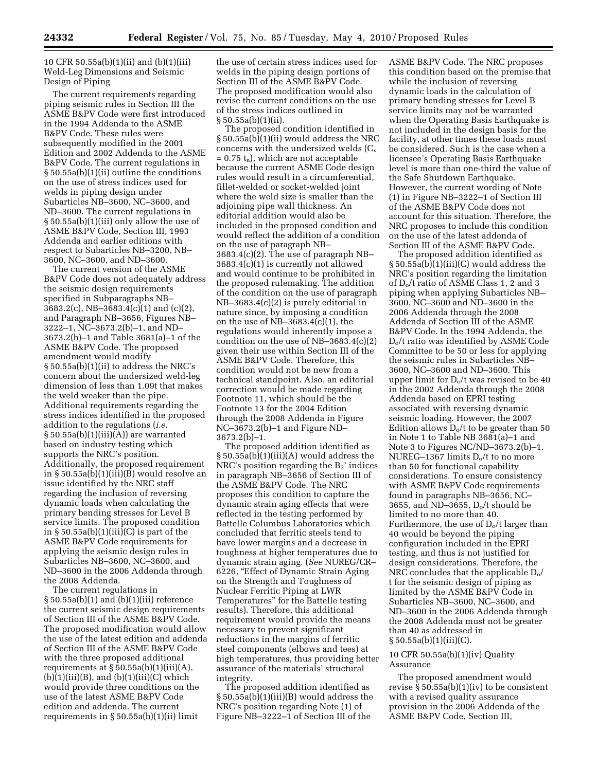10 CFR 50.55a(b)(1)(ii) and (b)(1)(iii) Weld-Leg Dimensions and Seismic Design of Piping

The current requirements regarding piping seismic rules in Section III the ASME B&PV Code were first introduced in the 1994 Addenda to the ASME B&PV Code. These rules were subsequently modified in the 2001 Edition and 2002 Addenda to the ASME B&PV Code. The current regulations in § 50.55a(b)(1)(ii) outline the conditions on the use of stress indices used for welds in piping design under Subarticles NB–3600, NC–3600, and ND–3600. The current regulations in § 50.55a(b)(1)(iii) only allow the use of ASME B&PV Code, Section III, 1993 Addenda and earlier editions with respect to Subarticles NB–3200, NB– 3600, NC–3600, and ND–3600.

The current version of the ASME B&PV Code does not adequately address the seismic design requirements specified in Subparagraphs NB– 3683.2(c), NB–3683.4(c)(1) and (c)(2), and Paragraph NB–3656, Figures NB– 3222–1, NC–3673.2(b)–1, and ND– 3673.2(b)–1 and Table 3681(a)–1 of the ASME B&PV Code. The proposed amendment would modify § 50.55a(b)(1)(ii) to address the NRC's concern about the undersized weld-leg dimension of less than 1.09t that makes the weld weaker than the pipe. Additional requirements regarding the stress indices identified in the proposed addition to the regulations (*i.e.*   $§ 50.55a(b)(1)(iii)(A))$  are warranted based on industry testing which supports the NRC's position. Additionally, the proposed requirement in § 50.55a(b)(1)(iii)(B) would resolve an issue identified by the NRC staff regarding the inclusion of reversing dynamic loads when calculating the primary bending stresses for Level B service limits. The proposed condition in  $\S 50.55a(b)(1)(iii)(C)$  is part of the ASME B&PV Code requirements for applying the seismic design rules in Subarticles NB–3600, NC–3600, and ND–3600 in the 2006 Addenda through the 2008 Addenda.

The current regulations in § 50.55a(b)(1) and (b)(1)(iii) reference the current seismic design requirements of Section III of the ASME B&PV Code. The proposed modification would allow the use of the latest edition and addenda of Section III of the ASME B&PV Code with the three proposed additional requirements at  $\S$  50.55a(b)(1)(iii)(A),  $(b)(1)(iii)(B)$ , and  $(b)(1)(iii)(C)$  which would provide three conditions on the use of the latest ASME B&PV Code edition and addenda. The current requirements in § 50.55a(b)(1)(ii) limit

the use of certain stress indices used for welds in the piping design portions of Section III of the ASME B&PV Code. The proposed modification would also revise the current conditions on the use of the stress indices outlined in § 50.55a(b)(1)(ii).

The proposed condition identified in § 50.55a(b)(1)(ii) would address the NRC concerns with the undersized welds  $(C_x)$  $= 0.75 t_n$ , which are not acceptable because the current ASME Code design rules would result in a circumferential, fillet-welded or socket-welded joint where the weld size is smaller than the adjoining pipe wall thickness. An editorial addition would also be included in the proposed condition and would reflect the addition of a condition on the use of paragraph NB– 3683.4(c)(2). The use of paragraph NB– 3683.4(c)(1) is currently not allowed and would continue to be prohibited in the proposed rulemaking. The addition of the condition on the use of paragraph NB–3683.4(c)(2) is purely editorial in nature since, by imposing a condition on the use of  $NB-3683.4(c)(1)$ , the regulations would inherently impose a condition on the use of NB–3683.4(c)(2) given their use within Section III of the ASME B&PV Code. Therefore, this condition would not be new from a technical standpoint. Also, an editorial correction would be made regarding Footnote 11, which should be the Footnote 13 for the 2004 Edition through the 2008 Addenda in Figure NC–3673.2(b)–1 and Figure ND– 3673.2(b)–1.

The proposed addition identified as § 50.55a(b)(1)(iii)(A) would address the NRC's position regarding the  $B_2$ ' indices in paragraph NB–3656 of Section III of the ASME B&PV Code. The NRC proposes this condition to capture the dynamic strain aging effects that were reflected in the testing performed by Battelle Columbus Laboratories which concluded that ferritic steels tend to have lower margins and a decrease in toughness at higher temperatures due to dynamic strain aging. (*See* NUREG/CR– 6226, ''Effect of Dynamic Strain Aging on the Strength and Toughness of Nuclear Ferritic Piping at LWR Temperatures'' for the Battelle testing results). Therefore, this additional requirement would provide the means necessary to prevent significant reductions in the margins of ferritic steel components (elbows and tees) at high temperatures, thus providing better assurance of the materials' structural integrity.

The proposed addition identified as § 50.55a(b)(1)(iii)(B) would address the NRC's position regarding Note (1) of Figure NB–3222–1 of Section III of the

ASME B&PV Code. The NRC proposes this condition based on the premise that while the inclusion of reversing dynamic loads in the calculation of primary bending stresses for Level B service limits may not be warranted when the Operating Basis Earthquake is not included in the design basis for the facility, at other times these loads must be considered. Such is the case when a licensee's Operating Basis Earthquake level is more than one-third the value of the Safe Shutdown Earthquake. However, the current wording of Note (1) in Figure NB–3222–1 of Section III of the ASME B&PV Code does not account for this situation. Therefore, the NRC proposes to include this condition on the use of the latest addenda of Section III of the ASME B&PV Code.

The proposed addition identified as § 50.55a(b)(1)(iii)(C) would address the NRC's position regarding the limitation of Do/t ratio of ASME Class 1, 2 and 3 piping when applying Subarticles NB– 3600, NC–3600 and ND–3600 in the 2006 Addenda through the 2008 Addenda of Section III of the ASME B&PV Code. In the 1994 Addenda, the Do/t ratio was identified by ASME Code Committee to be 50 or less for applying the seismic rules in Subarticles NB– 3600, NC–3600 and ND–3600. This upper limit for  $D_0/t$  was revised to be 40 in the 2002 Addenda through the 2008 Addenda based on EPRI testing associated with reversing dynamic seismic loading. However, the 2007 Edition allows  $D_0/t$  to be greater than 50 in Note 1 to Table NB 3681(a)–1 and Note 3 to Figures NC/ND–3673.2(b)–1. NUREG–1367 limits  $D_0/t$  to no more than 50 for functional capability considerations. To ensure consistency with ASME B&PV Code requirements found in paragraphs NB–3656, NC– 3655, and ND–3655,  $D_0/t$  should be limited to no more than 40. Furthermore, the use of  $D_0/t$  larger than 40 would be beyond the piping configuration included in the EPRI testing, and thus is not justified for design considerations. Therefore, the NRC concludes that the applicable  $D_0/$ t for the seismic design of piping as limited by the ASME B&PV Code in Subarticles NB–3600, NC–3600, and ND–3600 in the 2006 Addenda through the 2008 Addenda must not be greater than 40 as addressed in § 50.55a(b)(1)(iii)(C).

#### 10 CFR 50.55a(b)(1)(iv) Quality Assurance

The proposed amendment would revise § 50.55a(b)(1)(iv) to be consistent with a revised quality assurance provision in the 2006 Addenda of the ASME B&PV Code, Section III,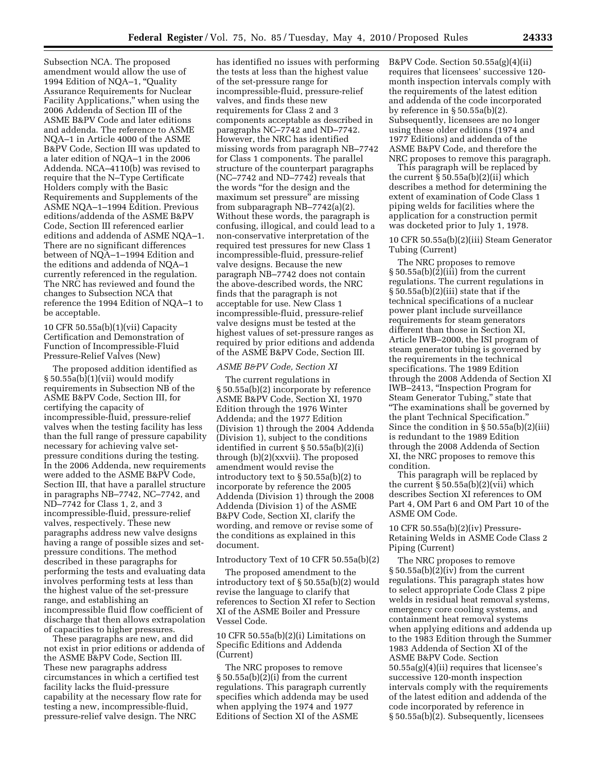Subsection NCA. The proposed amendment would allow the use of 1994 Edition of NQA–1, ''Quality Assurance Requirements for Nuclear Facility Applications,'' when using the 2006 Addenda of Section III of the ASME B&PV Code and later editions and addenda. The reference to ASME NQA–1 in Article 4000 of the ASME B&PV Code, Section III was updated to a later edition of NQA–1 in the 2006 Addenda. NCA–4110(b) was revised to require that the N–Type Certificate Holders comply with the Basic Requirements and Supplements of the ASME NQA–1–1994 Edition. Previous editions/addenda of the ASME B&PV Code, Section III referenced earlier editions and addenda of ASME NQA–1. There are no significant differences between of NQA–1–1994 Edition and the editions and addenda of NQA–1 currently referenced in the regulation. The NRC has reviewed and found the changes to Subsection NCA that reference the 1994 Edition of NQA–1 to be acceptable.

10 CFR 50.55a(b)(1)(vii) Capacity Certification and Demonstration of Function of Incompressible-Fluid Pressure-Relief Valves (New)

The proposed addition identified as § 50.55a(b)(1)(vii) would modify requirements in Subsection NB of the ASME B&PV Code, Section III, for certifying the capacity of incompressible-fluid, pressure-relief valves when the testing facility has less than the full range of pressure capability necessary for achieving valve setpressure conditions during the testing. In the 2006 Addenda, new requirements were added to the ASME B&PV Code, Section III, that have a parallel structure in paragraphs NB–7742, NC–7742, and ND–7742 for Class 1, 2, and 3 incompressible-fluid, pressure-relief valves, respectively. These new paragraphs address new valve designs having a range of possible sizes and setpressure conditions. The method described in these paragraphs for performing the tests and evaluating data involves performing tests at less than the highest value of the set-pressure range, and establishing an incompressible fluid flow coefficient of discharge that then allows extrapolation of capacities to higher pressures.

These paragraphs are new, and did not exist in prior editions or addenda of the ASME B&PV Code, Section III. These new paragraphs address circumstances in which a certified test facility lacks the fluid-pressure capability at the necessary flow rate for testing a new, incompressible-fluid, pressure-relief valve design. The NRC

has identified no issues with performing the tests at less than the highest value of the set-pressure range for incompressible-fluid, pressure-relief valves, and finds these new requirements for Class 2 and 3 components acceptable as described in paragraphs NC–7742 and ND–7742. However, the NRC has identified missing words from paragraph NB–7742 for Class 1 components. The parallel structure of the counterpart paragraphs (NC–7742 and ND–7742) reveals that the words ''for the design and the maximum set pressure'' are missing from subparagraph NB–7742(a)(2). Without these words, the paragraph is confusing, illogical, and could lead to a non-conservative interpretation of the required test pressures for new Class 1 incompressible-fluid, pressure-relief valve designs. Because the new paragraph NB–7742 does not contain the above-described words, the NRC finds that the paragraph is not acceptable for use. New Class 1 incompressible-fluid, pressure-relief valve designs must be tested at the highest values of set-pressure ranges as required by prior editions and addenda of the ASME B&PV Code, Section III.

#### *ASME B&PV Code, Section XI*

The current regulations in § 50.55a(b)(2) incorporate by reference ASME B&PV Code, Section XI, 1970 Edition through the 1976 Winter Addenda; and the 1977 Edition (Division 1) through the 2004 Addenda (Division 1), subject to the conditions identified in current § 50.55a(b)(2)(i) through (b)(2)(xxvii). The proposed amendment would revise the introductory text to § 50.55a(b)(2) to incorporate by reference the 2005 Addenda (Division 1) through the 2008 Addenda (Division 1) of the ASME B&PV Code, Section XI, clarify the wording, and remove or revise some of the conditions as explained in this document.

#### Introductory Text of 10 CFR 50.55a(b)(2)

The proposed amendment to the introductory text of § 50.55a(b)(2) would revise the language to clarify that references to Section XI refer to Section XI of the ASME Boiler and Pressure Vessel Code.

10 CFR 50.55a(b)(2)(i) Limitations on Specific Editions and Addenda (Current)

The NRC proposes to remove § 50.55a(b)(2)(i) from the current regulations. This paragraph currently specifies which addenda may be used when applying the 1974 and 1977 Editions of Section XI of the ASME

B&PV Code. Section 50.55a(g)(4)(ii) requires that licensees' successive 120 month inspection intervals comply with the requirements of the latest edition and addenda of the code incorporated by reference in § 50.55a(b)(2). Subsequently, licensees are no longer using these older editions (1974 and 1977 Editions) and addenda of the ASME B&PV Code, and therefore the NRC proposes to remove this paragraph.

This paragraph will be replaced by the current  $\S 50.55a(b)(2)(ii)$  which describes a method for determining the extent of examination of Code Class 1 piping welds for facilities where the application for a construction permit was docketed prior to July 1, 1978.

10 CFR 50.55a(b)(2)(iii) Steam Generator Tubing (Current)

The NRC proposes to remove  $\S 50.55a(b)(2)(iii)$  from the current regulations. The current regulations in § 50.55a(b)(2)(iii) state that if the technical specifications of a nuclear power plant include surveillance requirements for steam generators different than those in Section XI, Article IWB–2000, the ISI program of steam generator tubing is governed by the requirements in the technical specifications. The 1989 Edition through the 2008 Addenda of Section XI IWB–2413, ''Inspection Program for Steam Generator Tubing,'' state that ''The examinations shall be governed by the plant Technical Specification.'' Since the condition in § 50.55a(b)(2)(iii) is redundant to the 1989 Edition through the 2008 Addenda of Section XI, the NRC proposes to remove this condition.

This paragraph will be replaced by the current  $\S 50.55a(b)(2)(vii)$  which describes Section XI references to OM Part 4, OM Part 6 and OM Part 10 of the ASME OM Code.

10 CFR 50.55a(b)(2)(iv) Pressure-Retaining Welds in ASME Code Class 2 Piping (Current)

The NRC proposes to remove § 50.55a(b)(2)(iv) from the current regulations. This paragraph states how to select appropriate Code Class 2 pipe welds in residual heat removal systems, emergency core cooling systems, and containment heat removal systems when applying editions and addenda up to the 1983 Edition through the Summer 1983 Addenda of Section XI of the ASME B&PV Code. Section 50.55a(g)(4)(ii) requires that licensee's successive 120-month inspection intervals comply with the requirements of the latest edition and addenda of the code incorporated by reference in § 50.55a(b)(2). Subsequently, licensees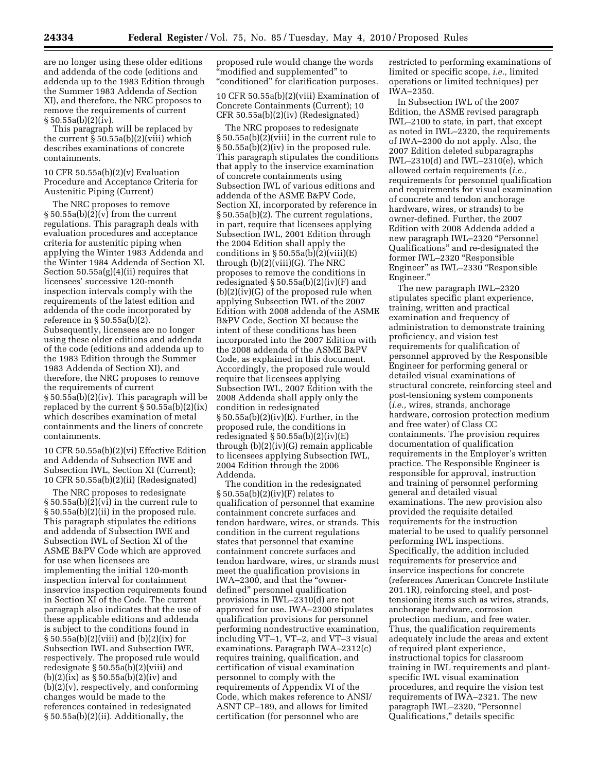are no longer using these older editions and addenda of the code (editions and addenda up to the 1983 Edition through the Summer 1983 Addenda of Section XI), and therefore, the NRC proposes to remove the requirements of current § 50.55a(b)(2)(iv).

This paragraph will be replaced by the current  $\S 50.55a(b)(2)(viii)$  which describes examinations of concrete containments.

10 CFR 50.55a(b)(2)(v) Evaluation Procedure and Acceptance Criteria for Austenitic Piping (Current)

The NRC proposes to remove  $§ 50.55a(b)(2)(v)$  from the current regulations. This paragraph deals with evaluation procedures and acceptance criteria for austenitic piping when applying the Winter 1983 Addenda and the Winter 1984 Addenda of Section XI. Section 50.55a(g)(4)(ii) requires that licensees' successive 120-month inspection intervals comply with the requirements of the latest edition and addenda of the code incorporated by reference in § 50.55a(b)(2). Subsequently, licensees are no longer using these older editions and addenda of the code (editions and addenda up to the 1983 Edition through the Summer 1983 Addenda of Section XI), and therefore, the NRC proposes to remove the requirements of current § 50.55a(b)(2)(iv). This paragraph will be replaced by the current § 50.55a(b)(2)(ix) which describes examination of metal containments and the liners of concrete containments.

10 CFR 50.55a(b)(2)(vi) Effective Edition and Addenda of Subsection IWE and Subsection IWL, Section XI (Current); 10 CFR 50.55a(b)(2)(ii) (Redesignated)

The NRC proposes to redesignate § 50.55a(b)(2)(vi) in the current rule to § 50.55a(b)(2)(ii) in the proposed rule. This paragraph stipulates the editions and addenda of Subsection IWE and Subsection IWL of Section XI of the ASME B&PV Code which are approved for use when licensees are implementing the initial 120-month inspection interval for containment inservice inspection requirements found in Section XI of the Code. The current paragraph also indicates that the use of these applicable editions and addenda is subject to the conditions found in § 50.55a(b)(2)(viii) and (b)(2)(ix) for Subsection IWL and Subsection IWE, respectively. The proposed rule would redesignate § 50.55a(b)(2)(viii) and  $(b)(2)(ix)$  as  $\S 50.55a(b)(2)(iv)$  and (b)(2)(v), respectively, and conforming changes would be made to the references contained in redesignated § 50.55a(b)(2)(ii). Additionally, the

proposed rule would change the words ''modified and supplemented'' to ''conditioned'' for clarification purposes.

10 CFR 50.55a(b)(2)(viii) Examination of Concrete Containments (Current); 10 CFR 50.55a(b)(2)(iv) (Redesignated)

The NRC proposes to redesignate § 50.55a(b)(2)(viii) in the current rule to § 50.55a(b)(2)(iv) in the proposed rule. This paragraph stipulates the conditions that apply to the inservice examination of concrete containments using Subsection IWL of various editions and addenda of the ASME B&PV Code, Section XI, incorporated by reference in § 50.55a(b)(2). The current regulations, in part, require that licensees applying Subsection IWL, 2001 Edition through the 2004 Edition shall apply the conditions in  $\S 50.55a(b)(2)(viii)(E)$ through (b)(2)(viii)(G). The NRC proposes to remove the conditions in redesignated  $\S 50.55a(b)(2)(iv)$  and  $(b)(2)(iv)(G)$  of the proposed rule when applying Subsection IWL of the 2007 Edition with 2008 addenda of the ASME B&PV Code, Section XI because the intent of these conditions has been incorporated into the 2007 Edition with the 2008 addenda of the ASME B&PV Code, as explained in this document. Accordingly, the proposed rule would require that licensees applying Subsection IWL, 2007 Edition with the 2008 Addenda shall apply only the condition in redesignated § 50.55a(b)(2)(iv)(E). Further, in the proposed rule, the conditions in redesignated  $\S 50.55a(b)(2)(iv)(E)$ through (b)(2)(iv)(G) remain applicable to licensees applying Subsection IWL, 2004 Edition through the 2006 Addenda.

The condition in the redesignated § 50.55a(b)(2)(iv)(F) relates to qualification of personnel that examine containment concrete surfaces and tendon hardware, wires, or strands. This condition in the current regulations states that personnel that examine containment concrete surfaces and tendon hardware, wires, or strands must meet the qualification provisions in IWA–2300, and that the ''ownerdefined'' personnel qualification provisions in IWL–2310(d) are not approved for use. IWA–2300 stipulates qualification provisions for personnel performing nondestructive examination, including VT–1, VT–2, and VT–3 visual examinations. Paragraph IWA–2312(c) requires training, qualification, and certification of visual examination personnel to comply with the requirements of Appendix VI of the Code, which makes reference to ANSI/ ASNT CP–189, and allows for limited certification (for personnel who are

restricted to performing examinations of limited or specific scope, *i.e.,* limited operations or limited techniques) per IWA–2350.

In Subsection IWL of the 2007 Edition, the ASME revised paragraph IWL–2100 to state, in part, that except as noted in IWL–2320, the requirements of IWA–2300 do not apply. Also, the 2007 Edition deleted subparagraphs IWL–2310(d) and IWL–2310(e), which allowed certain requirements (*i.e.,*  requirements for personnel qualification and requirements for visual examination of concrete and tendon anchorage hardware, wires, or strands) to be owner-defined. Further, the 2007 Edition with 2008 Addenda added a new paragraph IWL–2320 "Personnel Qualifications'' and re-designated the former IWL-2320 "Responsible Engineer'' as IWL–2330 ''Responsible Engineer.''

The new paragraph IWL–2320 stipulates specific plant experience, training, written and practical examination and frequency of administration to demonstrate training proficiency, and vision test requirements for qualification of personnel approved by the Responsible Engineer for performing general or detailed visual examinations of structural concrete, reinforcing steel and post-tensioning system components (*i.e.,* wires, strands, anchorage hardware, corrosion protection medium and free water) of Class CC containments. The provision requires documentation of qualification requirements in the Employer's written practice. The Responsible Engineer is responsible for approval, instruction and training of personnel performing general and detailed visual examinations. The new provision also provided the requisite detailed requirements for the instruction material to be used to qualify personnel performing IWL inspections. Specifically, the addition included requirements for preservice and inservice inspections for concrete (references American Concrete Institute 201.1R), reinforcing steel, and posttensioning items such as wires, strands, anchorage hardware, corrosion protection medium, and free water. Thus, the qualification requirements adequately include the areas and extent of required plant experience, instructional topics for classroom training in IWL requirements and plantspecific IWL visual examination procedures, and require the vision test requirements of IWA–2321. The new paragraph IWL-2320, "Personnel Qualifications,'' details specific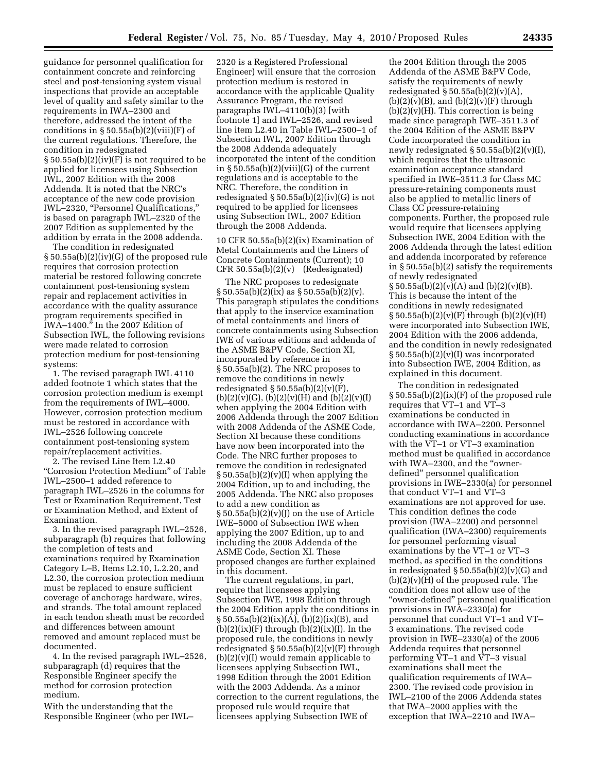guidance for personnel qualification for containment concrete and reinforcing steel and post-tensioning system visual inspections that provide an acceptable level of quality and safety similar to the requirements in IWA–2300 and therefore, addressed the intent of the conditions in  $\S 50.55a(b)(2)(viii)(F)$  of the current regulations. Therefore, the condition in redesignated  $\S 50.55a(b)(2)(iv)(F)$  is not required to be applied for licensees using Subsection IWL, 2007 Edition with the 2008 Addenda. It is noted that the NRC's acceptance of the new code provision IWL–2320, ''Personnel Qualifications,'' is based on paragraph IWL–2320 of the 2007 Edition as supplemented by the addition by errata in the 2008 addenda.

The condition in redesignated § 50.55a(b)(2)(iv)(G) of the proposed rule requires that corrosion protection material be restored following concrete containment post-tensioning system repair and replacement activities in accordance with the quality assurance program requirements specified in IWA–1400.'' In the 2007 Edition of Subsection IWL, the following revisions were made related to corrosion protection medium for post-tensioning systems:

1. The revised paragraph IWL 4110 added footnote 1 which states that the corrosion protection medium is exempt from the requirements of IWL–4000. However, corrosion protection medium must be restored in accordance with IWL–2526 following concrete containment post-tensioning system repair/replacement activities.

2. The revised Line Item L2.40 ''Corrosion Protection Medium'' of Table IWL–2500–1 added reference to paragraph IWL–2526 in the columns for Test or Examination Requirement, Test or Examination Method, and Extent of Examination.

3. In the revised paragraph IWL–2526, subparagraph (b) requires that following the completion of tests and examinations required by Examination Category L–B, Items L2.10, L.2.20, and L2.30, the corrosion protection medium must be replaced to ensure sufficient coverage of anchorage hardware, wires, and strands. The total amount replaced in each tendon sheath must be recorded and differences between amount removed and amount replaced must be documented.

4. In the revised paragraph IWL–2526, subparagraph (d) requires that the Responsible Engineer specify the method for corrosion protection medium.

With the understanding that the Responsible Engineer (who per IWL–

2320 is a Registered Professional Engineer) will ensure that the corrosion protection medium is restored in accordance with the applicable Quality Assurance Program, the revised paragraphs IWL–4110(b)(3) [with footnote 1] and IWL–2526, and revised line item L2.40 in Table IWL–2500–1 of Subsection IWL, 2007 Edition through the 2008 Addenda adequately incorporated the intent of the condition in § 50.55a(b)(2)(viii)(G) of the current regulations and is acceptable to the NRC. Therefore, the condition in redesignated  $\S 50.55a(b)(2)(iv)(G)$  is not required to be applied for licensees using Subsection IWL, 2007 Edition through the 2008 Addenda.

10 CFR 50.55a(b)(2)(ix) Examination of Metal Containments and the Liners of Concrete Containments (Current); 10 CFR 50.55a(b)(2)(v) (Redesignated)

The NRC proposes to redesignate  $\S 50.55a(b)(2)(ix)$  as  $\S 50.55a(b)(2)(v)$ . This paragraph stipulates the conditions that apply to the inservice examination of metal containments and liners of concrete containments using Subsection IWE of various editions and addenda of the ASME B&PV Code, Section XI, incorporated by reference in § 50.55a(b)(2). The NRC proposes to remove the conditions in newly redesignated  $\S 50.55a(b)(2)(v)(F)$ ,  $(b)(2)(v)(G), (b)(2)(v)(H)$  and  $(b)(2)(v)(I)$ when applying the 2004 Edition with 2006 Addenda through the 2007 Edition with 2008 Addenda of the ASME Code, Section XI because these conditions have now been incorporated into the Code. The NRC further proposes to remove the condition in redesignated  $\S 50.55a(b)(2)(v)(I)$  when applying the 2004 Edition, up to and including, the 2005 Addenda. The NRC also proposes to add a new condition as  $\S 50.55a(b)(2)(v)(J)$  on the use of Article IWE–5000 of Subsection IWE when applying the 2007 Edition, up to and including the 2008 Addenda of the ASME Code, Section XI. These proposed changes are further explained in this document.

The current regulations, in part, require that licensees applying Subsection IWE, 1998 Edition through the 2004 Edition apply the conditions in  $\S 50.55a(b)(2)(ix)(A), (b)(2)(ix)(B), and$  $(b)(2)(ix)(F)$  through  $(b)(2)(ix)(I)$ . In the proposed rule, the conditions in newly redesignated  $\S 50.55a(b)(2)(v)$ (F) through  $(b)(2)(v)(I)$  would remain applicable to licensees applying Subsection IWL, 1998 Edition through the 2001 Edition with the 2003 Addenda. As a minor correction to the current regulations, the proposed rule would require that licensees applying Subsection IWE of

the 2004 Edition through the 2005 Addenda of the ASME B&PV Code, satisfy the requirements of newly redesignated  $\S 50.55a(b)(2)(v)(A)$ ,  $(b)(2)(v)(B)$ , and  $(b)(2)(v)(F)$  through  $(b)(2)(v)(H)$ . This correction is being made since paragraph IWE–3511.3 of the 2004 Edition of the ASME B&PV Code incorporated the condition in newly redesignated § 50.55a(b)(2)(v)(I), which requires that the ultrasonic examination acceptance standard specified in IWE–3511.3 for Class MC pressure-retaining components must also be applied to metallic liners of Class CC pressure-retaining components. Further, the proposed rule would require that licensees applying Subsection IWE, 2004 Edition with the 2006 Addenda through the latest edition and addenda incorporated by reference in § 50.55a(b)(2) satisfy the requirements of newly redesignated  $\S 50.55a(b)(2)(v)(A)$  and  $(b)(2)(v)(B)$ . This is because the intent of the conditions in newly redesignated  $\S 50.55a(b)(2)(v)(F)$  through  $(b)(2)(v)(H)$ were incorporated into Subsection IWE, 2004 Edition with the 2006 addenda, and the condition in newly redesignated  $§ 50.55a(b)(2)(v)(I)$  was incorporated into Subsection IWE, 2004 Edition, as explained in this document.

The condition in redesignated § 50.55a(b)(2)(ix)(F) of the proposed rule requires that VT–1 and VT–3 examinations be conducted in accordance with IWA–2200. Personnel conducting examinations in accordance with the VT–1 or VT–3 examination method must be qualified in accordance with IWA–2300, and the "ownerdefined'' personnel qualification provisions in IWE–2330(a) for personnel that conduct VT–1 and VT–3 examinations are not approved for use. This condition defines the code provision (IWA–2200) and personnel qualification (IWA–2300) requirements for personnel performing visual examinations by the VT–1 or VT–3 method, as specified in the conditions in redesignated § 50.55a(b)(2)(v)(G) and  $(b)(2)(v)(H)$  of the proposed rule. The condition does not allow use of the ''owner-defined'' personnel qualification provisions in IWA–2330(a) for personnel that conduct VT–1 and VT– 3 examinations. The revised code provision in IWE–2330(a) of the 2006 Addenda requires that personnel performing VT–1 and VT–3 visual examinations shall meet the qualification requirements of IWA– 2300. The revised code provision in IWL–2100 of the 2006 Addenda states that IWA–2000 applies with the exception that IWA–2210 and IWA–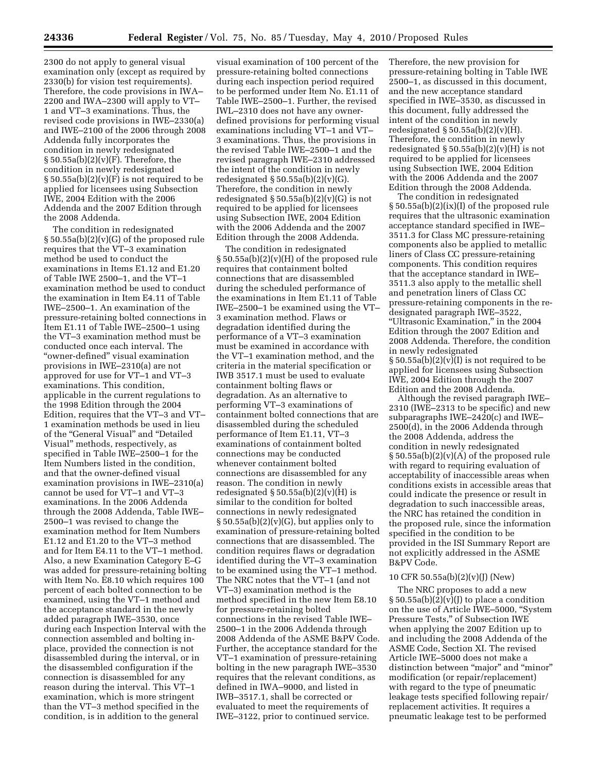2300 do not apply to general visual examination only (except as required by 2330(b) for vision test requirements). Therefore, the code provisions in IWA– 2200 and IWA–2300 will apply to VT– 1 and VT–3 examinations. Thus, the revised code provisions in IWE–2330(a) and IWE–2100 of the 2006 through 2008 Addenda fully incorporates the condition in newly redesignated  $§ 50.55a(b)(2)(v)(F)$ . Therefore, the condition in newly redesignated  $\S 50.55a(b)(2)(v)(F)$  is not required to be applied for licensees using Subsection IWE, 2004 Edition with the 2006 Addenda and the 2007 Edition through the 2008 Addenda.

The condition in redesignated § 50.55a(b)(2)(v)(G) of the proposed rule requires that the VT–3 examination method be used to conduct the examinations in Items E1.12 and E1.20 of Table IWE 2500–1, and the VT–1 examination method be used to conduct the examination in Item E4.11 of Table IWE–2500–1. An examination of the pressure-retaining bolted connections in Item E1.11 of Table IWE–2500–1 using the VT–3 examination method must be conducted once each interval. The ''owner-defined'' visual examination provisions in IWE–2310(a) are not approved for use for VT–1 and VT–3 examinations. This condition, applicable in the current regulations to the 1998 Edition through the 2004 Edition, requires that the VT–3 and VT– 1 examination methods be used in lieu of the "General Visual" and "Detailed Visual'' methods, respectively, as specified in Table IWE–2500–1 for the Item Numbers listed in the condition, and that the owner-defined visual examination provisions in IWE–2310(a) cannot be used for VT–1 and VT–3 examinations. In the 2006 Addenda through the 2008 Addenda, Table IWE– 2500–1 was revised to change the examination method for Item Numbers E1.12 and E1.20 to the VT–3 method and for Item E4.11 to the VT–1 method. Also, a new Examination Category E–G was added for pressure-retaining bolting with Item No. E8.10 which requires 100 percent of each bolted connection to be examined, using the VT–1 method and the acceptance standard in the newly added paragraph IWE–3530, once during each Inspection Interval with the connection assembled and bolting inplace, provided the connection is not disassembled during the interval, or in the disassembled configuration if the connection is disassembled for any reason during the interval. This VT–1 examination, which is more stringent than the VT–3 method specified in the condition, is in addition to the general

visual examination of 100 percent of the pressure-retaining bolted connections during each inspection period required to be performed under Item No. E1.11 of Table IWE–2500–1. Further, the revised IWL–2310 does not have any ownerdefined provisions for performing visual examinations including VT–1 and VT– 3 examinations. Thus, the provisions in the revised Table IWE–2500–1 and the revised paragraph IWE–2310 addressed the intent of the condition in newly redesignated  $\S 50.55a(b)(2)(v)(G)$ . Therefore, the condition in newly redesignated  $\S 50.55a(b)(2)(v)(G)$  is not required to be applied for licensees using Subsection IWE, 2004 Edition with the 2006 Addenda and the 2007 Edition through the 2008 Addenda.

The condition in redesignated  $\S 50.55a(b)(2)(v)(H)$  of the proposed rule requires that containment bolted connections that are disassembled during the scheduled performance of the examinations in Item E1.11 of Table IWE–2500–1 be examined using the VT– 3 examination method. Flaws or degradation identified during the performance of a VT–3 examination must be examined in accordance with the VT–1 examination method, and the criteria in the material specification or IWB 3517.1 must be used to evaluate containment bolting flaws or degradation. As an alternative to performing VT–3 examinations of containment bolted connections that are disassembled during the scheduled performance of Item E1.11, VT–3 examinations of containment bolted connections may be conducted whenever containment bolted connections are disassembled for any reason. The condition in newly redesignated  $\S 50.55a(b)(2)(v)(H)$  is similar to the condition for bolted connections in newly redesignated  $\S 50.55a(b)(2)(v)(G)$ , but applies only to examination of pressure-retaining bolted connections that are disassembled. The condition requires flaws or degradation identified during the VT–3 examination to be examined using the VT–1 method. The NRC notes that the VT–1 (and not VT–3) examination method is the method specified in the new Item E8.10 for pressure-retaining bolted connections in the revised Table IWE– 2500–1 in the 2006 Addenda through 2008 Addenda of the ASME B&PV Code. Further, the acceptance standard for the VT–1 examination of pressure-retaining bolting in the new paragraph IWE–3530 requires that the relevant conditions, as defined in IWA–9000, and listed in IWB–3517.1, shall be corrected or evaluated to meet the requirements of IWE–3122, prior to continued service.

Therefore, the new provision for pressure-retaining bolting in Table IWE 2500–1, as discussed in this document, and the new acceptance standard specified in IWE–3530, as discussed in this document, fully addressed the intent of the condition in newly redesignated  $\S 50.55a(b)(2)(v)(H)$ . Therefore, the condition in newly redesignated  $\S 50.55a(b)(2)(v)(H)$  is not required to be applied for licensees using Subsection IWE, 2004 Edition with the 2006 Addenda and the 2007 Edition through the 2008 Addenda.

The condition in redesignated § 50.55a(b)(2)(ix)(I) of the proposed rule requires that the ultrasonic examination acceptance standard specified in IWE– 3511.3 for Class MC pressure-retaining components also be applied to metallic liners of Class CC pressure-retaining components. This condition requires that the acceptance standard in IWE– 3511.3 also apply to the metallic shell and penetration liners of Class CC pressure-retaining components in the redesignated paragraph IWE–3522, ''Ultrasonic Examination,'' in the 2004 Edition through the 2007 Edition and 2008 Addenda. Therefore, the condition in newly redesignated  $\S 50.55a(b)(2)(v)(I)$  is not required to be applied for licensees using Subsection IWE, 2004 Edition through the 2007 Edition and the 2008 Addenda.

Although the revised paragraph IWE– 2310 (IWE–2313 to be specific) and new subparagraphs IWE–2420(c) and IWE– 2500(d), in the 2006 Addenda through the 2008 Addenda, address the condition in newly redesignated  $\S 50.55a(b)(2)(v)(A)$  of the proposed rule with regard to requiring evaluation of acceptability of inaccessible areas when conditions exists in accessible areas that could indicate the presence or result in degradation to such inaccessible areas, the NRC has retained the condition in the proposed rule, since the information specified in the condition to be provided in the ISI Summary Report are not explicitly addressed in the ASME B&PV Code.

#### 10 CFR 50.55a(b)(2)(v)(J) (New)

The NRC proposes to add a new  $§ 50.55a(b)(2)(v)(J)$  to place a condition on the use of Article IWE–5000, ''System Pressure Tests,'' of Subsection IWE when applying the 2007 Edition up to and including the 2008 Addenda of the ASME Code, Section XI. The revised Article IWE–5000 does not make a distinction between "major" and "minor" modification (or repair/replacement) with regard to the type of pneumatic leakage tests specified following repair/ replacement activities. It requires a pneumatic leakage test to be performed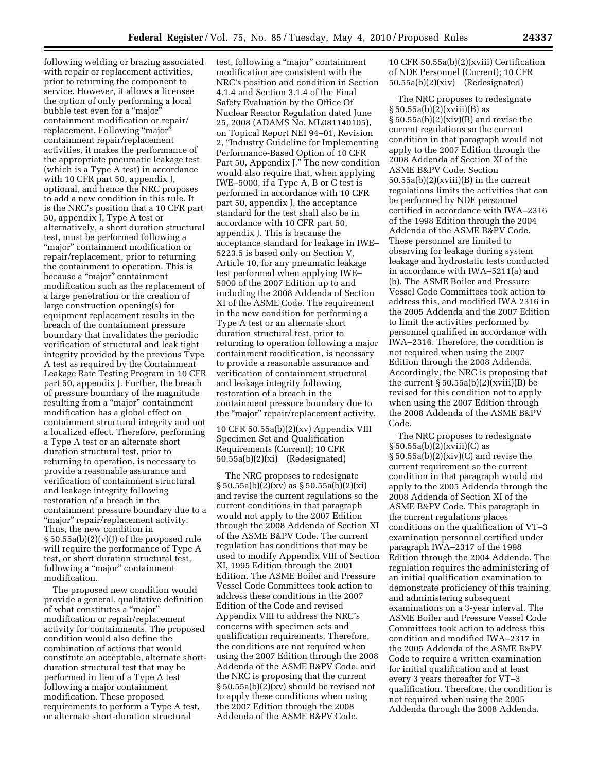following welding or brazing associated with repair or replacement activities, prior to returning the component to service. However, it allows a licensee the option of only performing a local bubble test even for a "major" containment modification or repair/ replacement. Following "major" containment repair/replacement activities, it makes the performance of the appropriate pneumatic leakage test (which is a Type A test) in accordance with 10 CFR part 50, appendix J, optional, and hence the NRC proposes to add a new condition in this rule. It is the NRC's position that a 10 CFR part 50, appendix J, Type A test or alternatively, a short duration structural test, must be performed following a ''major'' containment modification or repair/replacement, prior to returning the containment to operation. This is because a ''major'' containment modification such as the replacement of a large penetration or the creation of large construction opening(s) for equipment replacement results in the breach of the containment pressure boundary that invalidates the periodic verification of structural and leak tight integrity provided by the previous Type A test as required by the Containment Leakage Rate Testing Program in 10 CFR part 50, appendix J. Further, the breach of pressure boundary of the magnitude resulting from a "major" containment modification has a global effect on containment structural integrity and not a localized effect. Therefore, performing a Type A test or an alternate short duration structural test, prior to returning to operation, is necessary to provide a reasonable assurance and verification of containment structural and leakage integrity following restoration of a breach in the containment pressure boundary due to a "major" repair/replacement activity. Thus, the new condition in § 50.55a(b)(2)(v)(J) of the proposed rule will require the performance of Type A test, or short duration structural test, following a "major" containment modification.

The proposed new condition would provide a general, qualitative definition of what constitutes a ''major'' modification or repair/replacement activity for containments. The proposed condition would also define the combination of actions that would constitute an acceptable, alternate shortduration structural test that may be performed in lieu of a Type A test following a major containment modification. These proposed requirements to perform a Type A test, or alternate short-duration structural

test, following a ''major'' containment modification are consistent with the NRC's position and condition in Section 4.1.4 and Section 3.1.4 of the Final Safety Evaluation by the Office Of Nuclear Reactor Regulation dated June 25, 2008 (ADAMS No. ML081140105), on Topical Report NEI 94–01, Revision 2, ''Industry Guideline for Implementing Performance-Based Option of 10 CFR Part 50, Appendix J." The new condition would also require that, when applying IWE–5000, if a Type A, B or C test is performed in accordance with 10 CFR part 50, appendix J, the acceptance standard for the test shall also be in accordance with 10 CFR part 50, appendix J. This is because the acceptance standard for leakage in IWE– 5223.5 is based only on Section V, Article 10, for any pneumatic leakage test performed when applying IWE– 5000 of the 2007 Edition up to and including the 2008 Addenda of Section XI of the ASME Code. The requirement in the new condition for performing a Type A test or an alternate short duration structural test, prior to returning to operation following a major containment modification, is necessary to provide a reasonable assurance and verification of containment structural and leakage integrity following restoration of a breach in the containment pressure boundary due to the ''major'' repair/replacement activity.

10 CFR 50.55a(b)(2)(xv) Appendix VIII Specimen Set and Qualification Requirements (Current); 10 CFR 50.55a(b)(2)(xi) (Redesignated)

The NRC proposes to redesignate  $\S 50.55a(b)(2)(xv)$  as  $\S 50.55a(b)(2)(xi)$ and revise the current regulations so the current conditions in that paragraph would not apply to the 2007 Edition through the 2008 Addenda of Section XI of the ASME B&PV Code. The current regulation has conditions that may be used to modify Appendix VIII of Section XI, 1995 Edition through the 2001 Edition. The ASME Boiler and Pressure Vessel Code Committees took action to address these conditions in the 2007 Edition of the Code and revised Appendix VIII to address the NRC's concerns with specimen sets and qualification requirements. Therefore, the conditions are not required when using the 2007 Edition through the 2008 Addenda of the ASME B&PV Code, and the NRC is proposing that the current § 50.55a(b)(2)(xv) should be revised not to apply these conditions when using the 2007 Edition through the 2008 Addenda of the ASME B&PV Code.

10 CFR 50.55a(b)(2)(xviii) Certification of NDE Personnel (Current); 10 CFR 50.55a(b)(2)(xiv) (Redesignated)

The NRC proposes to redesignate  $\S 50.55a(b)(2)(xviii)(B)$  as  $\S 50.55a(b)(2)(xiv)(B)$  and revise the current regulations so the current condition in that paragraph would not apply to the 2007 Edition through the 2008 Addenda of Section XI of the ASME B&PV Code. Section  $50.55a(b)(2)(xviii)(B)$  in the current regulations limits the activities that can be performed by NDE personnel certified in accordance with IWA–2316 of the 1998 Edition through the 2004 Addenda of the ASME B&PV Code. These personnel are limited to observing for leakage during system leakage and hydrostatic tests conducted in accordance with IWA–5211(a) and (b). The ASME Boiler and Pressure Vessel Code Committees took action to address this, and modified IWA 2316 in the 2005 Addenda and the 2007 Edition to limit the activities performed by personnel qualified in accordance with IWA–2316. Therefore, the condition is not required when using the 2007 Edition through the 2008 Addenda. Accordingly, the NRC is proposing that the current  $\S 50.55a(b)(2)(xviii)(B)$  be revised for this condition not to apply when using the 2007 Edition through the 2008 Addenda of the ASME B&PV Code.

The NRC proposes to redesignate  $\S 50.55a(b)(2)(xviii)(C)$  as  $\S 50.55a(b)(2)(xiv)(C)$  and revise the current requirement so the current condition in that paragraph would not apply to the 2005 Addenda through the 2008 Addenda of Section XI of the ASME B&PV Code. This paragraph in the current regulations places conditions on the qualification of VT–3 examination personnel certified under paragraph IWA–2317 of the 1998 Edition through the 2004 Addenda. The regulation requires the administering of an initial qualification examination to demonstrate proficiency of this training, and administering subsequent examinations on a 3-year interval. The ASME Boiler and Pressure Vessel Code Committees took action to address this condition and modified IWA–2317 in the 2005 Addenda of the ASME B&PV Code to require a written examination for initial qualification and at least every 3 years thereafter for VT–3 qualification. Therefore, the condition is not required when using the 2005 Addenda through the 2008 Addenda.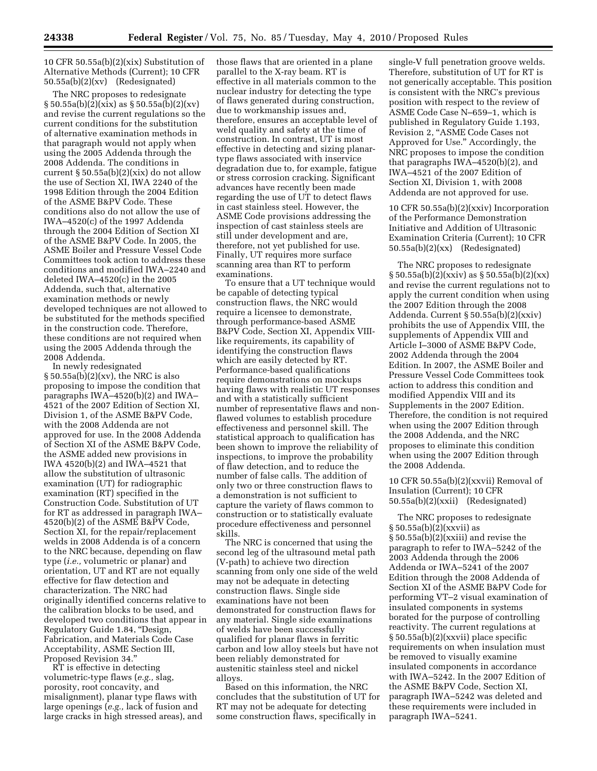10 CFR 50.55a(b)(2)(xix) Substitution of Alternative Methods (Current); 10 CFR 50.55a(b)(2)(xv) (Redesignated)

The NRC proposes to redesignate  $\S 50.55a(b)(2)(xix)$  as  $\S 50.55a(b)(2)(xv)$ and revise the current regulations so the current conditions for the substitution of alternative examination methods in that paragraph would not apply when using the 2005 Addenda through the 2008 Addenda. The conditions in current  $\S 50.55a(b)(2)(xix)$  do not allow the use of Section XI, IWA 2240 of the 1998 Edition through the 2004 Edition of the ASME B&PV Code. These conditions also do not allow the use of IWA–4520(c) of the 1997 Addenda through the 2004 Edition of Section XI of the ASME B&PV Code. In 2005, the ASME Boiler and Pressure Vessel Code Committees took action to address these conditions and modified IWA–2240 and deleted IWA–4520(c) in the 2005 Addenda, such that, alternative examination methods or newly developed techniques are not allowed to be substituted for the methods specified in the construction code. Therefore, these conditions are not required when using the 2005 Addenda through the 2008 Addenda.

In newly redesignated § 50.55a(b)(2)(xv), the NRC is also proposing to impose the condition that paragraphs IWA–4520(b)(2) and IWA– 4521 of the 2007 Edition of Section XI, Division 1, of the ASME B&PV Code, with the 2008 Addenda are not approved for use. In the 2008 Addenda of Section XI of the ASME B&PV Code, the ASME added new provisions in IWA 4520(b)(2) and IWA–4521 that allow the substitution of ultrasonic examination (UT) for radiographic examination (RT) specified in the Construction Code. Substitution of UT for RT as addressed in paragraph IWA– 4520(b)(2) of the ASME B&PV Code, Section XI, for the repair/replacement welds in 2008 Addenda is of a concern to the NRC because, depending on flaw type (*i.e.,* volumetric or planar) and orientation, UT and RT are not equally effective for flaw detection and characterization. The NRC had originally identified concerns relative to the calibration blocks to be used, and developed two conditions that appear in Regulatory Guide 1.84, ''Design, Fabrication, and Materials Code Case Acceptability, ASME Section III, Proposed Revision 34.''

RT is effective in detecting volumetric-type flaws (*e.g.,* slag, porosity, root concavity, and misalignment), planar type flaws with large openings (*e.g.,* lack of fusion and large cracks in high stressed areas), and

those flaws that are oriented in a plane parallel to the X-ray beam. RT is effective in all materials common to the nuclear industry for detecting the type of flaws generated during construction, due to workmanship issues and, therefore, ensures an acceptable level of weld quality and safety at the time of construction. In contrast, UT is most effective in detecting and sizing planartype flaws associated with inservice degradation due to, for example, fatigue or stress corrosion cracking. Significant advances have recently been made regarding the use of UT to detect flaws in cast stainless steel. However, the ASME Code provisions addressing the inspection of cast stainless steels are still under development and are, therefore, not yet published for use. Finally, UT requires more surface scanning area than RT to perform examinations.

To ensure that a UT technique would be capable of detecting typical construction flaws, the NRC would require a licensee to demonstrate, through performance-based ASME B&PV Code, Section XI, Appendix VIIIlike requirements, its capability of identifying the construction flaws which are easily detected by RT. Performance-based qualifications require demonstrations on mockups having flaws with realistic UT responses and with a statistically sufficient number of representative flaws and nonflawed volumes to establish procedure effectiveness and personnel skill. The statistical approach to qualification has been shown to improve the reliability of inspections, to improve the probability of flaw detection, and to reduce the number of false calls. The addition of only two or three construction flaws to a demonstration is not sufficient to capture the variety of flaws common to construction or to statistically evaluate procedure effectiveness and personnel skills.

The NRC is concerned that using the second leg of the ultrasound metal path (V-path) to achieve two direction scanning from only one side of the weld may not be adequate in detecting construction flaws. Single side examinations have not been demonstrated for construction flaws for any material. Single side examinations of welds have been successfully qualified for planar flaws in ferritic carbon and low alloy steels but have not been reliably demonstrated for austenitic stainless steel and nickel alloys.

Based on this information, the NRC concludes that the substitution of UT for RT may not be adequate for detecting some construction flaws, specifically in

single-V full penetration groove welds. Therefore, substitution of UT for RT is not generically acceptable. This position is consistent with the NRC's previous position with respect to the review of ASME Code Case N–659–1, which is published in Regulatory Guide 1.193, Revision 2, ''ASME Code Cases not Approved for Use.'' Accordingly, the NRC proposes to impose the condition that paragraphs IWA–4520(b)(2), and IWA–4521 of the 2007 Edition of Section XI, Division 1, with 2008 Addenda are not approved for use.

10 CFR 50.55a(b)(2)(xxiv) Incorporation of the Performance Demonstration Initiative and Addition of Ultrasonic Examination Criteria (Current); 10 CFR 50.55a(b)(2)(xx) (Redesignated)

The NRC proposes to redesignate  $\S 50.55a(b)(2)(xxiv)$  as  $\S 50.55a(b)(2)(xx)$ and revise the current regulations not to apply the current condition when using the 2007 Edition through the 2008 Addenda. Current § 50.55a(b)(2)(xxiv) prohibits the use of Appendix VIII, the supplements of Appendix VIII and Article I–3000 of ASME B&PV Code, 2002 Addenda through the 2004 Edition. In 2007, the ASME Boiler and Pressure Vessel Code Committees took action to address this condition and modified Appendix VIII and its Supplements in the 2007 Edition. Therefore, the condition is not required when using the 2007 Edition through the 2008 Addenda, and the NRC proposes to eliminate this condition when using the 2007 Edition through the 2008 Addenda.

10 CFR 50.55a(b)(2)(xxvii) Removal of Insulation (Current); 10 CFR 50.55a(b)(2)(xxii) (Redesignated)

The NRC proposes to redesignate § 50.55a(b)(2)(xxvii) as § 50.55a(b)(2)(xxiii) and revise the paragraph to refer to IWA–5242 of the 2003 Addenda through the 2006 Addenda or IWA–5241 of the 2007 Edition through the 2008 Addenda of Section XI of the ASME B&PV Code for performing VT–2 visual examination of insulated components in systems borated for the purpose of controlling reactivity. The current regulations at § 50.55a(b)(2)(xxvii) place specific requirements on when insulation must be removed to visually examine insulated components in accordance with IWA–5242. In the 2007 Edition of the ASME B&PV Code, Section XI, paragraph IWA–5242 was deleted and these requirements were included in paragraph IWA–5241.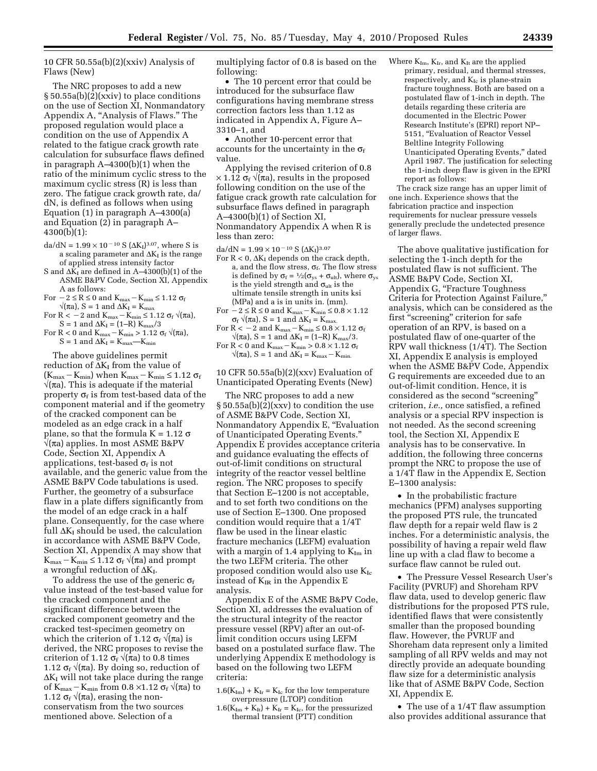10 CFR 50.55a(b) $(2)$ (xxiv) Analysis of Flaws (New)

The NRC proposes to add a new § 50.55a(b)(2)(xxiv) to place conditions on the use of Section XI, Nonmandatory Appendix A, "Analysis of Flaws." The proposed regulation would place a condition on the use of Appendix A related to the fatigue crack growth rate calculation for subsurface flaws defined in paragraph A–4300(b)(1) when the ratio of the minimum cyclic stress to the maximum cyclic stress (R) is less than zero. The fatigue crack growth rate, da/ dN, is defined as follows when using Equation (1) in paragraph A–4300(a) and Equation (2) in paragraph A– 4300(b)(1):

- da/dN =  $1.99 \times 10^{-10}$  S ( $\Delta K_I$ )<sup>3.07</sup>, where S is a scaling parameter and  $\Delta K_I$  is the range of applied stress intensity factor
- S and  $\Delta \bar{K}_I$  are defined in A–4300(b)(1) of the ASME B&PV Code, Section XI, Appendix A as follows:
- For  $-2 \le R \le 0$  and  $K_{\text{max}} K_{\text{min}} \le 1.12 \sigma_f$  $\sqrt{\pi}$ a), S = 1 and ΔK<sub>I</sub> = K<sub>max</sub>
- For R < 2 and K<sub>max</sub> K<sub>min</sub> ≤ 1.12  $\sigma_f$   $\sqrt{(\pi a)}$ ,  $\mathrm{S}=1$  and  $\Delta\mathrm{K_I}=(1\text{--R})\;\mathrm{K_{max}/3}$
- For R < 0 and K<sub>max</sub> K<sub>min</sub> > 1.12  $\sigma_f \sqrt{\pi a}$ ),  $S=1$  and  $\Delta K_{\rm I} = K_{\rm max}$  —K $_{\rm min}$

The above guidelines permit reduction of  $\Delta K_I$  from the value of  $(K_{\text{max}}-K_{\text{min}})$  when  $K_{\text{max}}-K_{\text{min}} \leq 1.12 \sigma_f$  $\sqrt{\pi}$ a). This is adequate if the material property  $\sigma_f$  is from test-based data of the component material and if the geometry of the cracked component can be modeled as an edge crack in a half plane, so that the formula  $K = 1.12 \sigma$ √(πa) applies. In most ASME B&PV Code, Section XI, Appendix A applications, test-based  $\sigma_f$  is not available, and the generic value from the ASME B&PV Code tabulations is used. Further, the geometry of a subsurface flaw in a plate differs significantly from the model of an edge crack in a half plane. Consequently, for the case where full  $\Delta K_I$  should be used, the calculation in accordance with ASME B&PV Code, Section XI, Appendix A may show that  $K_{\text{max}} - K_{\text{min}} \leq 1.12 \sigma_f \sqrt{\pi a}$  and prompt a wrongful reduction of  $\Delta K_I$ .

To address the use of the generic  $\sigma_f$ value instead of the test-based value for the cracked component and the significant difference between the cracked component geometry and the cracked test-specimen geometry on which the criterion of 1.12  $\sigma_f \sqrt{\pi}$  is derived, the NRC proposes to revise the criterion of 1.12  $\sigma_f \sqrt{\pi}$  to 0.8 times 1.12  $\sigma_f \sqrt{\pi}$ a). By doing so, reduction of  $\Delta K_I$  will not take place during the range of K<sub>max</sub> – K<sub>min</sub> from 0.8 ×1.12  $\sigma_f$  √( $\pi$ a) to 1.12  $\sigma_f \sqrt{\pi}$ a), erasing the nonconservatism from the two sources mentioned above. Selection of a

multiplying factor of 0.8 is based on the following:

• The 10 percent error that could be introduced for the subsurface flaw configurations having membrane stress correction factors less than 1.12 as indicated in Appendix A, Figure A– 3310–1, and

• Another 10-percent error that accounts for the uncertainty in the  $\sigma_f$ value.

Applying the revised criterion of 0.8  $\times$  1.12  $\sigma_f \sqrt{\pi}$ a), results in the proposed following condition on the use of the fatigue crack growth rate calculation for subsurface flaws defined in paragraph A–4300(b)(1) of Section XI, Nonmandatory Appendix A when R is less than zero:

 $da/dN = 1.99 \times 10^{-10} S (\Delta K_I)^{3.07}$ 

- For  $R < 0$ ,  $\Delta K_I$  depends on the crack depth, a, and the flow stress,  $\sigma_f$ . The flow stress is defined by  $\sigma_f = \frac{1}{2}(\sigma_{ys} + \sigma_{ult})$ , where  $\sigma_{ys}$ is the yield strength and  $\sigma_{ult}$  is the ultimate tensile strength in units ksi (MPa) and a is in units in. (mm).
- For  $-2 \le R \le 0$  and  $K_{\text{max}} K_{\text{min}} \le 0.8 \times 1.12$  $\sigma_f \sqrt{\pi a}$ , S = 1 and  $\Delta K_I = K_{\text{max}}$ .
- For  $R < -2$  and  $K_{\text{max}} K_{\text{min}} \leq 0.8 \times 1.12 \sigma_f$
- $\sqrt{\pi a}$ , S = 1 and  $\Delta K_I = (1-R) K_{max}/3$ .
- For R < 0 and K<sub>max</sub> K<sub>min</sub> > 0.8  $\times$  1.12  $\sigma_f$  $\sqrt{\pi a}$ , S = 1 and  $\Delta K_I = K_{max} - K_{min}$ .

#### 10 CFR 50.55a(b)(2)(xxv) Evaluation of Unanticipated Operating Events (New)

The NRC proposes to add a new § 50.55a(b)( $2$ )(xxv) to condition the use of ASME B&PV Code, Section XI, Nonmandatory Appendix E, "Evaluation of Unanticipated Operating Events.'' Appendix E provides acceptance criteria and guidance evaluating the effects of out-of-limit conditions on structural integrity of the reactor vessel beltline region. The NRC proposes to specify that Section E–1200 is not acceptable, and to set forth two conditions on the use of Section E–1300. One proposed condition would require that a 1/4T flaw be used in the linear elastic fracture mechanics (LEFM) evaluation with a margin of 1.4 applying to  $K_{Im}$  in the two LEFM criteria. The other proposed condition would also use  $K_{Ic}$ instead of  $K_{IR}$  in the Appendix E analysis.

Appendix E of the ASME B&PV Code, Section XI, addresses the evaluation of the structural integrity of the reactor pressure vessel (RPV) after an out-oflimit condition occurs using LEFM based on a postulated surface flaw. The underlying Appendix E methodology is based on the following two LEFM criteria:

- $1.6(K_{Im}) + K_{Ir} = K_{Ic}$  for the low temperature overpressure (LTOP) condition
- $1.6(K_{Im} + K_{It}) + K_{Ir} = K_{Ic}$ , for the pressurized thermal transient (PTT) condition

Where  $K_{Im}$ ,  $K_{Ir}$ , and  $K_{It}$  are the applied primary, residual, and thermal stresses, respectively, and  $K_{Ic}$  is plane-strain fracture toughness. Both are based on a postulated flaw of 1-inch in depth. The details regarding these criteria are documented in the Electric Power Research Institute's (EPRI) report NP– 5151, "Evaluation of Reactor Vessel Beltline Integrity Following Unanticipated Operating Events,'' dated April 1987. The justification for selecting the 1-inch deep flaw is given in the EPRI report as follows:

The crack size range has an upper limit of one inch. Experience shows that the fabrication practice and inspection requirements for nuclear pressure vessels generally preclude the undetected presence of larger flaws.

The above qualitative justification for selecting the 1-inch depth for the postulated flaw is not sufficient. The ASME B&PV Code, Section XI, Appendix G, ''Fracture Toughness Criteria for Protection Against Failure,'' analysis, which can be considered as the first ''screening'' criterion for safe operation of an RPV, is based on a postulated flaw of one-quarter of the RPV wall thickness (1/4T). The Section XI, Appendix E analysis is employed when the ASME B&PV Code, Appendix G requirements are exceeded due to an out-of-limit condition. Hence, it is considered as the second ''screening'' criterion, *i.e.,* once satisfied, a refined analysis or a special RPV inspection is not needed. As the second screening tool, the Section XI, Appendix E analysis has to be conservative. In addition, the following three concerns prompt the NRC to propose the use of a 1/4T flaw in the Appendix E, Section E–1300 analysis:

• In the probabilistic fracture mechanics (PFM) analyses supporting the proposed PTS rule, the truncated flaw depth for a repair weld flaw is 2 inches. For a deterministic analysis, the possibility of having a repair weld flaw line up with a clad flaw to become a surface flaw cannot be ruled out.

• The Pressure Vessel Research User's Facility (PVRUF) and Shoreham RPV flaw data, used to develop generic flaw distributions for the proposed PTS rule, identified flaws that were consistently smaller than the proposed bounding flaw. However, the PVRUF and Shoreham data represent only a limited sampling of all RPV welds and may not directly provide an adequate bounding flaw size for a deterministic analysis like that of ASME B&PV Code, Section XI, Appendix E.

• The use of a 1/4T flaw assumption also provides additional assurance that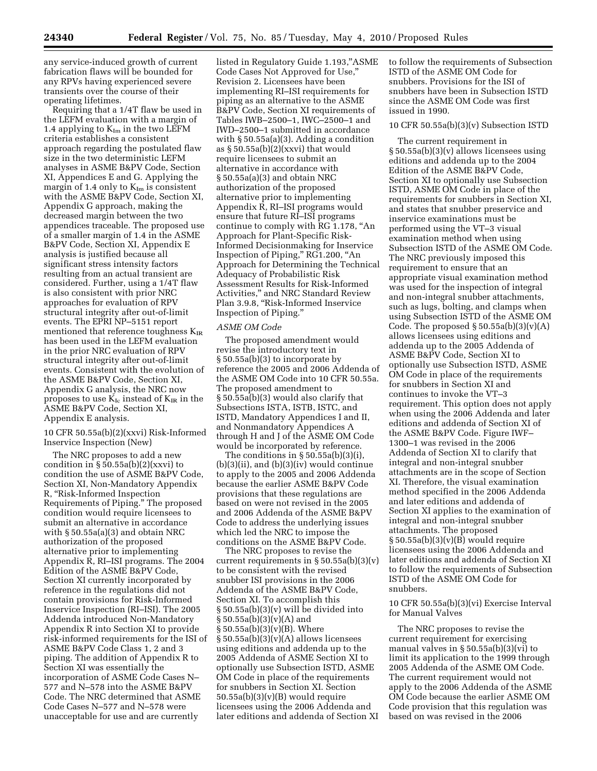any service-induced growth of current fabrication flaws will be bounded for any RPVs having experienced severe transients over the course of their operating lifetimes.

Requiring that a 1/4T flaw be used in the LEFM evaluation with a margin of 1.4 applying to  $K_{Im}$  in the two LEFM criteria establishes a consistent approach regarding the postulated flaw size in the two deterministic LEFM analyses in ASME B&PV Code, Section XI, Appendices E and G. Applying the margin of 1.4 only to  $K_{Im}$  is consistent with the ASME B&PV Code, Section XI, Appendix G approach, making the decreased margin between the two appendices traceable. The proposed use of a smaller margin of 1.4 in the ASME B&PV Code, Section XI, Appendix E analysis is justified because all significant stress intensity factors resulting from an actual transient are considered. Further, using a 1/4T flaw is also consistent with prior NRC approaches for evaluation of RPV structural integrity after out-of-limit events. The EPRI NP–5151 report mentioned that reference toughness  $K_{IR}$ has been used in the LEFM evaluation in the prior NRC evaluation of RPV structural integrity after out-of-limit events. Consistent with the evolution of the ASME B&PV Code, Section XI, Appendix G analysis, the NRC now proposes to use  $K_{Ic}$  instead of  $K_{IR}$  in the ASME B&PV Code, Section XI, Appendix E analysis.

#### 10 CFR 50.55a(b)(2)(xxvi) Risk-Informed Inservice Inspection (New)

The NRC proposes to add a new condition in  $\S 50.55a(b)(2)(xxvi)$  to condition the use of ASME B&PV Code, Section XI, Non-Mandatory Appendix R, ''Risk-Informed Inspection Requirements of Piping.'' The proposed condition would require licensees to submit an alternative in accordance with § 50.55a(a)(3) and obtain NRC authorization of the proposed alternative prior to implementing Appendix R, RI–ISI programs. The 2004 Edition of the ASME B&PV Code, Section XI currently incorporated by reference in the regulations did not contain provisions for Risk-Informed Inservice Inspection (RI–ISI). The 2005 Addenda introduced Non-Mandatory Appendix R into Section XI to provide risk-informed requirements for the ISI of ASME B&PV Code Class 1, 2 and 3 piping. The addition of Appendix R to Section XI was essentially the incorporation of ASME Code Cases N– 577 and N–578 into the ASME B&PV Code. The NRC determined that ASME Code Cases N–577 and N–578 were unacceptable for use and are currently

listed in Regulatory Guide 1.193,''ASME Code Cases Not Approved for Use,'' Revision 2. Licensees have been implementing RI–ISI requirements for piping as an alternative to the ASME B&PV Code, Section XI requirements of Tables IWB–2500–1, IWC–2500–1 and IWD–2500–1 submitted in accordance with § 50.55a(a)(3). Adding a condition as  $\S 50.55a(b)(2)(xxvi)$  that would require licensees to submit an alternative in accordance with § 50.55a(a)(3) and obtain NRC authorization of the proposed alternative prior to implementing Appendix R, RI–ISI programs would ensure that future RI–ISI programs continue to comply with RG 1.178, ''An Approach for Plant-Specific Risk-Informed Decisionmaking for Inservice Inspection of Piping,'' RG1.200, ''An Approach for Determining the Technical Adequacy of Probabilistic Risk Assessment Results for Risk-Informed Activities,'' and NRC Standard Review Plan 3.9.8, ''Risk-Informed Inservice Inspection of Piping.''

#### *ASME OM Code*

The proposed amendment would revise the introductory text in § 50.55a(b)(3) to incorporate by reference the 2005 and 2006 Addenda of the ASME OM Code into 10 CFR 50.55a. The proposed amendment to § 50.55a(b)(3) would also clarify that Subsections ISTA, ISTB, ISTC, and ISTD, Mandatory Appendices I and II, and Nonmandatory Appendices A through H and J of the ASME OM Code would be incorporated by reference.

The conditions in  $\S 50.55a(b)(3)(i)$ ,  $(b)(3)(ii)$ , and  $(b)(3)(iv)$  would continue to apply to the 2005 and 2006 Addenda because the earlier ASME B&PV Code provisions that these regulations are based on were not revised in the 2005 and 2006 Addenda of the ASME B&PV Code to address the underlying issues which led the NRC to impose the conditions on the ASME B&PV Code.

The NRC proposes to revise the current requirements in  $\S 50.55a(b)(3)(v)$ to be consistent with the revised snubber ISI provisions in the 2006 Addenda of the ASME B&PV Code, Section XI. To accomplish this  $§ 50.55a(b)(3)(v)$  will be divided into  $§ 50.55a(b)(3)(v)(A)$  and  $§ 50.55a(b)(3)(v)(B)$ . Where  $\S 50.55a(b)(3)(v)(A)$  allows licensees using editions and addenda up to the 2005 Addenda of ASME Section XI to optionally use Subsection ISTD, ASME OM Code in place of the requirements for snubbers in Section XI. Section  $50.55a(b)(3)(v)(B)$  would require licensees using the 2006 Addenda and later editions and addenda of Section XI

to follow the requirements of Subsection ISTD of the ASME OM Code for snubbers. Provisions for the ISI of snubbers have been in Subsection ISTD since the ASME OM Code was first issued in 1990.

#### 10 CFR 50.55a(b)(3)(v) Subsection ISTD

The current requirement in § 50.55a(b)(3)(v) allows licensees using editions and addenda up to the 2004 Edition of the ASME B&PV Code, Section XI to optionally use Subsection ISTD, ASME OM Code in place of the requirements for snubbers in Section XI, and states that snubber preservice and inservice examinations must be performed using the VT–3 visual examination method when using Subsection ISTD of the ASME OM Code. The NRC previously imposed this requirement to ensure that an appropriate visual examination method was used for the inspection of integral and non-integral snubber attachments, such as lugs, bolting, and clamps when using Subsection ISTD of the ASME OM Code. The proposed  $\S 50.55a(b)(3)(v)(A)$ allows licensees using editions and addenda up to the 2005 Addenda of ASME B&PV Code, Section XI to optionally use Subsection ISTD, ASME OM Code in place of the requirements for snubbers in Section XI and continues to invoke the VT–3 requirement. This option does not apply when using the 2006 Addenda and later editions and addenda of Section XI of the ASME B&PV Code. Figure IWF– 1300–1 was revised in the 2006 Addenda of Section XI to clarify that integral and non-integral snubber attachments are in the scope of Section XI. Therefore, the visual examination method specified in the 2006 Addenda and later editions and addenda of Section XI applies to the examination of integral and non-integral snubber attachments. The proposed  $§ 50.55a(b)(3)(v)(B)$  would require licensees using the 2006 Addenda and later editions and addenda of Section XI to follow the requirements of Subsection ISTD of the ASME OM Code for snubbers.

10 CFR 50.55a(b)(3)(vi) Exercise Interval for Manual Valves

The NRC proposes to revise the current requirement for exercising manual valves in § 50.55a(b)(3)(vi) to limit its application to the 1999 through 2005 Addenda of the ASME OM Code. The current requirement would not apply to the 2006 Addenda of the ASME OM Code because the earlier ASME OM Code provision that this regulation was based on was revised in the 2006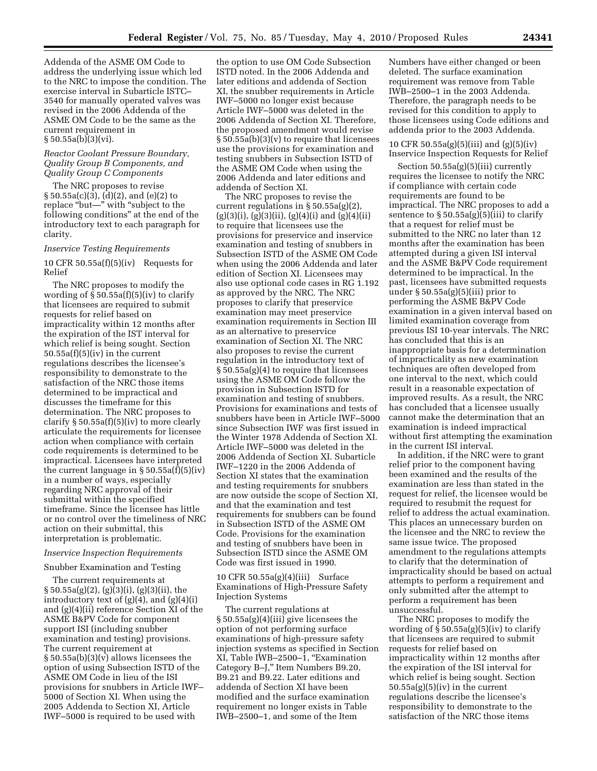Addenda of the ASME OM Code to address the underlying issue which led to the NRC to impose the condition. The exercise interval in Subarticle ISTC– 3540 for manually operated valves was revised in the 2006 Addenda of the ASME OM Code to be the same as the current requirement in § 50.55a(b)(3)(vi).

#### *Reactor Coolant Pressure Boundary, Quality Group B Components, and Quality Group C Components*

The NRC proposes to revise § 50.55a(c)(3), (d)(2), and (e)(2) to replace "but—" with "subject to the following conditions'' at the end of the introductory text to each paragraph for clarity.

#### *Inservice Testing Requirements*

10 CFR 50.55a(f)(5)(iv) Requests for Relief

The NRC proposes to modify the wording of  $\S 50.55a(f)(5)(iv)$  to clarify that licensees are required to submit requests for relief based on impracticality within 12 months after the expiration of the IST interval for which relief is being sought. Section  $50.55a(f)(5)(iv)$  in the current regulations describes the licensee's responsibility to demonstrate to the satisfaction of the NRC those items determined to be impractical and discusses the timeframe for this determination. The NRC proposes to clarify § 50.55a(f)(5)(iv) to more clearly articulate the requirements for licensee action when compliance with certain code requirements is determined to be impractical. Licensees have interpreted the current language in  $\S 50.55a(f)(5)(iv)$ in a number of ways, especially regarding NRC approval of their submittal within the specified timeframe. Since the licensee has little or no control over the timeliness of NRC action on their submittal, this interpretation is problematic.

#### *Inservice Inspection Requirements*

#### Snubber Examination and Testing

The current requirements at § 50.55a(g)(2), (g)(3)(i), (g)(3)(ii), the introductory text of  $(g)(4)$ , and  $(g)(4)(i)$ and (g)(4)(ii) reference Section XI of the ASME B&PV Code for component support ISI (including snubber examination and testing) provisions. The current requirement at § 50.55a(b)(3)(v) allows licensees the option of using Subsection ISTD of the ASME OM Code in lieu of the ISI provisions for snubbers in Article IWF– 5000 of Section XI. When using the 2005 Addenda to Section XI, Article IWF–5000 is required to be used with

the option to use OM Code Subsection ISTD noted. In the 2006 Addenda and later editions and addenda of Section XI, the snubber requirements in Article IWF–5000 no longer exist because Article IWF–5000 was deleted in the 2006 Addenda of Section XI. Therefore, the proposed amendment would revise § 50.55a(b)(3)(v) to require that licensees use the provisions for examination and testing snubbers in Subsection ISTD of the ASME OM Code when using the 2006 Addenda and later editions and addenda of Section XI.

The NRC proposes to revise the current regulations in § 50.55a(g)(2),  $(g)(3)(i)$ ,  $(g)(3)(ii)$ ,  $(g)(4)(i)$  and  $(g)(4)(ii)$ to require that licensees use the provisions for preservice and inservice examination and testing of snubbers in Subsection ISTD of the ASME OM Code when using the 2006 Addenda and later edition of Section XI. Licensees may also use optional code cases in RG 1.192 as approved by the NRC. The NRC proposes to clarify that preservice examination may meet preservice examination requirements in Section III as an alternative to preservice examination of Section XI. The NRC also proposes to revise the current regulation in the introductory text of § 50.55a(g)(4) to require that licensees using the ASME OM Code follow the provision in Subsection ISTD for examination and testing of snubbers. Provisions for examinations and tests of snubbers have been in Article IWF–5000 since Subsection IWF was first issued in the Winter 1978 Addenda of Section XI. Article IWF–5000 was deleted in the 2006 Addenda of Section XI. Subarticle IWF–1220 in the 2006 Addenda of Section XI states that the examination and testing requirements for snubbers are now outside the scope of Section XI, and that the examination and test requirements for snubbers can be found in Subsection ISTD of the ASME OM Code. Provisions for the examination and testing of snubbers have been in Subsection ISTD since the ASME OM Code was first issued in 1990.

10 CFR 50.55a(g)(4)(iii) Surface Examinations of High-Pressure Safety Injection Systems

The current regulations at § 50.55a(g)(4)(iii) give licensees the option of not performing surface examinations of high-pressure safety injection systems as specified in Section XI, Table IWB–2500–1, ''Examination Category B–J,'' Item Numbers B9.20, B9.21 and B9.22. Later editions and addenda of Section XI have been modified and the surface examination requirement no longer exists in Table IWB–2500–1, and some of the Item

Numbers have either changed or been deleted. The surface examination requirement was remove from Table IWB–2500–1 in the 2003 Addenda. Therefore, the paragraph needs to be revised for this condition to apply to those licensees using Code editions and addenda prior to the 2003 Addenda.

#### 10 CFR 50.55a(g)(5)(iii) and (g)(5)(iv) Inservice Inspection Requests for Relief

Section 50.55a(g)(5)(iii) currently requires the licensee to notify the NRC if compliance with certain code requirements are found to be impractical. The NRC proposes to add a sentence to  $\S 50.55a(g)(5)(iii)$  to clarify that a request for relief must be submitted to the NRC no later than 12 months after the examination has been attempted during a given ISI interval and the ASME B&PV Code requirement determined to be impractical. In the past, licensees have submitted requests under § 50.55a(g)(5)(iii) prior to performing the ASME B&PV Code examination in a given interval based on limited examination coverage from previous ISI 10-year intervals. The NRC has concluded that this is an inappropriate basis for a determination of impracticality as new examination techniques are often developed from one interval to the next, which could result in a reasonable expectation of improved results. As a result, the NRC has concluded that a licensee usually cannot make the determination that an examination is indeed impractical without first attempting the examination in the current ISI interval.

In addition, if the NRC were to grant relief prior to the component having been examined and the results of the examination are less than stated in the request for relief, the licensee would be required to resubmit the request for relief to address the actual examination. This places an unnecessary burden on the licensee and the NRC to review the same issue twice. The proposed amendment to the regulations attempts to clarify that the determination of impracticality should be based on actual attempts to perform a requirement and only submitted after the attempt to perform a requirement has been unsuccessful.

The NRC proposes to modify the wording of  $\S 50.55a(g)(5)(iv)$  to clarify that licensees are required to submit requests for relief based on impracticality within 12 months after the expiration of the ISI interval for which relief is being sought. Section  $50.55a(g)(5)(iv)$  in the current regulations describe the licensee's responsibility to demonstrate to the satisfaction of the NRC those items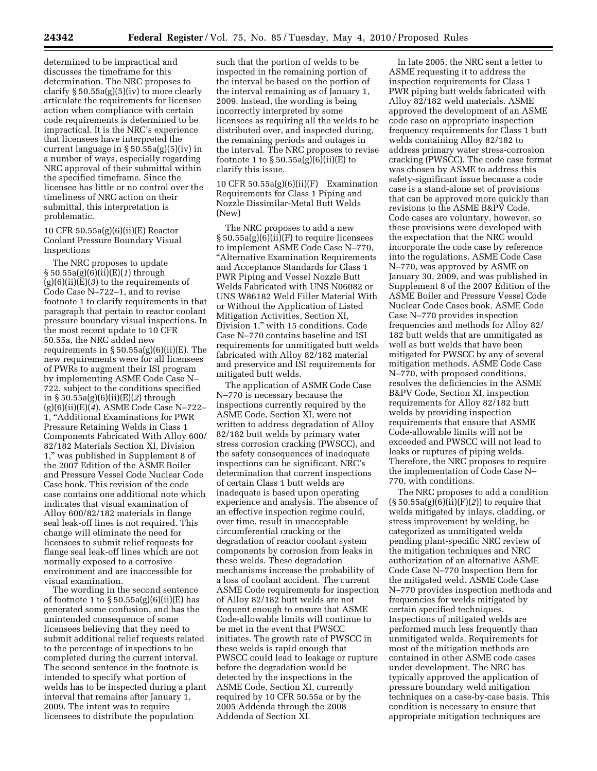determined to be impractical and discusses the timeframe for this determination. The NRC proposes to clarify § 50.55a(g)(5)(iv) to more clearly articulate the requirements for licensee action when compliance with certain code requirements is determined to be impractical. It is the NRC's experience that licensees have interpreted the current language in § 50.55a(g)(5)(iv) in a number of ways, especially regarding NRC approval of their submittal within the specified timeframe. Since the licensee has little or no control over the timeliness of NRC action on their submittal, this interpretation is problematic.

#### 10 CFR 50.55a(g)(6)(ii)(E) Reactor Coolant Pressure Boundary Visual Inspections

The NRC proposes to update § 50.55a(g)(6)(ii)(E)(*1*) through  $(g)(6)(ii)(E)(3)$  to the requirements of Code Case N–722–1, and to revise footnote 1 to clarify requirements in that paragraph that pertain to reactor coolant pressure boundary visual inspections. In the most recent update to 10 CFR 50.55a, the NRC added new requirements in  $\S 50.55a(g)(6)(ii)(E)$ . The new requirements were for all licensees of PWRs to augment their ISI program by implementing ASME Code Case N– 722, subject to the conditions specified in § 50.55a(g)(6)(ii)(E)(*2*) through (g)(6)(ii)(E)(*4*). ASME Code Case N–722– 1, ''Additional Examinations for PWR Pressure Retaining Welds in Class 1 Components Fabricated With Alloy 600/ 82/182 Materials Section XI, Division 1,'' was published in Supplement 8 of the 2007 Edition of the ASME Boiler and Pressure Vessel Code Nuclear Code Case book. This revision of the code case contains one additional note which indicates that visual examination of Alloy 600/82/182 materials in flange seal leak-off lines is not required. This change will eliminate the need for licensees to submit relief requests for flange seal leak-off lines which are not normally exposed to a corrosive environment and are inaccessible for visual examination.

The wording in the second sentence of footnote 1 to  $\S 50.55a(g)(6)(ii)(E)$  has generated some confusion, and has the unintended consequence of some licensees believing that they need to submit additional relief requests related to the percentage of inspections to be completed during the current interval. The second sentence in the footnote is intended to specify what portion of welds has to be inspected during a plant interval that remains after January 1, 2009. The intent was to require licensees to distribute the population

such that the portion of welds to be inspected in the remaining portion of the interval be based on the portion of the interval remaining as of January 1, 2009. Instead, the wording is being incorrectly interpreted by some licensees as requiring all the welds to be distributed over, and inspected during, the remaining periods and outages in the interval. The NRC proposes to revise footnote 1 to  $\S 50.55a(g)(6)(ii)(E)$  to clarify this issue.

10 CFR 50.55a(g)(6)(ii)(F) Examination Requirements for Class 1 Piping and Nozzle Dissimilar-Metal Butt Welds (New)

The NRC proposes to add a new § 50.55a(g)(6)(ii)(F) to require licensees to implement ASME Code Case N–770, ''Alternative Examination Requirements and Acceptance Standards for Class 1 PWR Piping and Vessel Nozzle Butt Welds Fabricated with UNS N06082 or UNS W86182 Weld Filler Material With or Without the Application of Listed Mitigation Activities, Section XI, Division 1,'' with 15 conditions. Code Case N–770 contains baseline and ISI requirements for unmitigated butt welds fabricated with Alloy 82/182 material and preservice and ISI requirements for mitigated butt welds.

The application of ASME Code Case N–770 is necessary because the inspections currently required by the ASME Code, Section XI, were not written to address degradation of Alloy 82/182 butt welds by primary water stress corrosion cracking (PWSCC), and the safety consequences of inadequate inspections can be significant. NRC's determination that current inspections of certain Class 1 butt welds are inadequate is based upon operating experience and analysis. The absence of an effective inspection regime could, over time, result in unacceptable circumferential cracking or the degradation of reactor coolant system components by corrosion from leaks in these welds. These degradation mechanisms increase the probability of a loss of coolant accident. The current ASME Code requirements for inspection of Alloy 82/182 butt welds are not frequent enough to ensure that ASME Code-allowable limits will continue to be met in the event that PWSCC initiates. The growth rate of PWSCC in these welds is rapid enough that PWSCC could lead to leakage or rupture before the degradation would be detected by the inspections in the ASME Code, Section XI, currently required by 10 CFR 50.55a or by the 2005 Addenda through the 2008 Addenda of Section XI.

In late 2005, the NRC sent a letter to ASME requesting it to address the inspection requirements for Class 1 PWR piping butt welds fabricated with Alloy 82/182 weld materials. ASME approved the development of an ASME code case on appropriate inspection frequency requirements for Class 1 butt welds containing Alloy 82/182 to address primary water stress-corrosion cracking (PWSCC). The code case format was chosen by ASME to address this safety-significant issue because a code case is a stand-alone set of provisions that can be approved more quickly than revisions to the ASME B&PV Code. Code cases are voluntary, however, so these provisions were developed with the expectation that the NRC would incorporate the code case by reference into the regulations. ASME Code Case N–770, was approved by ASME on January 30, 2009, and was published in Supplement 8 of the 2007 Edition of the ASME Boiler and Pressure Vessel Code Nuclear Code Cases book. ASME Code Case N–770 provides inspection frequencies and methods for Alloy 82/ 182 butt welds that are unmitigated as well as butt welds that have been mitigated for PWSCC by any of several mitigation methods. ASME Code Case N–770, with proposed conditions, resolves the deficiencies in the ASME B&PV Code, Section XI, inspection requirements for Alloy 82/182 butt welds by providing inspection requirements that ensure that ASME Code-allowable limits will not be exceeded and PWSCC will not lead to leaks or ruptures of piping welds. Therefore, the NRC proposes to require the implementation of Code Case N– 770, with conditions.

The NRC proposes to add a condition (§ 50.55a(g)(6)(ii)(F)(*2*)) to require that welds mitigated by inlays, cladding, or stress improvement by welding, be categorized as unmitigated welds pending plant-specific NRC review of the mitigation techniques and NRC authorization of an alternative ASME Code Case N–770 Inspection Item for the mitigated weld. ASME Code Case N–770 provides inspection methods and frequencies for welds mitigated by certain specified techniques. Inspections of mitigated welds are performed much less frequently than unmitigated welds. Requirements for most of the mitigation methods are contained in other ASME code cases under development. The NRC has typically approved the application of pressure boundary weld mitigation techniques on a case-by-case basis. This condition is necessary to ensure that appropriate mitigation techniques are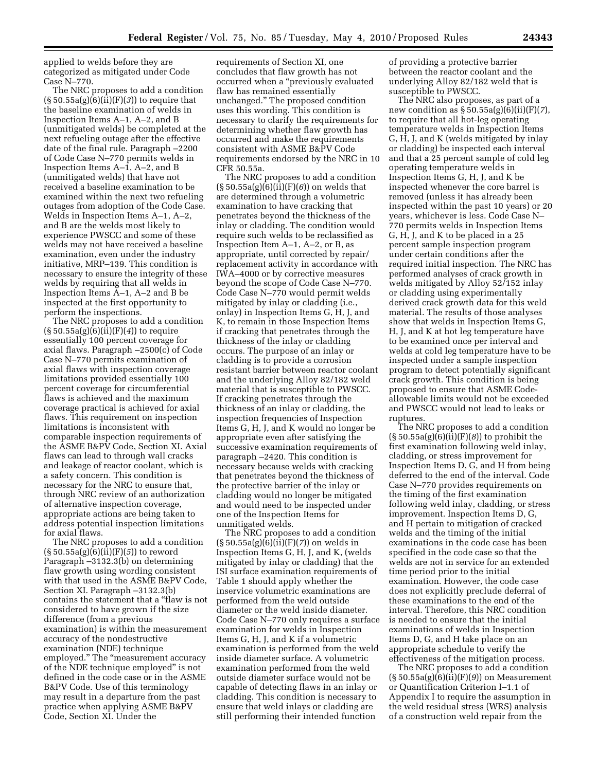applied to welds before they are categorized as mitigated under Code Case N–770.

The NRC proposes to add a condition  $(\S 50.55a(g)(6)(i\hat{i})$  (F)(3)) to require that the baseline examination of welds in Inspection Items A–1, A–2, and B (unmitigated welds) be completed at the next refueling outage after the effective date of the final rule. Paragraph –2200 of Code Case N–770 permits welds in Inspection Items A–1, A–2, and B (unmitigated welds) that have not received a baseline examination to be examined within the next two refueling outages from adoption of the Code Case. Welds in Inspection Items A–1, A–2, and B are the welds most likely to experience PWSCC and some of these welds may not have received a baseline examination, even under the industry initiative, MRP–139. This condition is necessary to ensure the integrity of these welds by requiring that all welds in Inspection Items A–1, A–2 and B be inspected at the first opportunity to perform the inspections.

The NRC proposes to add a condition (§ 50.55a(g)(6)(ii)(F)(*4*)) to require essentially 100 percent coverage for axial flaws. Paragraph –2500(c) of Code Case N–770 permits examination of axial flaws with inspection coverage limitations provided essentially 100 percent coverage for circumferential flaws is achieved and the maximum coverage practical is achieved for axial flaws. This requirement on inspection limitations is inconsistent with comparable inspection requirements of the ASME B&PV Code, Section XI. Axial flaws can lead to through wall cracks and leakage of reactor coolant, which is a safety concern. This condition is necessary for the NRC to ensure that, through NRC review of an authorization of alternative inspection coverage, appropriate actions are being taken to address potential inspection limitations for axial flaws.

The NRC proposes to add a condition (§ 50.55a(g)(6)(ii)(F)(*5*)) to reword Paragraph –3132.3(b) on determining flaw growth using wording consistent with that used in the ASME B&PV Code, Section XI. Paragraph –3132.3(b) contains the statement that a ''flaw is not considered to have grown if the size difference (from a previous examination) is within the measurement accuracy of the nondestructive examination (NDE) technique employed." The "measurement accuracy of the NDE technique employed'' is not defined in the code case or in the ASME B&PV Code. Use of this terminology may result in a departure from the past practice when applying ASME B&PV Code, Section XI. Under the

requirements of Section XI, one concludes that flaw growth has not occurred when a ''previously evaluated flaw has remained essentially unchanged.'' The proposed condition uses this wording. This condition is necessary to clarify the requirements for determining whether flaw growth has occurred and make the requirements consistent with ASME B&PV Code requirements endorsed by the NRC in 10 CFR 50.55a.

The NRC proposes to add a condition (§ 50.55a(g)(6)(ii)(F)(*6*)) on welds that are determined through a volumetric examination to have cracking that penetrates beyond the thickness of the inlay or cladding. The condition would require such welds to be reclassified as Inspection Item A–1, A–2, or B, as appropriate, until corrected by repair/ replacement activity in accordance with IWA–4000 or by corrective measures beyond the scope of Code Case N–770. Code Case N–770 would permit welds mitigated by inlay or cladding (i.e., onlay) in Inspection Items G, H, J, and K, to remain in those Inspection Items if cracking that penetrates through the thickness of the inlay or cladding occurs. The purpose of an inlay or cladding is to provide a corrosion resistant barrier between reactor coolant and the underlying Alloy 82/182 weld material that is susceptible to PWSCC. If cracking penetrates through the thickness of an inlay or cladding, the inspection frequencies of Inspection Items G, H, J, and K would no longer be appropriate even after satisfying the successive examination requirements of paragraph –2420. This condition is necessary because welds with cracking that penetrates beyond the thickness of the protective barrier of the inlay or cladding would no longer be mitigated and would need to be inspected under one of the Inspection Items for unmitigated welds.

The NRC proposes to add a condition (§ 50.55a(g)(6)(ii)(F)(*7*)) on welds in Inspection Items G, H, J, and K, (welds mitigated by inlay or cladding) that the ISI surface examination requirements of Table 1 should apply whether the inservice volumetric examinations are performed from the weld outside diameter or the weld inside diameter. Code Case N–770 only requires a surface examination for welds in Inspection Items G, H, J, and K if a volumetric examination is performed from the weld inside diameter surface. A volumetric examination performed from the weld outside diameter surface would not be capable of detecting flaws in an inlay or cladding. This condition is necessary to ensure that weld inlays or cladding are still performing their intended function

of providing a protective barrier between the reactor coolant and the underlying Alloy 82/182 weld that is susceptible to PWSCC.

The NRC also proposes, as part of a new condition as § 50.55a(g)(6)(ii)(F)(*7*), to require that all hot-leg operating temperature welds in Inspection Items G, H, J, and K (welds mitigated by inlay or cladding) be inspected each interval and that a 25 percent sample of cold leg operating temperature welds in Inspection Items G, H, J, and K be inspected whenever the core barrel is removed (unless it has already been inspected within the past 10 years) or 20 years, whichever is less. Code Case N– 770 permits welds in Inspection Items G, H, J, and K to be placed in a 25 percent sample inspection program under certain conditions after the required initial inspection. The NRC has performed analyses of crack growth in welds mitigated by Alloy 52/152 inlay or cladding using experimentally derived crack growth data for this weld material. The results of those analyses show that welds in Inspection Items G, H, J, and K at hot leg temperature have to be examined once per interval and welds at cold leg temperature have to be inspected under a sample inspection program to detect potentially significant crack growth. This condition is being proposed to ensure that ASME Codeallowable limits would not be exceeded and PWSCC would not lead to leaks or ruptures.

The NRC proposes to add a condition (§ 50.55a(g)(6)(ii)(F)(*8*)) to prohibit the first examination following weld inlay, cladding, or stress improvement for Inspection Items D, G, and H from being deferred to the end of the interval. Code Case N–770 provides requirements on the timing of the first examination following weld inlay, cladding, or stress improvement. Inspection Items D, G, and H pertain to mitigation of cracked welds and the timing of the initial examinations in the code case has been specified in the code case so that the welds are not in service for an extended time period prior to the initial examination. However, the code case does not explicitly preclude deferral of these examinations to the end of the interval. Therefore, this NRC condition is needed to ensure that the initial examinations of welds in Inspection Items D, G, and H take place on an appropriate schedule to verify the effectiveness of the mitigation process.

The NRC proposes to add a condition (§ 50.55a(g)(6)(ii)(F)(*9*)) on Measurement or Quantification Criterion I–1.1 of Appendix I to require the assumption in the weld residual stress (WRS) analysis of a construction weld repair from the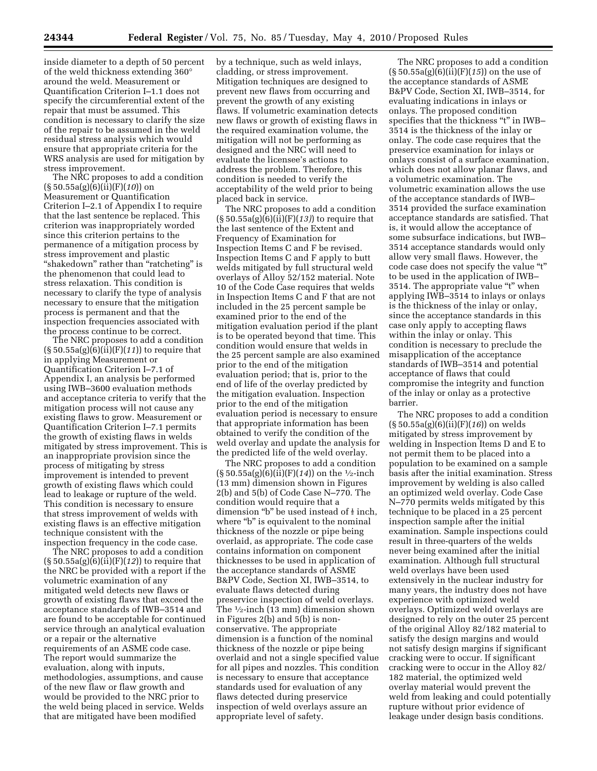inside diameter to a depth of 50 percent of the weld thickness extending 360° around the weld. Measurement or Quantification Criterion I–1.1 does not specify the circumferential extent of the repair that must be assumed. This condition is necessary to clarify the size of the repair to be assumed in the weld residual stress analysis which would ensure that appropriate criteria for the WRS analysis are used for mitigation by stress improvement.

The NRC proposes to add a condition (§ 50.55a(g)(6)(ii)(F)(*10*)) on Measurement or Quantification Criterion I–2.1 of Appendix I to require that the last sentence be replaced. This criterion was inappropriately worded since this criterion pertains to the permanence of a mitigation process by stress improvement and plastic ''shakedown'' rather than ''ratcheting'' is the phenomenon that could lead to stress relaxation. This condition is necessary to clarify the type of analysis necessary to ensure that the mitigation process is permanent and that the inspection frequencies associated with the process continue to be correct.

The NRC proposes to add a condition (§ 50.55a(g)(6)(ii)(F)(*11*)) to require that in applying Measurement or Quantification Criterion I–7.1 of Appendix I, an analysis be performed using IWB–3600 evaluation methods and acceptance criteria to verify that the mitigation process will not cause any existing flaws to grow. Measurement or Quantification Criterion I–7.1 permits the growth of existing flaws in welds mitigated by stress improvement. This is an inappropriate provision since the process of mitigating by stress improvement is intended to prevent growth of existing flaws which could lead to leakage or rupture of the weld. This condition is necessary to ensure that stress improvement of welds with existing flaws is an effective mitigation technique consistent with the inspection frequency in the code case.

The NRC proposes to add a condition (§ 50.55a(g)(6)(ii)(F)(*12*)) to require that the NRC be provided with a report if the volumetric examination of any mitigated weld detects new flaws or growth of existing flaws that exceed the acceptance standards of IWB–3514 and are found to be acceptable for continued service through an analytical evaluation or a repair or the alternative requirements of an ASME code case. The report would summarize the evaluation, along with inputs, methodologies, assumptions, and cause of the new flaw or flaw growth and would be provided to the NRC prior to the weld being placed in service. Welds that are mitigated have been modified

by a technique, such as weld inlays, cladding, or stress improvement. Mitigation techniques are designed to prevent new flaws from occurring and prevent the growth of any existing flaws. If volumetric examination detects new flaws or growth of existing flaws in the required examination volume, the mitigation will not be performing as designed and the NRC will need to evaluate the licensee's actions to address the problem. Therefore, this condition is needed to verify the acceptability of the weld prior to being placed back in service.

The NRC proposes to add a condition (§ 50.55a(g)(6)(ii)(F)(*13)*) to require that the last sentence of the Extent and Frequency of Examination for Inspection Items C and F be revised. Inspection Items C and F apply to butt welds mitigated by full structural weld overlays of Alloy 52/152 material. Note 10 of the Code Case requires that welds in Inspection Items C and F that are not included in the 25 percent sample be examined prior to the end of the mitigation evaluation period if the plant is to be operated beyond that time. This condition would ensure that welds in the 25 percent sample are also examined prior to the end of the mitigation evaluation period; that is, prior to the end of life of the overlay predicted by the mitigation evaluation. Inspection prior to the end of the mitigation evaluation period is necessary to ensure that appropriate information has been obtained to verify the condition of the weld overlay and update the analysis for the predicted life of the weld overlay.

The NRC proposes to add a condition (§ 50.55a(g)(6)(ii)(F)(*14*)) on the 1⁄2-inch (13 mm) dimension shown in Figures 2(b) and 5(b) of Code Case N–770. The condition would require that a dimension "b" be used instead of  $\frac{1}{2}$  inch, where "b" is equivalent to the nominal thickness of the nozzle or pipe being overlaid, as appropriate. The code case contains information on component thicknesses to be used in application of the acceptance standards of ASME B&PV Code, Section XI, IWB–3514, to evaluate flaws detected during preservice inspection of weld overlays. The  $\frac{1}{2}$ -inch (13 mm) dimension shown in Figures 2(b) and 5(b) is nonconservative. The appropriate dimension is a function of the nominal thickness of the nozzle or pipe being overlaid and not a single specified value for all pipes and nozzles. This condition is necessary to ensure that acceptance standards used for evaluation of any flaws detected during preservice inspection of weld overlays assure an appropriate level of safety.

The NRC proposes to add a condition (§ 50.55a(g)(6)(ii)(F)(*15*)) on the use of the acceptance standards of ASME B&PV Code, Section XI, IWB–3514, for evaluating indications in inlays or onlays. The proposed condition specifies that the thickness "t" in IWB-3514 is the thickness of the inlay or onlay. The code case requires that the preservice examination for inlays or onlays consist of a surface examination, which does not allow planar flaws, and a volumetric examination. The volumetric examination allows the use of the acceptance standards of IWB– 3514 provided the surface examination acceptance standards are satisfied. That is, it would allow the acceptance of some subsurface indications, but IWB– 3514 acceptance standards would only allow very small flaws. However, the code case does not specify the value "t" to be used in the application of IWB– 3514. The appropriate value "t" when applying IWB–3514 to inlays or onlays is the thickness of the inlay or onlay, since the acceptance standards in this case only apply to accepting flaws within the inlay or onlay. This condition is necessary to preclude the misapplication of the acceptance standards of IWB–3514 and potential acceptance of flaws that could compromise the integrity and function of the inlay or onlay as a protective barrier.

The NRC proposes to add a condition (§ 50.55a(g)(6)(ii)(F)(*16*)) on welds mitigated by stress improvement by welding in Inspection Items D and E to not permit them to be placed into a population to be examined on a sample basis after the initial examination. Stress improvement by welding is also called an optimized weld overlay. Code Case N–770 permits welds mitigated by this technique to be placed in a 25 percent inspection sample after the initial examination. Sample inspections could result in three-quarters of the welds never being examined after the initial examination. Although full structural weld overlays have been used extensively in the nuclear industry for many years, the industry does not have experience with optimized weld overlays. Optimized weld overlays are designed to rely on the outer 25 percent of the original Alloy 82/182 material to satisfy the design margins and would not satisfy design margins if significant cracking were to occur. If significant cracking were to occur in the Alloy 82/ 182 material, the optimized weld overlay material would prevent the weld from leaking and could potentially rupture without prior evidence of leakage under design basis conditions.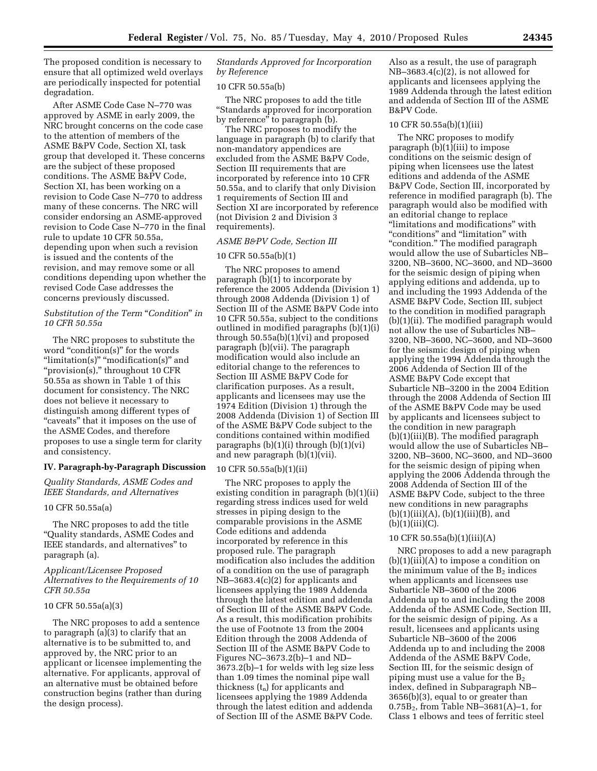The proposed condition is necessary to ensure that all optimized weld overlays are periodically inspected for potential degradation.

After ASME Code Case N–770 was approved by ASME in early 2009, the NRC brought concerns on the code case to the attention of members of the ASME B&PV Code, Section XI, task group that developed it. These concerns are the subject of these proposed conditions. The ASME B&PV Code, Section XI, has been working on a revision to Code Case N–770 to address many of these concerns. The NRC will consider endorsing an ASME-approved revision to Code Case N–770 in the final rule to update 10 CFR 50.55a, depending upon when such a revision is issued and the contents of the revision, and may remove some or all conditions depending upon whether the revised Code Case addresses the concerns previously discussed.

# *Substitution of the Term* "*Condition*" *in 10 CFR 50.55a*

The NRC proposes to substitute the word "condition(s)" for the words "limitation(s)" "modification(s)" and "provision(s)," throughout 10 CFR 50.55a as shown in Table 1 of this document for consistency. The NRC does not believe it necessary to distinguish among different types of "caveats" that it imposes on the use of the ASME Codes, and therefore proposes to use a single term for clarity and consistency.

#### **IV. Paragraph-by-Paragraph Discussion**

*Quality Standards, ASME Codes and IEEE Standards, and Alternatives* 

#### 10 CFR 50.55a(a)

The NRC proposes to add the title ''Quality standards, ASME Codes and IEEE standards, and alternatives'' to paragraph (a).

#### *Applicant/Licensee Proposed Alternatives to the Requirements of 10 CFR 50.55a*

#### 10 CFR 50.55a(a)(3)

The NRC proposes to add a sentence to paragraph (a)(3) to clarify that an alternative is to be submitted to, and approved by, the NRC prior to an applicant or licensee implementing the alternative. For applicants, approval of an alternative must be obtained before construction begins (rather than during the design process).

#### *Standards Approved for Incorporation by Reference*

#### 10 CFR 50.55a(b)

The NRC proposes to add the title ''Standards approved for incorporation by reference'' to paragraph (b).

The NRC proposes to modify the language in paragraph (b) to clarify that non-mandatory appendices are excluded from the ASME B&PV Code, Section III requirements that are incorporated by reference into 10 CFR 50.55a, and to clarify that only Division 1 requirements of Section III and Section XI are incorporated by reference (not Division 2 and Division 3 requirements).

# *ASME B&PV Code, Section III*

#### 10 CFR 50.55a(b)(1)

The NRC proposes to amend paragraph (b)(1) to incorporate by reference the 2005 Addenda (Division 1) through 2008 Addenda (Division 1) of Section III of the ASME B&PV Code into 10 CFR 50.55a, subject to the conditions outlined in modified paragraphs (b)(1)(i) through 50.55a(b)(1)(vi) and proposed paragraph (b)(vii). The paragraph modification would also include an editorial change to the references to Section III ASME B&PV Code for clarification purposes. As a result, applicants and licensees may use the 1974 Edition (Division 1) through the 2008 Addenda (Division 1) of Section III of the ASME B&PV Code subject to the conditions contained within modified paragraphs  $(b)(1)(i)$  through  $(b)(1)(vi)$ and new paragraph (b)(1)(vii).

#### 10 CFR 50.55a(b)(1)(ii)

The NRC proposes to apply the existing condition in paragraph (b)(1)(ii) regarding stress indices used for weld stresses in piping design to the comparable provisions in the ASME Code editions and addenda incorporated by reference in this proposed rule. The paragraph modification also includes the addition of a condition on the use of paragraph NB–3683.4(c)(2) for applicants and licensees applying the 1989 Addenda through the latest edition and addenda of Section III of the ASME B&PV Code. As a result, this modification prohibits the use of Footnote 13 from the 2004 Edition through the 2008 Addenda of Section III of the ASME B&PV Code to Figures NC–3673.2(b)–1 and ND– 3673.2(b)–1 for welds with leg size less than 1.09 times the nominal pipe wall thickness  $(t_n)$  for applicants and licensees applying the 1989 Addenda through the latest edition and addenda of Section III of the ASME B&PV Code.

Also as a result, the use of paragraph NB–3683.4(c)(2), is not allowed for applicants and licensees applying the 1989 Addenda through the latest edition and addenda of Section III of the ASME B&PV Code.

#### 10 CFR 50.55a(b)(1)(iii)

The NRC proposes to modify paragraph (b)(1)(iii) to impose conditions on the seismic design of piping when licensees use the latest editions and addenda of the ASME B&PV Code, Section III, incorporated by reference in modified paragraph (b). The paragraph would also be modified with an editorial change to replace "limitations and modifications" with "conditions" and "limitation" with "condition." The modified paragraph would allow the use of Subarticles NB– 3200, NB–3600, NC–3600, and ND–3600 for the seismic design of piping when applying editions and addenda, up to and including the 1993 Addenda of the ASME B&PV Code, Section III, subject to the condition in modified paragraph (b)(1)(ii). The modified paragraph would not allow the use of Subarticles NB– 3200, NB–3600, NC–3600, and ND–3600 for the seismic design of piping when applying the 1994 Addenda through the 2006 Addenda of Section III of the ASME B&PV Code except that Subarticle NB–3200 in the 2004 Edition through the 2008 Addenda of Section III of the ASME B&PV Code may be used by applicants and licensees subject to the condition in new paragraph (b)(1)(iii)(B). The modified paragraph would allow the use of Subarticles NB– 3200, NB–3600, NC–3600, and ND–3600 for the seismic design of piping when applying the 2006 Addenda through the 2008 Addenda of Section III of the ASME B&PV Code, subject to the three new conditions in new paragraphs  $(b)(1)(iii)(A), (b)(1)(iii)(B), and$  $(b)(1)(iii)(C).$ 

#### 10 CFR 50.55a(b)(1)(iii)(A)

NRC proposes to add a new paragraph  $(b)(1)(iii)(A)$  to impose a condition on the minimum value of the  $B_2$  indices when applicants and licensees use Subarticle NB–3600 of the 2006 Addenda up to and including the 2008 Addenda of the ASME Code, Section III, for the seismic design of piping. As a result, licensees and applicants using Subarticle NB–3600 of the 2006 Addenda up to and including the 2008 Addenda of the ASME B&PV Code, Section III, for the seismic design of piping must use a value for the  $B_2$ index, defined in Subparagraph NB– 3656(b)(3), equal to or greater than  $0.75B<sub>2</sub>$ , from Table NB-3681(A)-1, for Class 1 elbows and tees of ferritic steel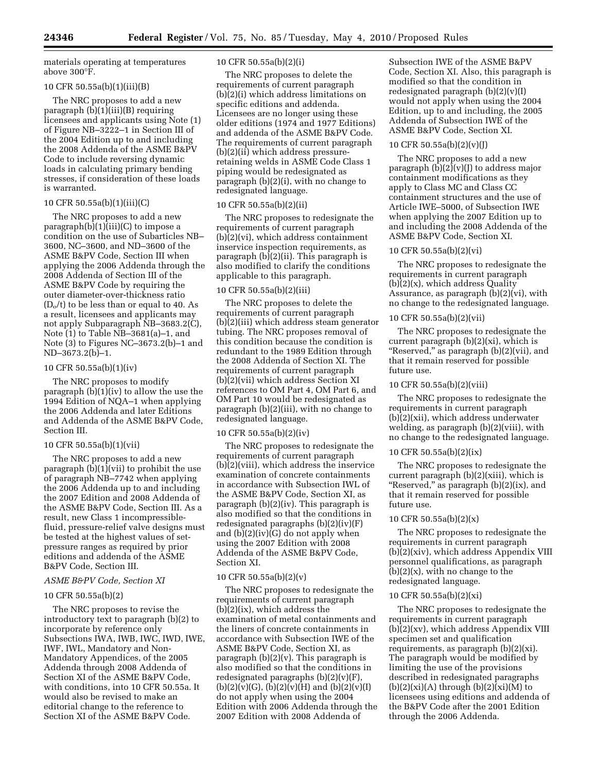materials operating at temperatures above 300°F.

#### 10 CFR 50.55a(b)(1)(iii)(B)

The NRC proposes to add a new paragraph  $(b)(1)(iii)(B)$  requiring licensees and applicants using Note (1) of Figure NB–3222–1 in Section III of the 2004 Edition up to and including the 2008 Addenda of the ASME B&PV Code to include reversing dynamic loads in calculating primary bending stresses, if consideration of these loads is warranted.

#### 10 CFR 50.55a(b)(1)(iii)(C)

The NRC proposes to add a new paragraph $(b)(1)(iii)(C)$  to impose a condition on the use of Subarticles NB– 3600, NC–3600, and ND–3600 of the ASME B&PV Code, Section III when applying the 2006 Addenda through the 2008 Addenda of Section III of the ASME B&PV Code by requiring the outer diameter-over-thickness ratio  $(D<sub>o</sub>/t)$  to be less than or equal to 40. As a result, licensees and applicants may not apply Subparagraph NB–3683.2(C), Note (1) to Table NB–3681(a)–1, and Note (3) to Figures NC–3673.2(b)–1 and ND–3673.2(b)–1.

#### 10 CFR 50.55a(b)(1)(iv)

The NRC proposes to modify paragraph (b)(1)(iv) to allow the use the 1994 Edition of NQA–1 when applying the 2006 Addenda and later Editions and Addenda of the ASME B&PV Code, Section III.

# 10 CFR 50.55a(b)(1)(vii)

The NRC proposes to add a new paragraph (b)(1)(vii) to prohibit the use of paragraph NB–7742 when applying the 2006 Addenda up to and including the 2007 Edition and 2008 Addenda of the ASME B&PV Code, Section III. As a result, new Class 1 incompressiblefluid, pressure-relief valve designs must be tested at the highest values of setpressure ranges as required by prior editions and addenda of the ASME B&PV Code, Section III.

#### *ASME B&PV Code, Section XI*

#### 10 CFR 50.55a(b)(2)

The NRC proposes to revise the introductory text to paragraph (b)(2) to incorporate by reference only Subsections IWA, IWB, IWC, IWD, IWE, IWF, IWL, Mandatory and Non-Mandatory Appendices, of the 2005 Addenda through 2008 Addenda of Section XI of the ASME B&PV Code, with conditions, into 10 CFR 50.55a. It would also be revised to make an editorial change to the reference to Section XI of the ASME B&PV Code.

#### 10 CFR 50.55a(b)(2)(i)

The NRC proposes to delete the requirements of current paragraph (b)(2)(i) which address limitations on specific editions and addenda. Licensees are no longer using these older editions (1974 and 1977 Editions) and addenda of the ASME B&PV Code. The requirements of current paragraph (b)(2)(ii) which address pressureretaining welds in ASME Code Class 1 piping would be redesignated as paragraph (b)(2)(i), with no change to redesignated language.

#### 10 CFR 50.55a(b)(2)(ii)

The NRC proposes to redesignate the requirements of current paragraph (b)(2)(vi), which address containment inservice inspection requirements, as paragraph  $(b)(2)(ii)$ . This paragraph is also modified to clarify the conditions applicable to this paragraph.

#### 10 CFR 50.55a(b)(2)(iii)

The NRC proposes to delete the requirements of current paragraph (b)(2)(iii) which address steam generator tubing. The NRC proposes removal of this condition because the condition is redundant to the 1989 Edition through the 2008 Addenda of Section XI. The requirements of current paragraph (b)(2)(vii) which address Section XI references to OM Part 4, OM Part 6, and OM Part 10 would be redesignated as paragraph (b)(2)(iii), with no change to redesignated language.

#### 10 CFR 50.55a(b)(2)(iv)

The NRC proposes to redesignate the requirements of current paragraph (b)(2)(viii), which address the inservice examination of concrete containments in accordance with Subsection IWL of the ASME B&PV Code, Section XI, as paragraph (b)(2)(iv). This paragraph is also modified so that the conditions in redesignated paragraphs  $(b)(2)(iv)(F)$ and (b)(2)(iv)(G) do not apply when using the 2007 Edition with 2008 Addenda of the ASME B&PV Code, Section XI.

#### 10 CFR 50.55a(b)(2)(v)

The NRC proposes to redesignate the requirements of current paragraph  $(b)(2)(ix)$ , which address the examination of metal containments and the liners of concrete containments in accordance with Subsection IWE of the ASME B&PV Code, Section XI, as paragraph  $(b)(2)(v)$ . This paragraph is also modified so that the conditions in redesignated paragraphs  $(b)(2)(v)(F)$  $(b)(2)(v)(G), (b)(2)(v)(H)$  and  $(b)(2)(v)(I)$ do not apply when using the 2004 Edition with 2006 Addenda through the 2007 Edition with 2008 Addenda of

Subsection IWE of the ASME B&PV Code, Section XI. Also, this paragraph is modified so that the condition in redesignated paragraph  $(b)(2)(v)(I)$ would not apply when using the 2004 Edition, up to and including, the 2005 Addenda of Subsection IWE of the ASME B&PV Code, Section XI.

#### 10 CFR 50.55a(b)(2)(v)(J)

The NRC proposes to add a new paragraph  $(b)(2)(v)(J)$  to address major containment modifications as they apply to Class MC and Class CC containment structures and the use of Article IWE–5000, of Subsection IWE when applying the 2007 Edition up to and including the 2008 Addenda of the ASME B&PV Code, Section XI.

#### 10 CFR 50.55a(b)(2)(vi)

The NRC proposes to redesignate the requirements in current paragraph (b)(2)(x), which address Quality Assurance, as paragraph  $(b)(2)(vi)$ , with no change to the redesignated language.

#### 10 CFR 50.55a(b)(2)(vii)

The NRC proposes to redesignate the current paragraph (b)(2)(xi), which is "Reserved," as paragraph (b)(2)(vii), and that it remain reserved for possible future use.

#### 10 CFR 50.55a(b)(2)(viii)

The NRC proposes to redesignate the requirements in current paragraph (b)(2)(xii), which address underwater welding, as paragraph (b)(2)(viii), with no change to the redesignated language.

#### 10 CFR 50.55a(b)(2)(ix)

The NRC proposes to redesignate the current paragraph (b)(2)(xiii), which is ''Reserved,'' as paragraph (b)(2)(ix), and that it remain reserved for possible future use.

#### 10 CFR 50.55a(b)(2)(x)

The NRC proposes to redesignate the requirements in current paragraph (b)(2)(xiv), which address Appendix VIII personnel qualifications, as paragraph  $(b)(2)(x)$ , with no change to the redesignated language.

#### 10 CFR 50.55a(b)(2)(xi)

The NRC proposes to redesignate the requirements in current paragraph (b)(2)(xv), which address Appendix VIII specimen set and qualification requirements, as paragraph (b)(2)(xi). The paragraph would be modified by limiting the use of the provisions described in redesignated paragraphs  $(b)(2)(xi)(A)$  through  $(b)(2)(xi)(M)$  to licensees using editions and addenda of the B&PV Code after the 2001 Edition through the 2006 Addenda.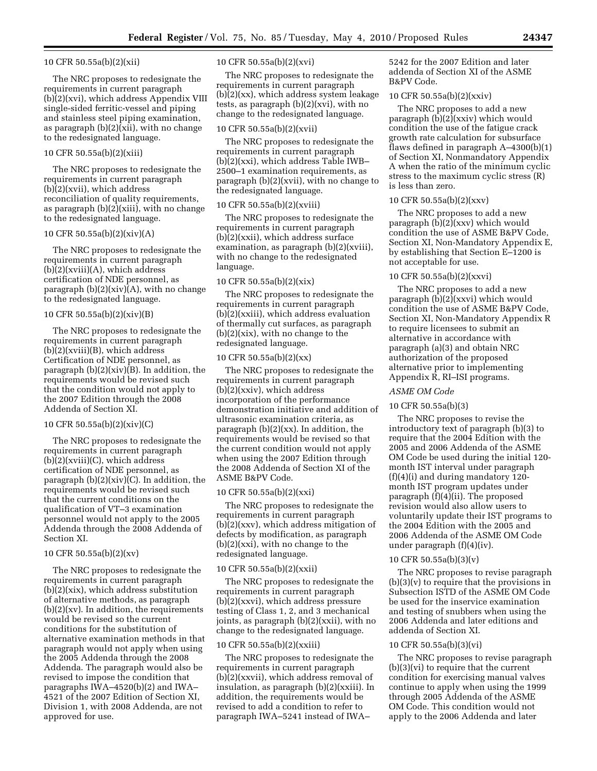#### 10 CFR 50.55a(b)(2)(xii)

The NRC proposes to redesignate the requirements in current paragraph (b)(2)(xvi), which address Appendix VIII single-sided ferritic-vessel and piping and stainless steel piping examination, as paragraph (b)(2)(xii), with no change to the redesignated language.

#### 10 CFR 50.55a(b)(2)(xiii)

The NRC proposes to redesignate the requirements in current paragraph (b)(2)(xvii), which address reconciliation of quality requirements, as paragraph (b)(2)(xiii), with no change to the redesignated language.

#### 10 CFR 50.55a(b)(2)(xiv)(A)

The NRC proposes to redesignate the requirements in current paragraph (b)(2)(xviii)(A), which address certification of NDE personnel, as paragraph (b)(2)(xiv)(A), with no change to the redesignated language.

#### 10 CFR 50.55a(b)(2)(xiv)(B)

The NRC proposes to redesignate the requirements in current paragraph (b)(2)(xviii)(B), which address Certification of NDE personnel, as paragraph  $(b)(2)(xiv)(B)$ . In addition, the requirements would be revised such that the condition would not apply to the 2007 Edition through the 2008 Addenda of Section XI.

#### 10 CFR 50.55a(b)(2)(xiv)(C)

The NRC proposes to redesignate the requirements in current paragraph  $(b)(2)(xviii)(C)$ , which address certification of NDE personnel, as paragraph  $(b)(2)(xiv)(C)$ . In addition, the requirements would be revised such that the current conditions on the qualification of VT–3 examination personnel would not apply to the 2005 Addenda through the 2008 Addenda of Section XI.

#### 10 CFR 50.55a(b)(2)(xv)

The NRC proposes to redesignate the requirements in current paragraph (b)(2)(xix), which address substitution of alternative methods, as paragraph  $(b)(2)(xy)$ . In addition, the requirements would be revised so the current conditions for the substitution of alternative examination methods in that paragraph would not apply when using the 2005 Addenda through the 2008 Addenda. The paragraph would also be revised to impose the condition that paragraphs IWA–4520(b)(2) and IWA– 4521 of the 2007 Edition of Section XI, Division 1, with 2008 Addenda, are not approved for use.

#### 10 CFR 50.55a(b)(2)(xvi)

The NRC proposes to redesignate the requirements in current paragraph  $(b)(2)(xx)$ , which address system leakage tests, as paragraph (b)(2)(xvi), with no change to the redesignated language.

#### 10 CFR 50.55a(b)(2)(xvii)

The NRC proposes to redesignate the requirements in current paragraph (b)(2)(xxi), which address Table IWB– 2500–1 examination requirements, as paragraph (b)(2)(xvii), with no change to the redesignated language.

#### 10 CFR 50.55a(b)(2)(xviii)

The NRC proposes to redesignate the requirements in current paragraph (b)(2)(xxii), which address surface examination, as paragraph (b)(2)(xviii), with no change to the redesignated language.

#### 10 CFR 50.55a(b)(2)(xix)

The NRC proposes to redesignate the requirements in current paragraph (b)(2)(xxiii), which address evaluation of thermally cut surfaces, as paragraph  $(b)(2)(\text{six})$ , with no change to the redesignated language.

# 10 CFR 50.55a(b)(2)(xx)

The NRC proposes to redesignate the requirements in current paragraph (b)(2)(xxiv), which address incorporation of the performance demonstration initiative and addition of ultrasonic examination criteria, as paragraph (b)(2)(xx). In addition, the requirements would be revised so that the current condition would not apply when using the 2007 Edition through the 2008 Addenda of Section XI of the ASME B&PV Code.

#### 10 CFR 50.55a(b)(2)(xxi)

The NRC proposes to redesignate the requirements in current paragraph (b)(2)(xxv), which address mitigation of defects by modification, as paragraph  $(b)(2)(xxi)$ , with no change to the redesignated language.

#### 10 CFR 50.55a(b)(2)(xxii)

The NRC proposes to redesignate the requirements in current paragraph (b)(2)(xxvi), which address pressure testing of Class 1, 2, and 3 mechanical joints, as paragraph (b)(2)(xxii), with no change to the redesignated language.

#### 10 CFR 50.55a(b)(2)(xxiii)

The NRC proposes to redesignate the requirements in current paragraph (b)(2)(xxvii), which address removal of insulation, as paragraph (b)(2)(xxiii). In addition, the requirements would be revised to add a condition to refer to paragraph IWA–5241 instead of IWA–

5242 for the 2007 Edition and later addenda of Section XI of the ASME B&PV Code.

# 10 CFR 50.55a(b)(2)(xxiv)

The NRC proposes to add a new paragraph  $(b)(2)(xxiv)$  which would condition the use of the fatigue crack growth rate calculation for subsurface flaws defined in paragraph A–4300(b)(1) of Section XI, Nonmandatory Appendix A when the ratio of the minimum cyclic stress to the maximum cyclic stress (R) is less than zero.

#### 10 CFR 50.55a(b)(2)(xxv)

The NRC proposes to add a new paragraph  $(b)(2)(xxx)$  which would condition the use of ASME B&PV Code, Section XI, Non-Mandatory Appendix E, by establishing that Section E–1200 is not acceptable for use.

#### 10 CFR 50.55a(b)(2)(xxvi)

The NRC proposes to add a new paragraph  $(b)(2)(xxx)$  which would condition the use of ASME B&PV Code, Section XI, Non-Mandatory Appendix R to require licensees to submit an alternative in accordance with paragraph (a)(3) and obtain NRC authorization of the proposed alternative prior to implementing Appendix R, RI–ISI programs.

#### *ASME OM Code*

## 10 CFR 50.55a(b)(3)

The NRC proposes to revise the introductory text of paragraph (b)(3) to require that the 2004 Edition with the 2005 and 2006 Addenda of the ASME OM Code be used during the initial 120 month IST interval under paragraph (f)(4)(i) and during mandatory 120 month IST program updates under paragraph  $(\bar{f})(4)(i)$ . The proposed revision would also allow users to voluntarily update their IST programs to the 2004 Edition with the 2005 and 2006 Addenda of the ASME OM Code under paragraph (f)(4)(iv).

#### 10 CFR 50.55a(b)(3)(v)

The NRC proposes to revise paragraph (b)(3)(v) to require that the provisions in Subsection ISTD of the ASME OM Code be used for the inservice examination and testing of snubbers when using the 2006 Addenda and later editions and addenda of Section XI.

#### 10 CFR 50.55a(b)(3)(vi)

The NRC proposes to revise paragraph (b)(3)(vi) to require that the current condition for exercising manual valves continue to apply when using the 1999 through 2005 Addenda of the ASME OM Code. This condition would not apply to the 2006 Addenda and later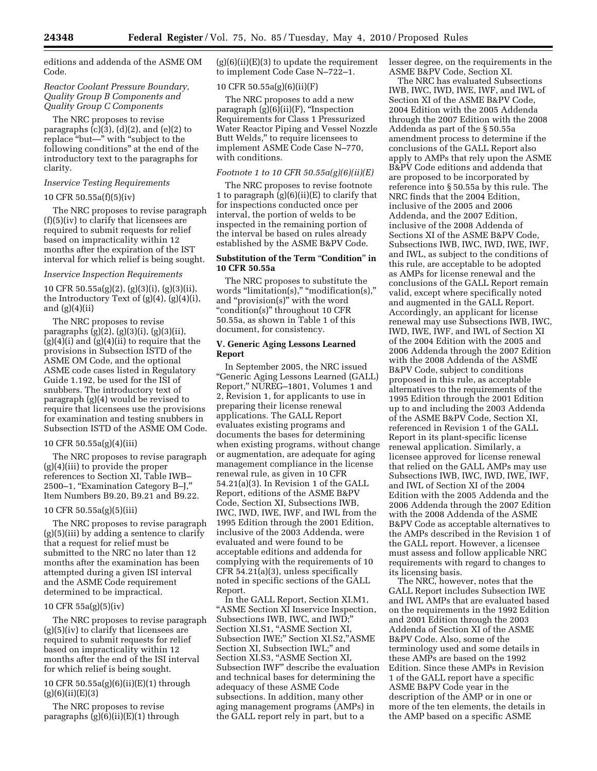editions and addenda of the ASME OM Code.

#### *Reactor Coolant Pressure Boundary, Quality Group B Components and Quality Group C Components*

The NRC proposes to revise paragraphs (c)(3), (d)(2), and (e)(2) to replace ''but—'' with ''subject to the following conditions'' at the end of the introductory text to the paragraphs for clarity.

#### *Inservice Testing Requirements*

#### 10 CFR 50.55a(f)(5)(iv)

The NRC proposes to revise paragraph (f)(5)(iv) to clarify that licensees are required to submit requests for relief based on impracticality within 12 months after the expiration of the IST interval for which relief is being sought.

#### *Inservice Inspection Requirements*

10 CFR 50.55a(g)(2), (g)(3)(i), (g)(3)(ii), the Introductory Text of (g)(4), (g)(4)(i), and  $(g)(4)(ii)$ 

The NRC proposes to revise paragraphs (g)(2), (g)(3)(i), (g)(3)(ii),  $(g)(4)(i)$  and  $(g)(4)(ii)$  to require that the provisions in Subsection ISTD of the ASME OM Code, and the optional ASME code cases listed in Regulatory Guide 1.192, be used for the ISI of snubbers. The introductory text of paragraph (g)(4) would be revised to require that licensees use the provisions for examination and testing snubbers in Subsection ISTD of the ASME OM Code.

#### 10 CFR 50.55a(g)(4)(iii)

The NRC proposes to revise paragraph (g)(4)(iii) to provide the proper references to Section XI, Table IWB– 2500–1, ''Examination Category B–J,'' Item Numbers B9.20, B9.21 and B9.22.

#### 10 CFR 50.55a(g)(5)(iii)

The NRC proposes to revise paragraph (g)(5)(iii) by adding a sentence to clarify that a request for relief must be submitted to the NRC no later than 12 months after the examination has been attempted during a given ISI interval and the ASME Code requirement determined to be impractical.

#### 10 CFR 55a(g)(5)(iv)

The NRC proposes to revise paragraph  $(g)(5)(iv)$  to clarify that licensees are required to submit requests for relief based on impracticality within 12 months after the end of the ISI interval for which relief is being sought.

10 CFR 50.55a(g)(6)(ii)(E)(1) through  $(g)(6)(ii)(E)(3)$ 

The NRC proposes to revise paragraphs  $(g)(6)(ii)(E)(1)$  through  $(g)(6)(ii)(E)(3)$  to update the requirement to implement Code Case N–722–1.

# 10 CFR 50.55a(g)(6)(ii)(F)

The NRC proposes to add a new paragraph  $(g)(6)(ii)(F)$ , "Inspection Requirements for Class 1 Pressurized Water Reactor Piping and Vessel Nozzle Butt Welds,'' to require licensees to implement ASME Code Case N–770, with conditions.

#### *Footnote 1 to 10 CFR 50.55a(g)(6)(ii)(E)*

The NRC proposes to revise footnote 1 to paragraph  $(g)(6)(ii)(E)$  to clarify that for inspections conducted once per interval, the portion of welds to be inspected in the remaining portion of the interval be based on rules already established by the ASME B&PV Code.

#### **Substitution of the Term "Condition" in 10 CFR 50.55a**

The NRC proposes to substitute the words "limitation(s)," "modification(s)," and ''provision(s)'' with the word ''condition(s)'' throughout 10 CFR 50.55a, as shown in Table 1 of this document, for consistency.

#### **V. Generic Aging Lessons Learned Report**

In September 2005, the NRC issued ''Generic Aging Lessons Learned (GALL) Report,'' NUREG–1801, Volumes 1 and 2, Revision 1, for applicants to use in preparing their license renewal applications. The GALL Report evaluates existing programs and documents the bases for determining when existing programs, without change or augmentation, are adequate for aging management compliance in the license renewal rule, as given in 10 CFR 54.21(a)(3). In Revision 1 of the GALL Report, editions of the ASME B&PV Code, Section XI, Subsections IWB, IWC, IWD, IWE, IWF, and IWL from the 1995 Edition through the 2001 Edition, inclusive of the 2003 Addenda, were evaluated and were found to be acceptable editions and addenda for complying with the requirements of 10 CFR 54.21(a)(3), unless specifically noted in specific sections of the GALL Report.

In the GALL Report, Section XI.M1, ''ASME Section XI Inservice Inspection, Subsections IWB, IWC, and IWD;'' Section XI.S1, "ASME Section XI, Subsection IWE;'' Section XI.S2,''ASME Section XI, Subsection IWL;'' and Section XI.S3, "ASME Section XI, Subsection IWF'' describe the evaluation and technical bases for determining the adequacy of these ASME Code subsections. In addition, many other aging management programs (AMPs) in the GALL report rely in part, but to a

lesser degree, on the requirements in the ASME B&PV Code, Section XI.

The NRC has evaluated Subsections IWB, IWC, IWD, IWE, IWF, and IWL of Section XI of the ASME B&PV Code, 2004 Edition with the 2005 Addenda through the 2007 Edition with the 2008 Addenda as part of the § 50.55a amendment process to determine if the conclusions of the GALL Report also apply to AMPs that rely upon the ASME B&PV Code editions and addenda that are proposed to be incorporated by reference into § 50.55a by this rule. The NRC finds that the 2004 Edition, inclusive of the 2005 and 2006 Addenda, and the 2007 Edition, inclusive of the 2008 Addenda of Sections XI of the ASME B&PV Code, Subsections IWB, IWC, IWD, IWE, IWF, and IWL, as subject to the conditions of this rule, are acceptable to be adopted as AMPs for license renewal and the conclusions of the GALL Report remain valid, except where specifically noted and augmented in the GALL Report. Accordingly, an applicant for license renewal may use Subsections IWB, IWC, IWD, IWE, IWF, and IWL of Section XI of the 2004 Edition with the 2005 and 2006 Addenda through the 2007 Edition with the 2008 Addenda of the ASME B&PV Code, subject to conditions proposed in this rule, as acceptable alternatives to the requirements of the 1995 Edition through the 2001 Edition up to and including the 2003 Addenda of the ASME B&PV Code, Section XI, referenced in Revision 1 of the GALL Report in its plant-specific license renewal application. Similarly, a licensee approved for license renewal that relied on the GALL AMPs may use Subsections IWB, IWC, IWD, IWE, IWF, and IWL of Section XI of the 2004 Edition with the 2005 Addenda and the 2006 Addenda through the 2007 Edition with the 2008 Addenda of the ASME B&PV Code as acceptable alternatives to the AMPs described in the Revision 1 of the GALL report. However, a licensee must assess and follow applicable NRC requirements with regard to changes to its licensing basis.

The NRC, however, notes that the GALL Report includes Subsection IWE and IWL AMPs that are evaluated based on the requirements in the 1992 Edition and 2001 Edition through the 2003 Addenda of Section XI of the ASME B&PV Code. Also, some of the terminology used and some details in these AMPs are based on the 1992 Edition. Since these AMPs in Revision 1 of the GALL report have a specific ASME B&PV Code year in the description of the AMP or in one or more of the ten elements, the details in the AMP based on a specific ASME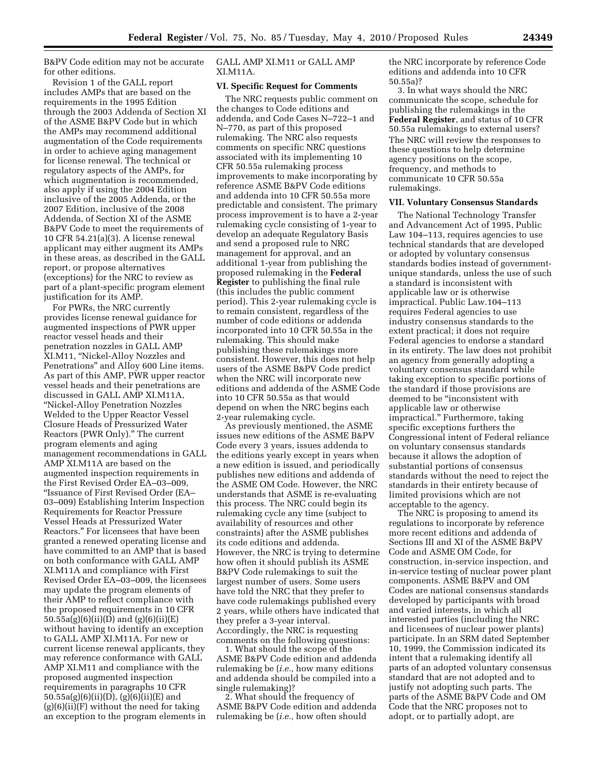B&PV Code edition may not be accurate for other editions.

Revision 1 of the GALL report includes AMPs that are based on the requirements in the 1995 Edition through the 2003 Addenda of Section XI of the ASME B&PV Code but in which the AMPs may recommend additional augmentation of the Code requirements in order to achieve aging management for license renewal. The technical or regulatory aspects of the AMPs, for which augmentation is recommended, also apply if using the 2004 Edition inclusive of the 2005 Addenda, or the 2007 Edition, inclusive of the 2008 Addenda, of Section XI of the ASME B&PV Code to meet the requirements of 10 CFR 54.21(a)(3). A license renewal applicant may either augment its AMPs in these areas, as described in the GALL report, or propose alternatives (exceptions) for the NRC to review as part of a plant-specific program element justification for its AMP.

For PWRs, the NRC currently provides license renewal guidance for augmented inspections of PWR upper reactor vessel heads and their penetration nozzles in GALL AMP XI.M11, ''Nickel-Alloy Nozzles and Penetrations'' and Alloy 600 Line items. As part of this AMP, PWR upper reactor vessel heads and their penetrations are discussed in GALL AMP XI.M11A, ''Nickel-Alloy Penetration Nozzles Welded to the Upper Reactor Vessel Closure Heads of Pressurized Water Reactors (PWR Only).'' The current program elements and aging management recommendations in GALL AMP XI.M11A are based on the augmented inspection requirements in the First Revised Order EA–03–009, ''Issuance of First Revised Order (EA– 03–009) Establishing Interim Inspection Requirements for Reactor Pressure Vessel Heads at Pressurized Water Reactors.'' For licensees that have been granted a renewed operating license and have committed to an AMP that is based on both conformance with GALL AMP XI.M11A and compliance with First Revised Order EA–03–009, the licensees may update the program elements of their AMP to reflect compliance with the proposed requirements in 10 CFR 50.55a(g)(6)(ii)(D) and (g)(6)(ii)(E) without having to identify an exception to GALL AMP XI.M11A. For new or current license renewal applicants, they may reference conformance with GALL AMP XI.M11 and compliance with the proposed augmented inspection requirements in paragraphs 10 CFR 50.55a(g)(6)(ii)(D), (g)(6)(ii)(E) and  $(g)(6)(ii)(F)$  without the need for taking an exception to the program elements in

GALL AMP XI.M11 or GALL AMP XI.M11A.

#### **VI. Specific Request for Comments**

The NRC requests public comment on the changes to Code editions and addenda, and Code Cases N–722–1 and N–770, as part of this proposed rulemaking. The NRC also requests comments on specific NRC questions associated with its implementing 10 CFR 50.55a rulemaking process improvements to make incorporating by reference ASME B&PV Code editions and addenda into 10 CFR 50.55a more predictable and consistent. The primary process improvement is to have a 2-year rulemaking cycle consisting of 1-year to develop an adequate Regulatory Basis and send a proposed rule to NRC management for approval, and an additional 1-year from publishing the proposed rulemaking in the **Federal Register** to publishing the final rule (this includes the public comment period). This 2-year rulemaking cycle is to remain consistent, regardless of the number of code editions or addenda incorporated into 10 CFR 50.55a in the rulemaking. This should make publishing these rulemakings more consistent. However, this does not help users of the ASME B&PV Code predict when the NRC will incorporate new editions and addenda of the ASME Code into 10 CFR 50.55a as that would depend on when the NRC begins each 2-year rulemaking cycle.

As previously mentioned, the ASME issues new editions of the ASME B&PV Code every 3 years, issues addenda to the editions yearly except in years when a new edition is issued, and periodically publishes new editions and addenda of the ASME OM Code. However, the NRC understands that ASME is re-evaluating this process. The NRC could begin its rulemaking cycle any time (subject to availability of resources and other constraints) after the ASME publishes its code editions and addenda. However, the NRC is trying to determine how often it should publish its ASME B&PV Code rulemakings to suit the largest number of users. Some users have told the NRC that they prefer to have code rulemakings published every 2 years, while others have indicated that they prefer a 3-year interval. Accordingly, the NRC is requesting comments on the following questions:

1. What should the scope of the ASME B&PV Code edition and addenda rulemaking be (*i.e.,* how many editions and addenda should be compiled into a single rulemaking)?

2. What should the frequency of ASME B&PV Code edition and addenda rulemaking be (*i.e.,* how often should

the NRC incorporate by reference Code editions and addenda into 10 CFR 50.55a)?

3. In what ways should the NRC communicate the scope, schedule for publishing the rulemakings in the **Federal Register**, and status of 10 CFR 50.55a rulemakings to external users? The NRC will review the responses to these questions to help determine agency positions on the scope, frequency, and methods to communicate 10 CFR 50.55a rulemakings.

#### **VII. Voluntary Consensus Standards**

The National Technology Transfer and Advancement Act of 1995, Public Law 104–113, requires agencies to use technical standards that are developed or adopted by voluntary consensus standards bodies instead of governmentunique standards, unless the use of such a standard is inconsistent with applicable law or is otherwise impractical. Public Law.104–113 requires Federal agencies to use industry consensus standards to the extent practical; it does not require Federal agencies to endorse a standard in its entirety. The law does not prohibit an agency from generally adopting a voluntary consensus standard while taking exception to specific portions of the standard if those provisions are deemed to be ''inconsistent with applicable law or otherwise impractical.'' Furthermore, taking specific exceptions furthers the Congressional intent of Federal reliance on voluntary consensus standards because it allows the adoption of substantial portions of consensus standards without the need to reject the standards in their entirety because of limited provisions which are not acceptable to the agency.

The NRC is proposing to amend its regulations to incorporate by reference more recent editions and addenda of Sections III and XI of the ASME B&PV Code and ASME OM Code, for construction, in-service inspection, and in-service testing of nuclear power plant components. ASME B&PV and OM Codes are national consensus standards developed by participants with broad and varied interests, in which all interested parties (including the NRC and licensees of nuclear power plants) participate. In an SRM dated September 10, 1999, the Commission indicated its intent that a rulemaking identify all parts of an adopted voluntary consensus standard that are not adopted and to justify not adopting such parts. The parts of the ASME B&PV Code and OM Code that the NRC proposes not to adopt, or to partially adopt, are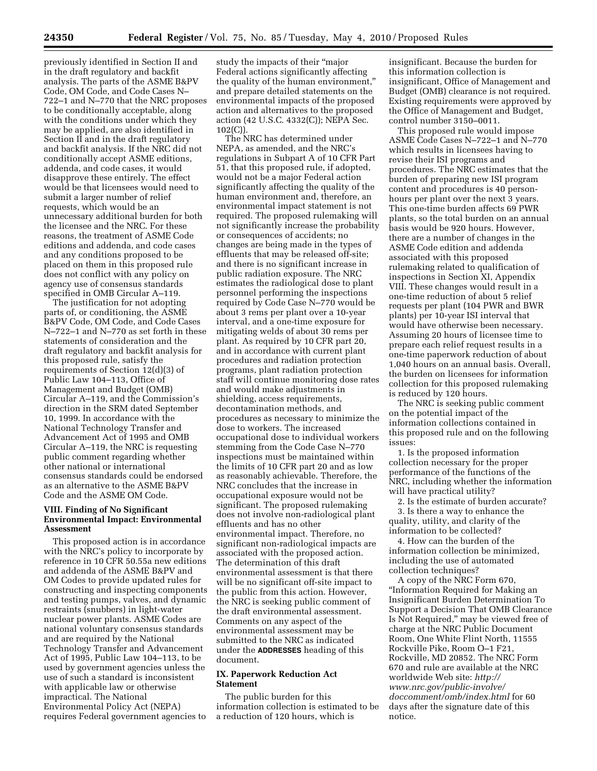previously identified in Section II and in the draft regulatory and backfit analysis. The parts of the ASME B&PV Code, OM Code, and Code Cases N– 722–1 and N–770 that the NRC proposes to be conditionally acceptable, along with the conditions under which they may be applied, are also identified in Section II and in the draft regulatory and backfit analysis. If the NRC did not conditionally accept ASME editions, addenda, and code cases, it would disapprove these entirely. The effect would be that licensees would need to submit a larger number of relief requests, which would be an unnecessary additional burden for both the licensee and the NRC. For these reasons, the treatment of ASME Code editions and addenda, and code cases and any conditions proposed to be placed on them in this proposed rule does not conflict with any policy on agency use of consensus standards specified in OMB Circular A–119.

The justification for not adopting parts of, or conditioning, the ASME B&PV Code, OM Code, and Code Cases N–722–1 and N–770 as set forth in these statements of consideration and the draft regulatory and backfit analysis for this proposed rule, satisfy the requirements of Section 12(d)(3) of Public Law 104–113, Office of Management and Budget (OMB) Circular A–119, and the Commission's direction in the SRM dated September 10, 1999. In accordance with the National Technology Transfer and Advancement Act of 1995 and OMB Circular A–119, the NRC is requesting public comment regarding whether other national or international consensus standards could be endorsed as an alternative to the ASME B&PV Code and the ASME OM Code.

#### **VIII. Finding of No Significant Environmental Impact: Environmental Assessment**

This proposed action is in accordance with the NRC's policy to incorporate by reference in 10 CFR 50.55a new editions and addenda of the ASME B&PV and OM Codes to provide updated rules for constructing and inspecting components and testing pumps, valves, and dynamic restraints (snubbers) in light-water nuclear power plants. ASME Codes are national voluntary consensus standards and are required by the National Technology Transfer and Advancement Act of 1995, Public Law 104–113, to be used by government agencies unless the use of such a standard is inconsistent with applicable law or otherwise impractical. The National Environmental Policy Act (NEPA) requires Federal government agencies to

study the impacts of their "major Federal actions significantly affecting the quality of the human environment,'' and prepare detailed statements on the environmental impacts of the proposed action and alternatives to the proposed action (42 U.S.C. 4332(C)); NEPA Sec. 102(C)).

The NRC has determined under NEPA, as amended, and the NRC's regulations in Subpart A of 10 CFR Part 51, that this proposed rule, if adopted, would not be a major Federal action significantly affecting the quality of the human environment and, therefore, an environmental impact statement is not required. The proposed rulemaking will not significantly increase the probability or consequences of accidents; no changes are being made in the types of effluents that may be released off-site; and there is no significant increase in public radiation exposure. The NRC estimates the radiological dose to plant personnel performing the inspections required by Code Case N–770 would be about 3 rems per plant over a 10-year interval, and a one-time exposure for mitigating welds of about 30 rems per plant. As required by 10 CFR part 20, and in accordance with current plant procedures and radiation protection programs, plant radiation protection staff will continue monitoring dose rates and would make adjustments in shielding, access requirements, decontamination methods, and procedures as necessary to minimize the dose to workers. The increased occupational dose to individual workers stemming from the Code Case N–770 inspections must be maintained within the limits of 10 CFR part 20 and as low as reasonably achievable. Therefore, the NRC concludes that the increase in occupational exposure would not be significant. The proposed rulemaking does not involve non-radiological plant effluents and has no other environmental impact. Therefore, no significant non-radiological impacts are associated with the proposed action. The determination of this draft environmental assessment is that there will be no significant off-site impact to the public from this action. However, the NRC is seeking public comment of the draft environmental assessment. Comments on any aspect of the environmental assessment may be submitted to the NRC as indicated under the **ADDRESSES** heading of this document.

#### **IX. Paperwork Reduction Act Statement**

The public burden for this information collection is estimated to be a reduction of 120 hours, which is

insignificant. Because the burden for this information collection is insignificant, Office of Management and Budget (OMB) clearance is not required. Existing requirements were approved by the Office of Management and Budget, control number 3150–0011.

This proposed rule would impose ASME Code Cases N–722–1 and N–770 which results in licensees having to revise their ISI programs and procedures. The NRC estimates that the burden of preparing new ISI program content and procedures is 40 personhours per plant over the next 3 years. This one-time burden affects 69 PWR plants, so the total burden on an annual basis would be 920 hours. However, there are a number of changes in the ASME Code edition and addenda associated with this proposed rulemaking related to qualification of inspections in Section XI, Appendix VIII. These changes would result in a one-time reduction of about 5 relief requests per plant (104 PWR and BWR plants) per 10-year ISI interval that would have otherwise been necessary. Assuming 20 hours of licensee time to prepare each relief request results in a one-time paperwork reduction of about 1,040 hours on an annual basis. Overall, the burden on licensees for information collection for this proposed rulemaking is reduced by 120 hours.

The NRC is seeking public comment on the potential impact of the information collections contained in this proposed rule and on the following issues:

1. Is the proposed information collection necessary for the proper performance of the functions of the NRC, including whether the information will have practical utility?

2. Is the estimate of burden accurate? 3. Is there a way to enhance the quality, utility, and clarity of the information to be collected?

4. How can the burden of the information collection be minimized, including the use of automated collection techniques?

A copy of the NRC Form 670, ''Information Required for Making an Insignificant Burden Determination To Support a Decision That OMB Clearance Is Not Required,'' may be viewed free of charge at the NRC Public Document Room, One White Flint North, 11555 Rockville Pike, Room O–1 F21, Rockville, MD 20852. The NRC Form 670 and rule are available at the NRC worldwide Web site: *http:// www.nrc.gov/public-involve/ doccomment/omb/index.html* for 60 days after the signature date of this notice.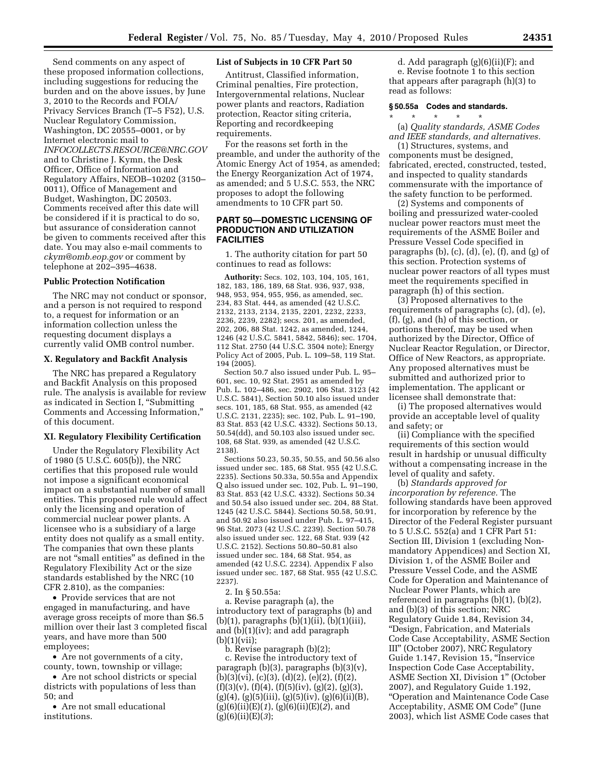Send comments on any aspect of these proposed information collections, including suggestions for reducing the burden and on the above issues, by June 3, 2010 to the Records and FOIA/ Privacy Services Branch (T–5 F52), U.S. Nuclear Regulatory Commission, Washington, DC 20555–0001, or by Internet electronic mail to *INFOCOLLECTS.RESOURCE@NRC.GOV*  and to Christine J. Kymn, the Desk Officer, Office of Information and Regulatory Affairs, NEOB–10202 (3150– 0011), Office of Management and Budget, Washington, DC 20503. Comments received after this date will be considered if it is practical to do so, but assurance of consideration cannot be given to comments received after this date. You may also e-mail comments to *ckym@omb.eop.gov* or comment by telephone at 202–395–4638.

#### **Public Protection Notification**

The NRC may not conduct or sponsor, and a person is not required to respond to, a request for information or an information collection unless the requesting document displays a currently valid OMB control number.

#### **X. Regulatory and Backfit Analysis**

The NRC has prepared a Regulatory and Backfit Analysis on this proposed rule. The analysis is available for review as indicated in Section I, ''Submitting Comments and Accessing Information,'' of this document.

#### **XI. Regulatory Flexibility Certification**

Under the Regulatory Flexibility Act of 1980 (5 U.S.C. 605(b)), the NRC certifies that this proposed rule would not impose a significant economical impact on a substantial number of small entities. This proposed rule would affect only the licensing and operation of commercial nuclear power plants. A licensee who is a subsidiary of a large entity does not qualify as a small entity. The companies that own these plants are not ''small entities'' as defined in the Regulatory Flexibility Act or the size standards established by the NRC (10 CFR 2.810), as the companies:

• Provide services that are not engaged in manufacturing, and have average gross receipts of more than \$6.5 million over their last 3 completed fiscal years, and have more than 500 employees;

• Are not governments of a city, county, town, township or village;

• Are not school districts or special districts with populations of less than 50; and

• Are not small educational institutions.

#### **List of Subjects in 10 CFR Part 50**

Antitrust, Classified information, Criminal penalties, Fire protection, Intergovernmental relations, Nuclear power plants and reactors, Radiation protection, Reactor siting criteria, Reporting and recordkeeping requirements.

For the reasons set forth in the preamble, and under the authority of the Atomic Energy Act of 1954, as amended; the Energy Reorganization Act of 1974, as amended; and 5 U.S.C. 553, the NRC proposes to adopt the following amendments to 10 CFR part 50.

#### **PART 50—DOMESTIC LICENSING OF PRODUCTION AND UTILIZATION FACILITIES**

1. The authority citation for part 50 continues to read as follows:

**Authority:** Secs. 102, 103, 104, 105, 161, 182, 183, 186, 189, 68 Stat. 936, 937, 938, 948, 953, 954, 955, 956, as amended, sec. 234, 83 Stat. 444, as amended (42 U.S.C. 2132, 2133, 2134, 2135, 2201, 2232, 2233, 2236, 2239, 2282); secs. 201, as amended, 202, 206, 88 Stat. 1242, as amended, 1244, 1246 (42 U.S.C. 5841, 5842, 5846); sec. 1704, 112 Stat. 2750 (44 U.S.C. 3504 note); Energy Policy Act of 2005, Pub. L. 109–58, 119 Stat. 194 (2005).

Section 50.7 also issued under Pub. L. 95– 601, sec. 10, 92 Stat. 2951 as amended by Pub. L. 102–486, sec. 2902, 106 Stat. 3123 (42 U.S.C. 5841), Section 50.10 also issued under secs. 101, 185, 68 Stat. 955, as amended (42 U.S.C. 2131, 2235); sec. 102, Pub. L. 91–190, 83 Stat. 853 (42 U.S.C. 4332). Sections 50.13, 50.54(dd), and 50.103 also issued under sec. 108, 68 Stat. 939, as amended (42 U.S.C. 2138).

Sections 50.23, 50.35, 50.55, and 50.56 also issued under sec. 185, 68 Stat. 955 (42 U.S.C. 2235). Sections 50.33a, 50.55a and Appendix Q also issued under sec. 102, Pub. L. 91–190, 83 Stat. 853 (42 U.S.C. 4332). Sections 50.34 and 50.54 also issued under sec. 204, 88 Stat. 1245 (42 U.S.C. 5844). Sections 50.58, 50.91, and 50.92 also issued under Pub. L. 97–415, 96 Stat. 2073 (42 U.S.C. 2239). Section 50.78 also issued under sec. 122, 68 Stat. 939 (42 U.S.C. 2152). Sections 50.80–50.81 also issued under sec. 184, 68 Stat. 954, as amended (42 U.S.C. 2234). Appendix F also issued under sec. 187, 68 Stat. 955 (42 U.S.C. 2237).

2. In § 50.55a:

a. Revise paragraph (a), the introductory text of paragraphs (b) and (b)(1), paragraphs (b)(1)(ii), (b)(1)(iii), and (b)(1)(iv); and add paragraph (b)(1)(vii);

b. Revise paragraph (b)(2); c. Revise the introductory text of paragraph (b)(3), paragraphs (b)(3)(v),  $(b)(3)(vi), (c)(3), (d)(2), (e)(2), (f)(2),$  $(f)(3)(v)$ ,  $(f)(4)$ ,  $(f)(5)(iv)$ ,  $(g)(2)$ ,  $(g)(3)$ ,  $(g)(4)$ ,  $(g)(5)(iii)$ ,  $(g)(5)(iv)$ ,  $(g)(6)(ii)(B)$ , (g)(6)(ii)(E)(*1*), (g)(6)(ii)(E)(*2*), and (g)(6)(ii)(E)(*3*);

d. Add paragraph (g)(6)(ii)(F); and e. Revise footnote 1 to this section that appears after paragraph (h)(3) to read as follows:

#### **§ 50.55a Codes and standards.**

\* \* \* \* \* (a) *Quality standards, ASME Codes and IEEE standards, and alternatives.* 

(1) Structures, systems, and components must be designed, fabricated, erected, constructed, tested, and inspected to quality standards commensurate with the importance of the safety function to be performed.

(2) Systems and components of boiling and pressurized water-cooled nuclear power reactors must meet the requirements of the ASME Boiler and Pressure Vessel Code specified in paragraphs  $(b)$ ,  $(c)$ ,  $(d)$ ,  $(e)$ ,  $(f)$ , and  $(g)$  of this section. Protection systems of nuclear power reactors of all types must meet the requirements specified in paragraph (h) of this section.

(3) Proposed alternatives to the requirements of paragraphs (c), (d), (e), (f), (g), and (h) of this section, or portions thereof, may be used when authorized by the Director, Office of Nuclear Reactor Regulation, or Director, Office of New Reactors, as appropriate. Any proposed alternatives must be submitted and authorized prior to implementation. The applicant or licensee shall demonstrate that:

(i) The proposed alternatives would provide an acceptable level of quality and safety; or

(ii) Compliance with the specified requirements of this section would result in hardship or unusual difficulty without a compensating increase in the level of quality and safety.

(b) *Standards approved for incorporation by reference.* The following standards have been approved for incorporation by reference by the Director of the Federal Register pursuant to 5 U.S.C. 552(a) and 1 CFR Part 51: Section III, Division 1 (excluding Nonmandatory Appendices) and Section XI, Division 1, of the ASME Boiler and Pressure Vessel Code, and the ASME Code for Operation and Maintenance of Nuclear Power Plants, which are referenced in paragraphs (b)(1), (b)(2), and (b)(3) of this section; NRC Regulatory Guide 1.84, Revision 34, ''Design, Fabrication, and Materials Code Case Acceptability, ASME Section III'' (October 2007), NRC Regulatory Guide 1.147, Revision 15, ''Inservice Inspection Code Case Acceptability, ASME Section XI, Division 1'' (October 2007), and Regulatory Guide 1.192, ''Operation and Maintenance Code Case Acceptability, ASME OM Code'' (June 2003), which list ASME Code cases that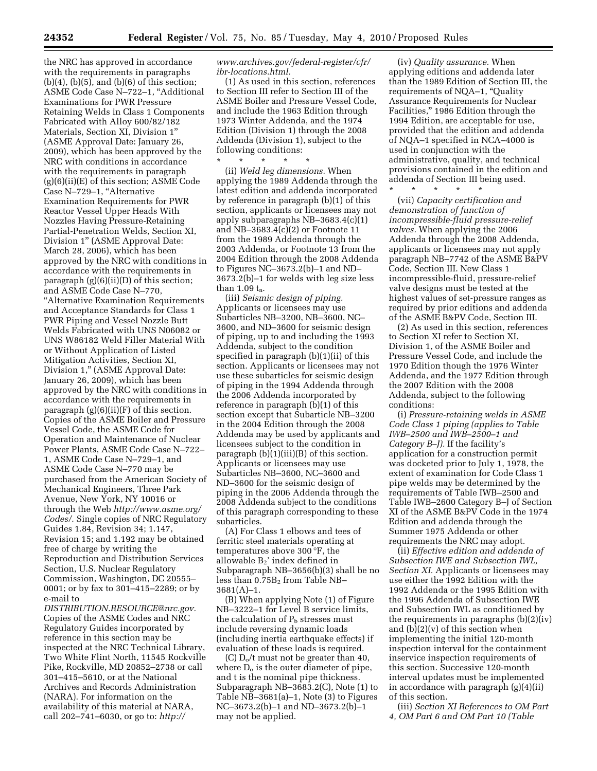the NRC has approved in accordance with the requirements in paragraphs  $(b)(4)$ ,  $(b)(5)$ , and  $(b)(6)$  of this section; ASME Code Case N–722–1, ''Additional Examinations for PWR Pressure Retaining Welds in Class 1 Components Fabricated with Alloy 600/82/182 Materials, Section XI, Division 1'' (ASME Approval Date: January 26, 2009), which has been approved by the NRC with conditions in accordance with the requirements in paragraph (g)(6)(ii)(E) of this section; ASME Code Case N-729-1, "Alternative Examination Requirements for PWR Reactor Vessel Upper Heads With Nozzles Having Pressure-Retaining Partial-Penetration Welds, Section XI, Division 1'' (ASME Approval Date: March 28, 2006), which has been approved by the NRC with conditions in accordance with the requirements in paragraph (g)(6)(ii)(D) of this section; and ASME Code Case N–770, ''Alternative Examination Requirements and Acceptance Standards for Class 1 PWR Piping and Vessel Nozzle Butt Welds Fabricated with UNS N06082 or UNS W86182 Weld Filler Material With or Without Application of Listed Mitigation Activities, Section XI, Division 1,'' (ASME Approval Date: January 26, 2009), which has been approved by the NRC with conditions in accordance with the requirements in paragraph  $(g)(6)(ii)(F)$  of this section. Copies of the ASME Boiler and Pressure Vessel Code, the ASME Code for Operation and Maintenance of Nuclear Power Plants, ASME Code Case N–722– 1, ASME Code Case N–729–1, and ASME Code Case N–770 may be purchased from the American Society of Mechanical Engineers, Three Park Avenue, New York, NY 10016 or through the Web *http://www.asme.org/ Codes/.* Single copies of NRC Regulatory Guides 1.84, Revision 34; 1.147, Revision 15; and 1.192 may be obtained free of charge by writing the Reproduction and Distribution Services Section, U.S. Nuclear Regulatory Commission, Washington, DC 20555– 0001; or by fax to 301–415–2289; or by e-mail to

*DISTRIBUTION.RESOURCE@nrc.gov.*  Copies of the ASME Codes and NRC Regulatory Guides incorporated by reference in this section may be inspected at the NRC Technical Library, Two White Flint North, 11545 Rockville Pike, Rockville, MD 20852–2738 or call 301–415–5610, or at the National Archives and Records Administration (NARA). For information on the availability of this material at NARA, call 202–741–6030, or go to: *http://* 

#### *www.archives.gov/federal-register/cfr/ ibr-locations.html.*

(1) As used in this section, references to Section III refer to Section III of the ASME Boiler and Pressure Vessel Code, and include the 1963 Edition through 1973 Winter Addenda, and the 1974 Edition (Division 1) through the 2008 Addenda (Division 1), subject to the following conditions:

\* \* \* \* \* (ii) *Weld leg dimensions.* When applying the 1989 Addenda through the latest edition and addenda incorporated by reference in paragraph (b)(1) of this section, applicants or licensees may not apply subparagraphs NB–3683.4(c)(1) and NB–3683.4(c)(2) or Footnote 11 from the 1989 Addenda through the 2003 Addenda, or Footnote 13 from the 2004 Edition through the 2008 Addenda to Figures NC–3673.2(b)–1 and ND– 3673.2(b)–1 for welds with leg size less than 1.09 $t_n$ .

(iii) *Seismic design of piping.*  Applicants or licensees may use Subarticles NB–3200, NB–3600, NC– 3600, and ND–3600 for seismic design of piping, up to and including the 1993 Addenda, subject to the condition specified in paragraph (b)(1)(ii) of this section. Applicants or licensees may not use these subarticles for seismic design of piping in the 1994 Addenda through the 2006 Addenda incorporated by reference in paragraph (b)(1) of this section except that Subarticle NB–3200 in the 2004 Edition through the 2008 Addenda may be used by applicants and licensees subject to the condition in paragraph (b)(1)(iii)(B) of this section. Applicants or licensees may use Subarticles NB–3600, NC–3600 and ND–3600 for the seismic design of piping in the 2006 Addenda through the 2008 Addenda subject to the conditions of this paragraph corresponding to these subarticles.

(A) For Class 1 elbows and tees of ferritic steel materials operating at temperatures above 300 °F, the allowable B2' index defined in Subparagraph NB–3656(b)(3) shall be no less than  $0.75B_2$  from Table NB–  $3681(A)-1$ .

(B) When applying Note (1) of Figure NB–3222–1 for Level B service limits, the calculation of  $P_b$  stresses must include reversing dynamic loads (including inertia earthquake effects) if evaluation of these loads is required.

(C)  $D_0/t$  must not be greater than 40, where  $D<sub>o</sub>$  is the outer diameter of pipe, and t is the nominal pipe thickness. Subparagraph NB–3683.2(C), Note (1) to Table NB–3681(a)–1, Note (3) to Figures NC–3673.2(b)–1 and ND–3673.2(b)–1 may not be applied.

(iv) *Quality assurance.* When applying editions and addenda later than the 1989 Edition of Section III, the requirements of NQA-1, "Quality Assurance Requirements for Nuclear Facilities,'' 1986 Edition through the 1994 Edition, are acceptable for use, provided that the edition and addenda of NQA–1 specified in NCA–4000 is used in conjunction with the administrative, quality, and technical provisions contained in the edition and addenda of Section III being used.

\* \* \* \* \*

(vii) *Capacity certification and demonstration of function of incompressible-fluid pressure-relief valves.* When applying the 2006 Addenda through the 2008 Addenda, applicants or licensees may not apply paragraph NB–7742 of the ASME B&PV Code, Section III. New Class 1 incompressible-fluid, pressure-relief valve designs must be tested at the highest values of set-pressure ranges as required by prior editions and addenda of the ASME B&PV Code, Section III.

(2) As used in this section, references to Section XI refer to Section XI, Division 1, of the ASME Boiler and Pressure Vessel Code, and include the 1970 Edition though the 1976 Winter Addenda, and the 1977 Edition through the 2007 Edition with the 2008 Addenda, subject to the following conditions:

(i) *Pressure-retaining welds in ASME Code Class 1 piping (applies to Table IWB–2500 and IWB–2500–1 and Category B–J).* If the facility's application for a construction permit was docketed prior to July 1, 1978, the extent of examination for Code Class 1 pipe welds may be determined by the requirements of Table IWB–2500 and Table IWB–2600 Category B–J of Section XI of the ASME B&PV Code in the 1974 Edition and addenda through the Summer 1975 Addenda or other requirements the NRC may adopt.

(ii) *Effective edition and addenda of Subsection IWE and Subsection IWL, Section XI.* Applicants or licensees may use either the 1992 Edition with the 1992 Addenda or the 1995 Edition with the 1996 Addenda of Subsection IWE and Subsection IWL as conditioned by the requirements in paragraphs (b)(2)(iv) and (b)(2)(v) of this section when implementing the initial 120-month inspection interval for the containment inservice inspection requirements of this section. Successive 120-month interval updates must be implemented in accordance with paragraph (g)(4)(ii) of this section.

(iii) *Section XI References to OM Part 4, OM Part 6 and OM Part 10 (Table*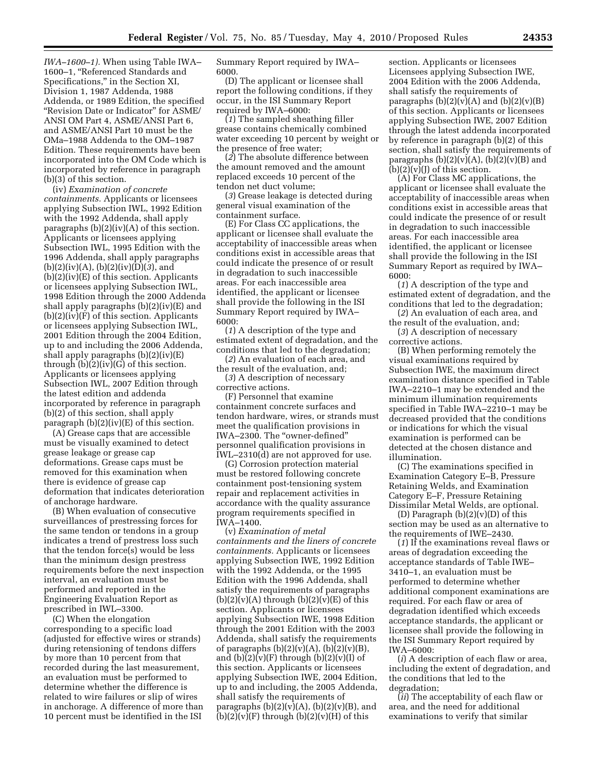*IWA–1600–1).* When using Table IWA– 1600–1, ''Referenced Standards and Specifications,'' in the Section XI, Division 1, 1987 Addenda, 1988 Addenda, or 1989 Edition, the specified "Revision Date or Indicator" for ASME/ ANSI OM Part 4, ASME/ANSI Part 6, and ASME/ANSI Part 10 must be the OMa–1988 Addenda to the OM–1987 Edition. These requirements have been incorporated into the OM Code which is incorporated by reference in paragraph (b)(3) of this section.

(iv) *Examination of concrete containments.* Applicants or licensees applying Subsection IWL, 1992 Edition with the 1992 Addenda, shall apply paragraphs  $(b)(2)(iv)(A)$  of this section. Applicants or licensees applying Subsection IWL, 1995 Edition with the 1996 Addenda, shall apply paragraphs (b)(2)(iv)(A), (b)(2)(iv)(D)(*3*), and  $(b)(2)(iv)(E)$  of this section. Applicants or licensees applying Subsection IWL, 1998 Edition through the 2000 Addenda shall apply paragraphs (b)(2)(iv)(E) and  $(b)(2)(iv)(F)$  of this section. Applicants or licensees applying Subsection IWL, 2001 Edition through the 2004 Edition, up to and including the 2006 Addenda, shall apply paragraphs  $(b)(2)(iv)(E)$ through  $(b)(2)(iv)(G)$  of this section. Applicants or licensees applying Subsection IWL, 2007 Edition through the latest edition and addenda incorporated by reference in paragraph (b)(2) of this section, shall apply paragraph  $(b)(2)(iv)(E)$  of this section.

(A) Grease caps that are accessible must be visually examined to detect grease leakage or grease cap deformations. Grease caps must be removed for this examination when there is evidence of grease cap deformation that indicates deterioration of anchorage hardware.

(B) When evaluation of consecutive surveillances of prestressing forces for the same tendon or tendons in a group indicates a trend of prestress loss such that the tendon force(s) would be less than the minimum design prestress requirements before the next inspection interval, an evaluation must be performed and reported in the Engineering Evaluation Report as prescribed in IWL–3300.

(C) When the elongation corresponding to a specific load (adjusted for effective wires or strands) during retensioning of tendons differs by more than 10 percent from that recorded during the last measurement, an evaluation must be performed to determine whether the difference is related to wire failures or slip of wires in anchorage. A difference of more than 10 percent must be identified in the ISI

Summary Report required by IWA– 6000.

(D) The applicant or licensee shall report the following conditions, if they occur, in the ISI Summary Report required by IWA–6000:

(*1*) The sampled sheathing filler grease contains chemically combined water exceeding 10 percent by weight or the presence of free water;

(*2*) The absolute difference between the amount removed and the amount replaced exceeds 10 percent of the tendon net duct volume;

(*3*) Grease leakage is detected during general visual examination of the containment surface.

(E) For Class CC applications, the applicant or licensee shall evaluate the acceptability of inaccessible areas when conditions exist in accessible areas that could indicate the presence of or result in degradation to such inaccessible areas. For each inaccessible area identified, the applicant or licensee shall provide the following in the ISI Summary Report required by IWA– 6000:

(*1*) A description of the type and estimated extent of degradation, and the conditions that led to the degradation;

(*2*) An evaluation of each area, and the result of the evaluation, and;

(*3*) A description of necessary corrective actions.

(F) Personnel that examine containment concrete surfaces and tendon hardware, wires, or strands must meet the qualification provisions in IWA–2300. The ''owner-defined'' personnel qualification provisions in IWL–2310(d) are not approved for use.

(G) Corrosion protection material must be restored following concrete containment post-tensioning system repair and replacement activities in accordance with the quality assurance program requirements specified in IWA–1400.

(v) *Examination of metal containments and the liners of concrete containments.* Applicants or licensees applying Subsection IWE, 1992 Edition with the 1992 Addenda, or the 1995 Edition with the 1996 Addenda, shall satisfy the requirements of paragraphs  $(b)(2)(v)(A)$  through  $(b)(2)(v)(E)$  of this section. Applicants or licensees applying Subsection IWE, 1998 Edition through the 2001 Edition with the 2003 Addenda, shall satisfy the requirements of paragraphs  $(b)(2)(v)(A)$ ,  $(b)(2)(v)(B)$ , and  $(b)(2)(v)(F)$  through  $(b)(2)(v)(I)$  of this section. Applicants or licensees applying Subsection IWE, 2004 Edition, up to and including, the 2005 Addenda, shall satisfy the requirements of paragraphs  $(b)(2)(v)(A)$ ,  $(b)(2)(v)(B)$ , and  $(b)(2)(v)(F)$  through  $(b)(2)(v)(H)$  of this

section. Applicants or licensees Licensees applying Subsection IWE, 2004 Edition with the 2006 Addenda, shall satisfy the requirements of paragraphs  $(b)(2)(v)(A)$  and  $(b)(2)(v)(B)$ of this section. Applicants or licensees applying Subsection IWE, 2007 Edition through the latest addenda incorporated by reference in paragraph (b)(2) of this section, shall satisfy the requirements of paragraphs  $(b)(2)(v)(A)$ ,  $(b)(2)(v)(B)$  and  $(b)(2)(v)(J)$  of this section.

(A) For Class MC applications, the applicant or licensee shall evaluate the acceptability of inaccessible areas when conditions exist in accessible areas that could indicate the presence of or result in degradation to such inaccessible areas. For each inaccessible area identified, the applicant or licensee shall provide the following in the ISI Summary Report as required by IWA– 6000:

(*1*) A description of the type and estimated extent of degradation, and the conditions that led to the degradation;

(*2*) An evaluation of each area, and the result of the evaluation, and; (*3*) A description of necessary

corrective actions. (B) When performing remotely the

visual examinations required by Subsection IWE, the maximum direct examination distance specified in Table IWA–2210–1 may be extended and the minimum illumination requirements specified in Table IWA–2210–1 may be decreased provided that the conditions or indications for which the visual examination is performed can be detected at the chosen distance and illumination.

(C) The examinations specified in Examination Category E–B, Pressure Retaining Welds, and Examination Category E–F, Pressure Retaining Dissimilar Metal Welds, are optional.

(D) Paragraph  $(b)(2)(v)(D)$  of this section may be used as an alternative to the requirements of IWE–2430.

(*1*) If the examinations reveal flaws or areas of degradation exceeding the acceptance standards of Table IWE– 3410–1, an evaluation must be performed to determine whether additional component examinations are required. For each flaw or area of degradation identified which exceeds acceptance standards, the applicant or licensee shall provide the following in the ISI Summary Report required by IWA–6000:

(*i*) A description of each flaw or area, including the extent of degradation, and the conditions that led to the degradation;

(*ii*) The acceptability of each flaw or area, and the need for additional examinations to verify that similar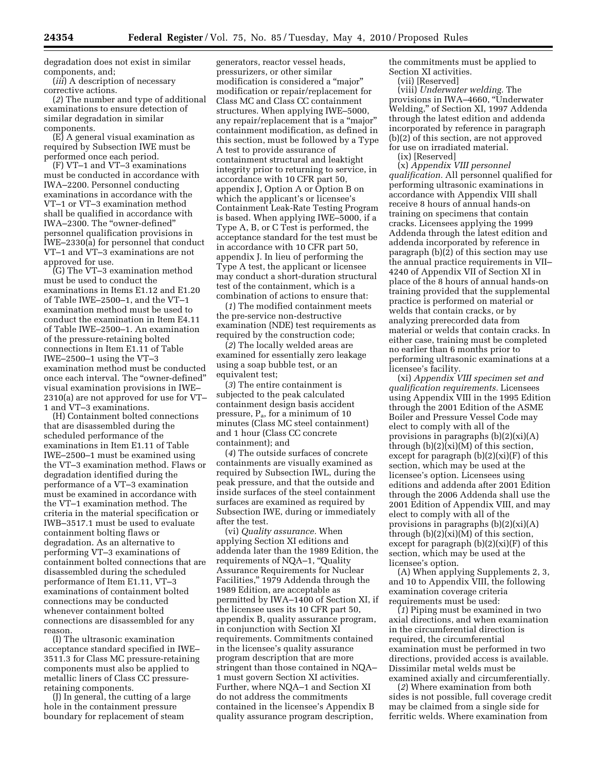degradation does not exist in similar components, and;

(*iii*) A description of necessary corrective actions.

(*2*) The number and type of additional examinations to ensure detection of similar degradation in similar components.

(E) A general visual examination as required by Subsection IWE must be performed once each period.

(F) VT–1 and VT–3 examinations must be conducted in accordance with IWA–2200. Personnel conducting examinations in accordance with the VT–1 or VT–3 examination method shall be qualified in accordance with IWA–2300. The ''owner-defined'' personnel qualification provisions in IWE–2330(a) for personnel that conduct VT–1 and VT–3 examinations are not approved for use.

(G) The VT–3 examination method must be used to conduct the examinations in Items E1.12 and E1.20 of Table IWE–2500–1, and the VT–1 examination method must be used to conduct the examination in Item E4.11 of Table IWE–2500–1. An examination of the pressure-retaining bolted connections in Item E1.11 of Table IWE–2500–1 using the VT–3 examination method must be conducted once each interval. The ''owner-defined'' visual examination provisions in IWE– 2310(a) are not approved for use for VT– 1 and VT–3 examinations.

(H) Containment bolted connections that are disassembled during the scheduled performance of the examinations in Item E1.11 of Table IWE–2500–1 must be examined using the VT–3 examination method. Flaws or degradation identified during the performance of a VT–3 examination must be examined in accordance with the VT–1 examination method. The criteria in the material specification or IWB–3517.1 must be used to evaluate containment bolting flaws or degradation. As an alternative to performing VT–3 examinations of containment bolted connections that are disassembled during the scheduled performance of Item E1.11, VT–3 examinations of containment bolted connections may be conducted whenever containment bolted connections are disassembled for any reason.

(I) The ultrasonic examination acceptance standard specified in IWE– 3511.3 for Class MC pressure-retaining components must also be applied to metallic liners of Class CC pressureretaining components.

(J) In general, the cutting of a large hole in the containment pressure boundary for replacement of steam

generators, reactor vessel heads, pressurizers, or other similar modification is considered a "major" modification or repair/replacement for Class MC and Class CC containment structures. When applying IWE–5000, any repair/replacement that is a ''major'' containment modification, as defined in this section, must be followed by a Type A test to provide assurance of containment structural and leaktight integrity prior to returning to service, in accordance with 10 CFR part 50, appendix J, Option A or Option B on which the applicant's or licensee's Containment Leak-Rate Testing Program is based. When applying IWE–5000, if a Type A, B, or C Test is performed, the acceptance standard for the test must be in accordance with 10 CFR part 50, appendix J. In lieu of performing the Type A test, the applicant or licensee may conduct a short-duration structural test of the containment, which is a combination of actions to ensure that:

(*1*) The modified containment meets the pre-service non-destructive examination (NDE) test requirements as required by the construction code;

(*2*) The locally welded areas are examined for essentially zero leakage using a soap bubble test, or an equivalent test;

(*3*) The entire containment is subjected to the peak calculated containment design basis accident pressure,  $P_a$ , for a minimum of 10 minutes (Class MC steel containment) and 1 hour (Class CC concrete containment); and

(*4*) The outside surfaces of concrete containments are visually examined as required by Subsection IWL, during the peak pressure, and that the outside and inside surfaces of the steel containment surfaces are examined as required by Subsection IWE, during or immediately after the test.

(vi) *Quality assurance.* When applying Section XI editions and addenda later than the 1989 Edition, the requirements of NQA-1, "Quality Assurance Requirements for Nuclear Facilities,'' 1979 Addenda through the 1989 Edition, are acceptable as permitted by IWA–1400 of Section XI, if the licensee uses its 10 CFR part 50, appendix B, quality assurance program, in conjunction with Section XI requirements. Commitments contained in the licensee's quality assurance program description that are more stringent than those contained in NQA– 1 must govern Section XI activities. Further, where NQA–1 and Section XI do not address the commitments contained in the licensee's Appendix B quality assurance program description,

the commitments must be applied to Section XI activities.

(vii) [Reserved]

(viii) *Underwater welding.* The provisions in IWA–4660, ''Underwater Welding,'' of Section XI, 1997 Addenda through the latest edition and addenda incorporated by reference in paragraph (b)(2) of this section, are not approved for use on irradiated material.

(ix) [Reserved]

(x) *Appendix VIII personnel qualification.* All personnel qualified for performing ultrasonic examinations in accordance with Appendix VIII shall receive 8 hours of annual hands-on training on specimens that contain cracks. Licensees applying the 1999 Addenda through the latest edition and addenda incorporated by reference in paragraph (b)(2) of this section may use the annual practice requirements in VII– 4240 of Appendix VII of Section XI in place of the 8 hours of annual hands-on training provided that the supplemental practice is performed on material or welds that contain cracks, or by analyzing prerecorded data from material or welds that contain cracks. In either case, training must be completed no earlier than 6 months prior to performing ultrasonic examinations at a licensee's facility.

(xi) *Appendix VIII specimen set and qualification requirements.* Licensees using Appendix VIII in the 1995 Edition through the 2001 Edition of the ASME Boiler and Pressure Vessel Code may elect to comply with all of the provisions in paragraphs (b)(2)(xi)(A) through (b)(2)(xi)(M) of this section, except for paragraph (b)(2)(xi)(F) of this section, which may be used at the licensee's option. Licensees using editions and addenda after 2001 Edition through the 2006 Addenda shall use the 2001 Edition of Appendix VIII, and may elect to comply with all of the provisions in paragraphs (b)(2)(xi)(A) through  $(b)(2)(xi)(M)$  of this section, except for paragraph  $(b)(2)(xi)(F)$  of this section, which may be used at the licensee's option.

(A) When applying Supplements 2, 3, and 10 to Appendix VIII, the following examination coverage criteria requirements must be used:

(*1*) Piping must be examined in two axial directions, and when examination in the circumferential direction is required, the circumferential examination must be performed in two directions, provided access is available. Dissimilar metal welds must be examined axially and circumferentially.

(*2*) Where examination from both sides is not possible, full coverage credit may be claimed from a single side for ferritic welds. Where examination from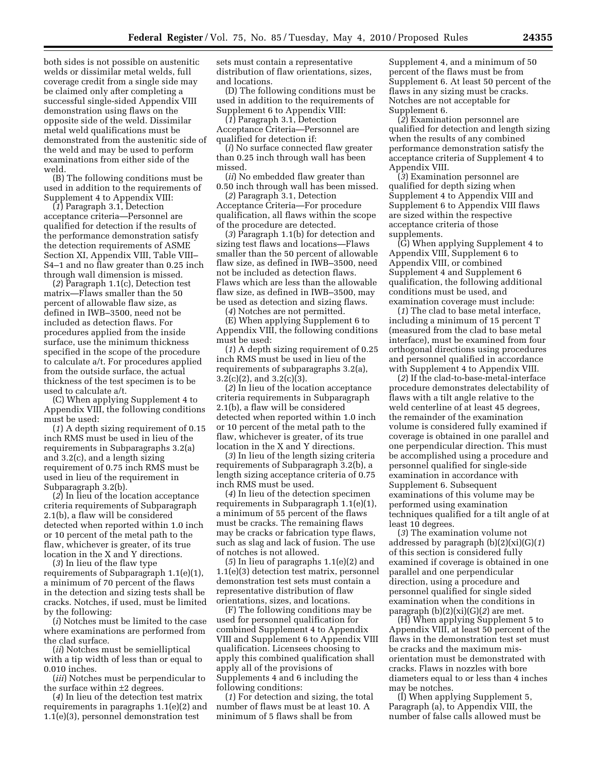both sides is not possible on austenitic welds or dissimilar metal welds, full coverage credit from a single side may be claimed only after completing a successful single-sided Appendix VIII demonstration using flaws on the opposite side of the weld. Dissimilar metal weld qualifications must be demonstrated from the austenitic side of the weld and may be used to perform examinations from either side of the weld.

(B) The following conditions must be used in addition to the requirements of Supplement 4 to Appendix VIII:

(*1*) Paragraph 3.1, Detection acceptance criteria—Personnel are qualified for detection if the results of the performance demonstration satisfy the detection requirements of ASME Section XI, Appendix VIII, Table VIII– S4–1 and no flaw greater than 0.25 inch through wall dimension is missed.

(*2*) Paragraph 1.1(c), Detection test matrix—Flaws smaller than the 50 percent of allowable flaw size, as defined in IWB–3500, need not be included as detection flaws. For procedures applied from the inside surface, use the minimum thickness specified in the scope of the procedure to calculate a/t. For procedures applied from the outside surface, the actual thickness of the test specimen is to be used to calculate a/t.

(C) When applying Supplement 4 to Appendix VIII, the following conditions must be used:

(*1*) A depth sizing requirement of 0.15 inch RMS must be used in lieu of the requirements in Subparagraphs 3.2(a) and 3.2(c), and a length sizing requirement of 0.75 inch RMS must be used in lieu of the requirement in Subparagraph 3.2(b).

(*2*) In lieu of the location acceptance criteria requirements of Subparagraph 2.1(b), a flaw will be considered detected when reported within 1.0 inch or 10 percent of the metal path to the flaw, whichever is greater, of its true location in the X and Y directions.

(*3*) In lieu of the flaw type requirements of Subparagraph 1.1(e)(1), a minimum of 70 percent of the flaws in the detection and sizing tests shall be cracks. Notches, if used, must be limited by the following:

(*i*) Notches must be limited to the case where examinations are performed from the clad surface.

(*ii*) Notches must be semielliptical with a tip width of less than or equal to 0.010 inches.

(*iii*) Notches must be perpendicular to the surface within ±2 degrees.

(*4*) In lieu of the detection test matrix requirements in paragraphs 1.1(e)(2) and 1.1(e)(3), personnel demonstration test

sets must contain a representative distribution of flaw orientations, sizes, and locations.

(D) The following conditions must be used in addition to the requirements of Supplement 6 to Appendix VIII:

(*1*) Paragraph 3.1, Detection Acceptance Criteria—Personnel are qualified for detection if:

(*i*) No surface connected flaw greater than 0.25 inch through wall has been missed.

(*ii*) No embedded flaw greater than 0.50 inch through wall has been missed.

(*2*) Paragraph 3.1, Detection Acceptance Criteria—For procedure qualification, all flaws within the scope of the procedure are detected.

(*3*) Paragraph 1.1(b) for detection and sizing test flaws and locations—Flaws smaller than the 50 percent of allowable flaw size, as defined in IWB–3500, need not be included as detection flaws. Flaws which are less than the allowable flaw size, as defined in IWB–3500, may be used as detection and sizing flaws.

(*4*) Notches are not permitted.

(E) When applying Supplement 6 to Appendix VIII, the following conditions must be used:

(*1*) A depth sizing requirement of 0.25 inch RMS must be used in lieu of the requirements of subparagraphs 3.2(a),  $3.2(c)(2)$ , and  $3.2(c)(3)$ .

(*2*) In lieu of the location acceptance criteria requirements in Subparagraph 2.1(b), a flaw will be considered detected when reported within 1.0 inch or 10 percent of the metal path to the flaw, whichever is greater, of its true location in the X and Y directions.

(*3*) In lieu of the length sizing criteria requirements of Subparagraph 3.2(b), a length sizing acceptance criteria of 0.75 inch RMS must be used.

(*4*) In lieu of the detection specimen requirements in Subparagraph 1.1(e)(1), a minimum of 55 percent of the flaws must be cracks. The remaining flaws may be cracks or fabrication type flaws, such as slag and lack of fusion. The use of notches is not allowed.

(*5*) In lieu of paragraphs 1.1(e)(2) and 1.1(e)(3) detection test matrix, personnel demonstration test sets must contain a representative distribution of flaw orientations, sizes, and locations.

(F) The following conditions may be used for personnel qualification for combined Supplement 4 to Appendix VIII and Supplement 6 to Appendix VIII qualification. Licensees choosing to apply this combined qualification shall apply all of the provisions of Supplements 4 and 6 including the following conditions:

(*1*) For detection and sizing, the total number of flaws must be at least 10. A minimum of 5 flaws shall be from

Supplement 4, and a minimum of 50 percent of the flaws must be from Supplement 6. At least 50 percent of the flaws in any sizing must be cracks. Notches are not acceptable for Supplement 6.

(*2*) Examination personnel are qualified for detection and length sizing when the results of any combined performance demonstration satisfy the acceptance criteria of Supplement 4 to Appendix VIII.

(*3*) Examination personnel are qualified for depth sizing when Supplement 4 to Appendix VIII and Supplement 6 to Appendix VIII flaws are sized within the respective acceptance criteria of those supplements.

(G) When applying Supplement 4 to Appendix VIII, Supplement 6 to Appendix VIII, or combined Supplement 4 and Supplement 6 qualification, the following additional conditions must be used, and examination coverage must include:

(*1*) The clad to base metal interface, including a minimum of 15 percent T (measured from the clad to base metal interface), must be examined from four orthogonal directions using procedures and personnel qualified in accordance with Supplement 4 to Appendix VIII.

(*2*) If the clad-to-base-metal-interface procedure demonstrates delectability of flaws with a tilt angle relative to the weld centerline of at least 45 degrees, the remainder of the examination volume is considered fully examined if coverage is obtained in one parallel and one perpendicular direction. This must be accomplished using a procedure and personnel qualified for single-side examination in accordance with Supplement 6. Subsequent examinations of this volume may be performed using examination techniques qualified for a tilt angle of at least 10 degrees.

(*3*) The examination volume not addressed by paragraph (b)(2)(xi)(G)(*1*) of this section is considered fully examined if coverage is obtained in one parallel and one perpendicular direction, using a procedure and personnel qualified for single sided examination when the conditions in paragraph (b)(2)(xi)(G)(*2*) are met.

(H) When applying Supplement 5 to Appendix VIII, at least 50 percent of the flaws in the demonstration test set must be cracks and the maximum misorientation must be demonstrated with cracks. Flaws in nozzles with bore diameters equal to or less than 4 inches may be notches.

(I) When applying Supplement 5, Paragraph (a), to Appendix VIII, the number of false calls allowed must be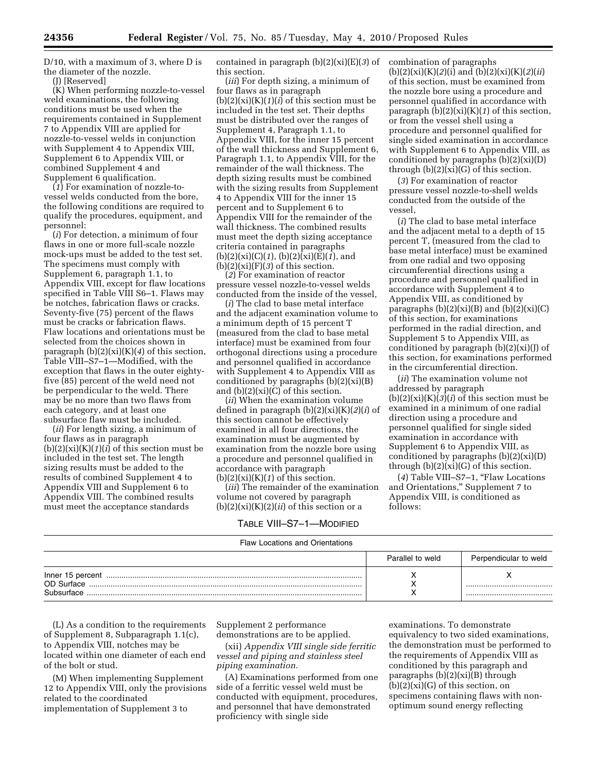D/10, with a maximum of 3, where D is the diameter of the nozzle.

(J) [Reserved]

(K) When performing nozzle-to-vessel weld examinations, the following conditions must be used when the requirements contained in Supplement 7 to Appendix VIII are applied for nozzle-to-vessel welds in conjunction with Supplement 4 to Appendix VIII, Supplement 6 to Appendix VIII, or combined Supplement 4 and Supplement 6 qualification.

(*1*) For examination of nozzle-tovessel welds conducted from the bore, the following conditions are required to qualify the procedures, equipment, and personnel:

(*i*) For detection, a minimum of four flaws in one or more full-scale nozzle mock-ups must be added to the test set. The specimens must comply with Supplement 6, paragraph 1.1, to Appendix VIII, except for flaw locations specified in Table VIII S6-1. Flaws may be notches, fabrication flaws or cracks. Seventy-five (75) percent of the flaws must be cracks or fabrication flaws. Flaw locations and orientations must be selected from the choices shown in paragraph (b)(2)(xi)(K)(*4*) of this section, Table VIII–S7–1—Modified, with the exception that flaws in the outer eightyfive (85) percent of the weld need not be perpendicular to the weld. There may be no more than two flaws from each category, and at least one subsurface flaw must be included.

(*ii*) For length sizing, a minimum of four flaws as in paragraph  $(b)(2)(xi)(K)(1)(i)$  of this section must be included in the test set. The length sizing results must be added to the results of combined Supplement 4 to Appendix VIII and Supplement 6 to Appendix VIII. The combined results must meet the acceptance standards

contained in paragraph (b)(2)(xi)(E)(*3*) of this section.

(*iii*) For depth sizing, a minimum of four flaws as in paragraph  $(b)(2)(xi)(K)(1)(i)$  of this section must be included in the test set. Their depths must be distributed over the ranges of Supplement 4, Paragraph 1.1, to Appendix VIII, for the inner 15 percent of the wall thickness and Supplement 6, Paragraph 1.1, to Appendix VIII, for the remainder of the wall thickness. The depth sizing results must be combined with the sizing results from Supplement 4 to Appendix VIII for the inner 15 percent and to Supplement 6 to Appendix VIII for the remainder of the wall thickness. The combined results must meet the depth sizing acceptance criteria contained in paragraphs (b)(2)(xi)(C)(*1*), (b)(2)(xi)(E)(*1*), and  $(b)(2)(xi)(F)(3)$  of this section.

(*2*) For examination of reactor pressure vessel nozzle-to-vessel welds conducted from the inside of the vessel,

(*i*) The clad to base metal interface and the adjacent examination volume to a minimum depth of 15 percent T (measured from the clad to base metal interface) must be examined from four orthogonal directions using a procedure and personnel qualified in accordance with Supplement 4 to Appendix VIII as conditioned by paragraphs (b)(2)(xi)(B) and  $(b)(2)(xi)(C)$  of this section.

(*ii*) When the examination volume defined in paragraph (b)(2)(xi)(K)(*2*)(*i*) of this section cannot be effectively examined in all four directions, the examination must be augmented by examination from the nozzle bore using a procedure and personnel qualified in accordance with paragraph  $(b)(2)(xi)(K)(1)$  of this section.

(*iii*) The remainder of the examination volume not covered by paragraph  $(b)(2)(xi)(K)(2)(ii)$  of this section or a

#### TABLE VIII–S7–1—MODIFIED

combination of paragraphs (b)(2)(xi)(K)(*2*)(i) and (b)(2)(xi)(K)(*2*)(*ii*) of this section, must be examined from the nozzle bore using a procedure and personnel qualified in accordance with paragraph  $(b)(2)(xi)(K)(1)$  of this section, or from the vessel shell using a procedure and personnel qualified for single sided examination in accordance with Supplement 6 to Appendix VIII, as conditioned by paragraphs (b)(2)(xi)(D) through  $(b)(2)(xi)(G)$  of this section.

(*3*) For examination of reactor pressure vessel nozzle-to-shell welds conducted from the outside of the vessel,

(*i*) The clad to base metal interface and the adjacent metal to a depth of 15 percent T, (measured from the clad to base metal interface) must be examined from one radial and two opposing circumferential directions using a procedure and personnel qualified in accordance with Supplement 4 to Appendix VIII, as conditioned by paragraphs  $(b)(2)(xi)(B)$  and  $(b)(2)(xi)(C)$ of this section, for examinations performed in the radial direction, and Supplement 5 to Appendix VIII, as conditioned by paragraph (b)(2)(xi)(J) of this section, for examinations performed in the circumferential direction.

(*ii*) The examination volume not addressed by paragraph  $(b)(2)(xi)(K)(3)(i)$  of this section must be examined in a minimum of one radial direction using a procedure and personnel qualified for single sided examination in accordance with Supplement 6 to Appendix VIII, as conditioned by paragraphs (b)(2)(xi)(D) through (b)(2)(xi)(G) of this section.

(*4*) Table VIII–S7–1, ''Flaw Locations and Orientations,'' Supplement 7 to Appendix VIII, is conditioned as follows:

| <b>Flaw Locations and Orientations</b> |                  |                       |
|----------------------------------------|------------------|-----------------------|
|                                        | Parallel to weld | Perpendicular to weld |
| OD Surface<br>Subsurface               |                  |                       |

(L) As a condition to the requirements of Supplement 8, Subparagraph 1.1(c), to Appendix VIII, notches may be located within one diameter of each end of the bolt or stud.

(M) When implementing Supplement 12 to Appendix VIII, only the provisions related to the coordinated implementation of Supplement 3 to

Supplement 2 performance demonstrations are to be applied.

(xii) *Appendix VIII single side ferritic vessel and piping and stainless steel piping examination.* 

(A) Examinations performed from one side of a ferritic vessel weld must be conducted with equipment, procedures, and personnel that have demonstrated proficiency with single side

examinations. To demonstrate equivalency to two sided examinations, the demonstration must be performed to the requirements of Appendix VIII as conditioned by this paragraph and paragraphs (b)(2)(xi)(B) through  $(b)(2)(xi)(G)$  of this section, on specimens containing flaws with nonoptimum sound energy reflecting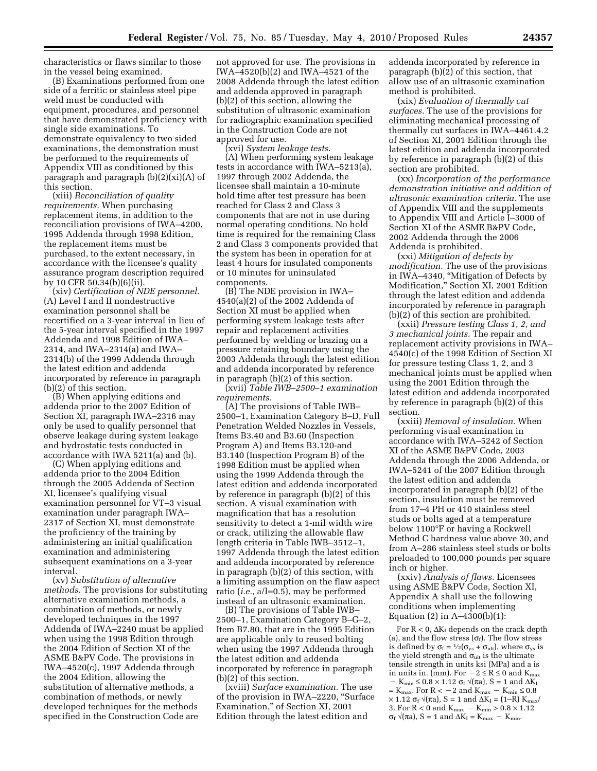characteristics or flaws similar to those in the vessel being examined.

(B) Examinations performed from one side of a ferritic or stainless steel pipe weld must be conducted with equipment, procedures, and personnel that have demonstrated proficiency with single side examinations. To demonstrate equivalency to two sided examinations, the demonstration must be performed to the requirements of Appendix VIII as conditioned by this paragraph and paragraph (b)(2)(xi)(A) of this section.

(xiii) *Reconciliation of quality requirements.* When purchasing replacement items, in addition to the reconciliation provisions of IWA–4200, 1995 Addenda through 1998 Edition, the replacement items must be purchased, to the extent necessary, in accordance with the licensee's quality assurance program description required by 10 CFR 50.34(b)(6)(ii).

(xiv) *Certification of NDE personnel.*  (A) Level I and II nondestructive examination personnel shall be recertified on a 3-year interval in lieu of the 5-year interval specified in the 1997 Addenda and 1998 Edition of IWA– 2314, and IWA–2314(a) and IWA– 2314(b) of the 1999 Addenda through the latest edition and addenda incorporated by reference in paragraph (b)(2) of this section.

(B) When applying editions and addenda prior to the 2007 Edition of Section XI, paragraph IWA–2316 may only be used to qualify personnel that observe leakage during system leakage and hydrostatic tests conducted in accordance with IWA 5211(a) and (b).

(C) When applying editions and addenda prior to the 2004 Edition through the 2005 Addenda of Section XI, licensee's qualifying visual examination personnel for VT–3 visual examination under paragraph IWA– 2317 of Section XI, must demonstrate the proficiency of the training by administering an initial qualification examination and administering subsequent examinations on a 3-year interval.

(xv) *Substitution of alternative methods.* The provisions for substituting alternative examination methods, a combination of methods, or newly developed techniques in the 1997 Addenda of IWA–2240 must be applied when using the 1998 Edition through the 2004 Edition of Section XI of the ASME B&PV Code. The provisions in IWA–4520(c), 1997 Addenda through the 2004 Edition, allowing the substitution of alternative methods, a combination of methods, or newly developed techniques for the methods specified in the Construction Code are

not approved for use. The provisions in IWA–4520(b)(2) and IWA–4521 of the 2008 Addenda through the latest edition and addenda approved in paragraph (b)(2) of this section, allowing the substitution of ultrasonic examination for radiographic examination specified in the Construction Code are not approved for use.

(xvi) *System leakage tests.*  (A) When performing system leakage tests in accordance with IWA–5213(a), 1997 through 2002 Addenda, the licensee shall maintain a 10-minute hold time after test pressure has been reached for Class 2 and Class 3 components that are not in use during normal operating conditions. No hold time is required for the remaining Class 2 and Class 3 components provided that the system has been in operation for at least 4 hours for insulated components or 10 minutes for uninsulated components.

(B) The NDE provision in IWA– 4540(a)(2) of the 2002 Addenda of Section XI must be applied when performing system leakage tests after repair and replacement activities performed by welding or brazing on a pressure retaining boundary using the 2003 Addenda through the latest edition and addenda incorporated by reference in paragraph (b)(2) of this section. (xvii) *Table IWB–2500–1 examination* 

*requirements.* 

(A) The provisions of Table IWB– 2500–1, Examination Category B–D, Full Penetration Welded Nozzles in Vessels, Items B3.40 and B3.60 (Inspection Program A) and Items B3.120-and B3.140 (Inspection Program B) of the 1998 Edition must be applied when using the 1999 Addenda through the latest edition and addenda incorporated by reference in paragraph (b)(2) of this section. A visual examination with magnification that has a resolution sensitivity to detect a 1-mil width wire or crack, utilizing the allowable flaw length criteria in Table IWB–3512–1, 1997 Addenda through the latest edition and addenda incorporated by reference in paragraph (b)(2) of this section, with a limiting assumption on the flaw aspect ratio (*i.e.,* a/l=0.5), may be performed instead of an ultrasonic examination.

(B) The provisions of Table IWB– 2500–1, Examination Category B–G–2, Item B7.80, that are in the 1995 Edition are applicable only to reused bolting when using the 1997 Addenda through the latest edition and addenda incorporated by reference in paragraph (b)(2) of this section.

(xviii) *Surface examination.* The use of the provision in IWA–2220, ''Surface Examination,'' of Section XI, 2001 Edition through the latest edition and

addenda incorporated by reference in paragraph  $(b)(\overline{2})$  of this section, that allow use of an ultrasonic examination method is prohibited.

(xix) *Evaluation of thermally cut surfaces.* The use of the provisions for eliminating mechanical processing of thermally cut surfaces in IWA–4461.4.2 of Section XI, 2001 Edition through the latest edition and addenda incorporated by reference in paragraph (b)(2) of this section are prohibited.

(xx) *Incorporation of the performance demonstration initiative and addition of ultrasonic examination criteria.* The use of Appendix VIII and the supplements to Appendix VIII and Article I–3000 of Section XI of the ASME B&PV Code, 2002 Addenda through the 2006 Addenda is prohibited.

(xxi) *Mitigation of defects by modification.* The use of the provisions in IWA–4340, ''Mitigation of Defects by Modification,'' Section XI, 2001 Edition through the latest edition and addenda incorporated by reference in paragraph (b)(2) of this section are prohibited.

(xxii) *Pressure testing Class 1, 2, and 3 mechanical joints.* The repair and replacement activity provisions in IWA– 4540(c) of the 1998 Edition of Section XI for pressure testing Class 1, 2, and 3 mechanical joints must be applied when using the 2001 Edition through the latest edition and addenda incorporated by reference in paragraph (b)(2) of this section.

(xxiii) *Removal of insulation.* When performing visual examination in accordance with IWA–5242 of Section XI of the ASME B&PV Code, 2003 Addenda through the 2006 Addenda, or IWA–5241 of the 2007 Edition through the latest edition and addenda incorporated in paragraph (b)(2) of the section, insulation must be removed from 17–4 PH or 410 stainless steel studs or bolts aged at a temperature below 1100°F or having a Rockwell Method C hardness value above 30, and from A–286 stainless steel studs or bolts preloaded to 100,000 pounds per square inch or higher.

(xxiv) *Analysis of flaws.* Licensees using ASME B&PV Code, Section XI, Appendix A shall use the following conditions when implementing Equation (2) in A–4300(b)(1):

For  $R < 0$ ,  $\Delta K_I$  depends on the crack depth (a), and the flow stress  $(\sigma_f)$ . The flow stress is defined by  $\sigma_f = \frac{1}{2}(\sigma_{ys} + \sigma_{ult})$ , where  $\sigma_{ys}$  is the yield strength and  $\sigma_{\text{ult}}$  is the ultimate tensile strength in units ksi (MPa) and a is in units in. (mm). For  $-2 \le R \le 0$  and  $K_{\text{max}}$  $-$  K<sub>min</sub>  $\leq$  0.8  $\times$  1.12  $\sigma_f$   $\sqrt{\pi a}$ , S = 1 and  $\Delta K_I$  $=$  K $_{\rm max}.$  For R  $<$   $-$  2 and K  $_{\rm max}$   $-$  K  $_{\rm min}$   $\leq$  0.8  $\,$  $\times$  1.12 σ<sub>f</sub>  $\sqrt{\pi a}$ , S = 1 and ΔK<sub>I</sub> = (1–R) K<sub>max</sub>/ 3. For  $R < 0$  and  $K_{max} - K_{min} > 0.8 \times 1.12$  $\sigma_f \sqrt{\pi a}$ , S = 1 and  $\Delta K_I = K_{max} - K_{min}$ .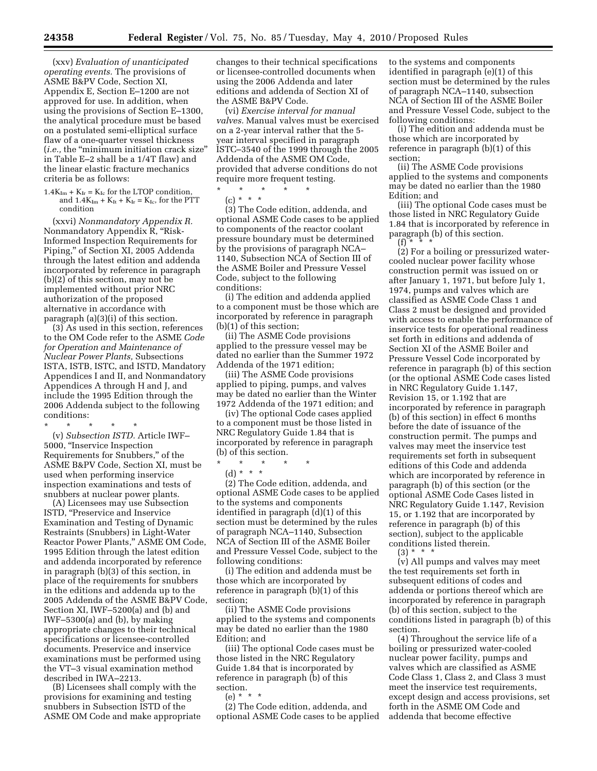(xxv) *Evaluation of unanticipated operating events.* The provisions of ASME B&PV Code, Section XI, Appendix E, Section E–1200 are not approved for use. In addition, when using the provisions of Section E–1300, the analytical procedure must be based on a postulated semi-elliptical surface flaw of a one-quarter vessel thickness (*i.e.,* the ''minimum initiation crack size'' in Table E–2 shall be a 1/4T flaw) and the linear elastic fracture mechanics criteria be as follows:

 $1.4K_{Im} + K_{Ir} = K_{Ic}$  for the LTOP condition, and  $1.4K_{Im} + K_{It} + K_{Ir} = K_{Ic}$ , for the PTT condition

(xxvi) *Nonmandatory Appendix R.*  Nonmandatory Appendix R, ''Risk-Informed Inspection Requirements for Piping,'' of Section XI, 2005 Addenda through the latest edition and addenda incorporated by reference in paragraph (b)(2) of this section, may not be implemented without prior NRC authorization of the proposed alternative in accordance with paragraph (a)(3)(i) of this section.

(3) As used in this section, references to the OM Code refer to the ASME *Code for Operation and Maintenance of Nuclear Power Plants,* Subsections ISTA, ISTB, ISTC, and ISTD, Mandatory Appendices I and II, and Nonmandatory Appendices A through H and J, and include the 1995 Edition through the 2006 Addenda subject to the following conditions:

\* \* \* \* \* (v) *Subsection ISTD.* Article IWF– 5000, ''Inservice Inspection Requirements for Snubbers,'' of the ASME B&PV Code, Section XI, must be used when performing inservice inspection examinations and tests of snubbers at nuclear power plants.

(A) Licensees may use Subsection ISTD, "Preservice and Inservice Examination and Testing of Dynamic Restraints (Snubbers) in Light-Water Reactor Power Plants,'' ASME OM Code, 1995 Edition through the latest edition and addenda incorporated by reference in paragraph (b)(3) of this section, in place of the requirements for snubbers in the editions and addenda up to the 2005 Addenda of the ASME B&PV Code, Section XI, IWF–5200(a) and (b) and IWF–5300(a) and (b), by making appropriate changes to their technical specifications or licensee-controlled documents. Preservice and inservice examinations must be performed using the VT–3 visual examination method described in IWA–2213.

(B) Licensees shall comply with the provisions for examining and testing snubbers in Subsection ISTD of the ASME OM Code and make appropriate changes to their technical specifications or licensee-controlled documents when using the 2006 Addenda and later editions and addenda of Section XI of the ASME B&PV Code.

(vi) *Exercise interval for manual valves.* Manual valves must be exercised on a 2-year interval rather that the 5 year interval specified in paragraph ISTC–3540 of the 1999 through the 2005 Addenda of the ASME OM Code, provided that adverse conditions do not require more frequent testing.

 $\star$   $\star$   $\star$   $\star$ 

 $(c) * * * *$ 

(3) The Code edition, addenda, and optional ASME Code cases to be applied to components of the reactor coolant pressure boundary must be determined by the provisions of paragraph NCA– 1140, Subsection NCA of Section III of the ASME Boiler and Pressure Vessel Code, subject to the following conditions:

(i) The edition and addenda applied to a component must be those which are incorporated by reference in paragraph (b)(1) of this section;

(ii) The ASME Code provisions applied to the pressure vessel may be dated no earlier than the Summer 1972 Addenda of the 1971 edition;

(iii) The ASME Code provisions applied to piping, pumps, and valves may be dated no earlier than the Winter 1972 Addenda of the 1971 edition; and

(iv) The optional Code cases applied to a component must be those listed in NRC Regulatory Guide 1.84 that is incorporated by reference in paragraph (b) of this section.

- \* \* \* \* \*
	- (d) \* \* \*

(2) The Code edition, addenda, and optional ASME Code cases to be applied to the systems and components identified in paragraph (d)(1) of this section must be determined by the rules of paragraph NCA–1140, Subsection NCA of Section III of the ASME Boiler and Pressure Vessel Code, subject to the following conditions:

(i) The edition and addenda must be those which are incorporated by reference in paragraph (b)(1) of this section;

(ii) The ASME Code provisions applied to the systems and components may be dated no earlier than the 1980 Edition; and

(iii) The optional Code cases must be those listed in the NRC Regulatory Guide 1.84 that is incorporated by reference in paragraph (b) of this section.

(e) \* \* \*

(2) The Code edition, addenda, and optional ASME Code cases to be applied to the systems and components identified in paragraph (e)(1) of this section must be determined by the rules of paragraph NCA–1140, subsection NCA of Section III of the ASME Boiler and Pressure Vessel Code, subject to the following conditions:

(i) The edition and addenda must be those which are incorporated by reference in paragraph (b)(1) of this section;

(ii) The ASME Code provisions applied to the systems and components may be dated no earlier than the 1980 Edition; and

(iii) The optional Code cases must be those listed in NRC Regulatory Guide 1.84 that is incorporated by reference in paragraph (b) of this section.

(f) \* \* \* (2) For a boiling or pressurized watercooled nuclear power facility whose construction permit was issued on or after January 1, 1971, but before July 1, 1974, pumps and valves which are classified as ASME Code Class 1 and Class 2 must be designed and provided with access to enable the performance of inservice tests for operational readiness set forth in editions and addenda of Section XI of the ASME Boiler and Pressure Vessel Code incorporated by reference in paragraph (b) of this section (or the optional ASME Code cases listed in NRC Regulatory Guide 1.147, Revision 15, or 1.192 that are incorporated by reference in paragraph (b) of this section) in effect 6 months before the date of issuance of the construction permit. The pumps and valves may meet the inservice test requirements set forth in subsequent editions of this Code and addenda which are incorporated by reference in paragraph (b) of this section (or the optional ASME Code Cases listed in NRC Regulatory Guide 1.147, Revision 15, or 1.192 that are incorporated by reference in paragraph (b) of this section), subject to the applicable conditions listed therein.

 $(3) * * * *$ (v) All pumps and valves may meet the test requirements set forth in subsequent editions of codes and addenda or portions thereof which are incorporated by reference in paragraph (b) of this section, subject to the conditions listed in paragraph (b) of this

section.

(4) Throughout the service life of a boiling or pressurized water-cooled nuclear power facility, pumps and valves which are classified as ASME Code Class 1, Class 2, and Class 3 must meet the inservice test requirements, except design and access provisions, set forth in the ASME OM Code and addenda that become effective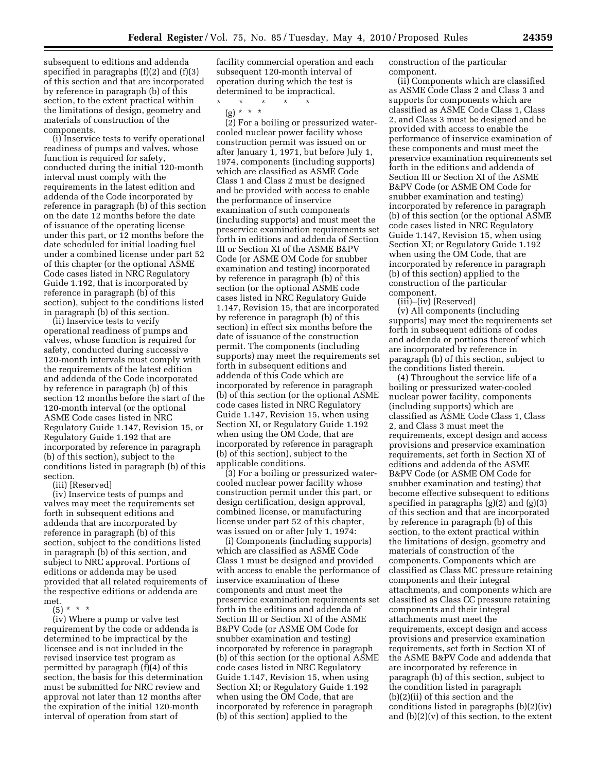subsequent to editions and addenda specified in paragraphs (f)(2) and (f)(3) of this section and that are incorporated by reference in paragraph (b) of this section, to the extent practical within the limitations of design, geometry and materials of construction of the components.

(i) Inservice tests to verify operational readiness of pumps and valves, whose function is required for safety, conducted during the initial 120-month interval must comply with the requirements in the latest edition and addenda of the Code incorporated by reference in paragraph (b) of this section on the date 12 months before the date of issuance of the operating license under this part, or 12 months before the date scheduled for initial loading fuel under a combined license under part 52 of this chapter (or the optional ASME Code cases listed in NRC Regulatory Guide 1.192, that is incorporated by reference in paragraph (b) of this section), subject to the conditions listed in paragraph (b) of this section.

(ii) Inservice tests to verify operational readiness of pumps and valves, whose function is required for safety, conducted during successive 120-month intervals must comply with the requirements of the latest edition and addenda of the Code incorporated by reference in paragraph (b) of this section 12 months before the start of the 120-month interval (or the optional ASME Code cases listed in NRC Regulatory Guide 1.147, Revision 15, or Regulatory Guide 1.192 that are incorporated by reference in paragraph (b) of this section), subject to the conditions listed in paragraph (b) of this section.

(iii) [Reserved]

(iv) Inservice tests of pumps and valves may meet the requirements set forth in subsequent editions and addenda that are incorporated by reference in paragraph (b) of this section, subject to the conditions listed in paragraph (b) of this section, and subject to NRC approval. Portions of editions or addenda may be used provided that all related requirements of the respective editions or addenda are met.

 $(5) * * * *$ 

(iv) Where a pump or valve test requirement by the code or addenda is determined to be impractical by the licensee and is not included in the revised inservice test program as permitted by paragraph (f)(4) of this section, the basis for this determination must be submitted for NRC review and approval not later than 12 months after the expiration of the initial 120-month interval of operation from start of

facility commercial operation and each subsequent 120-month interval of operation during which the test is determined to be impractical.

\* \* \* \* \* (g) \* \* \*

(2) For a boiling or pressurized watercooled nuclear power facility whose construction permit was issued on or after January 1, 1971, but before July 1, 1974, components (including supports) which are classified as ASME Code Class 1 and Class 2 must be designed and be provided with access to enable the performance of inservice examination of such components (including supports) and must meet the preservice examination requirements set forth in editions and addenda of Section III or Section XI of the ASME B&PV Code (or ASME OM Code for snubber examination and testing) incorporated by reference in paragraph (b) of this section (or the optional ASME code cases listed in NRC Regulatory Guide 1.147, Revision 15, that are incorporated by reference in paragraph (b) of this section) in effect six months before the date of issuance of the construction permit. The components (including supports) may meet the requirements set forth in subsequent editions and addenda of this Code which are incorporated by reference in paragraph (b) of this section (or the optional ASME code cases listed in NRC Regulatory Guide 1.147, Revision 15, when using Section XI, or Regulatory Guide 1.192 when using the OM Code, that are incorporated by reference in paragraph (b) of this section), subject to the applicable conditions.

(3) For a boiling or pressurized watercooled nuclear power facility whose construction permit under this part, or design certification, design approval, combined license, or manufacturing license under part 52 of this chapter, was issued on or after July 1, 1974:

(i) Components (including supports) which are classified as ASME Code Class 1 must be designed and provided with access to enable the performance of inservice examination of these components and must meet the preservice examination requirements set forth in the editions and addenda of Section III or Section XI of the ASME B&PV Code (or ASME OM Code for snubber examination and testing) incorporated by reference in paragraph (b) of this section (or the optional ASME code cases listed in NRC Regulatory Guide 1.147, Revision 15, when using Section XI; or Regulatory Guide 1.192 when using the OM Code, that are incorporated by reference in paragraph (b) of this section) applied to the

construction of the particular component.

(ii) Components which are classified as ASME Code Class 2 and Class 3 and supports for components which are classified as ASME Code Class 1, Class 2, and Class 3 must be designed and be provided with access to enable the performance of inservice examination of these components and must meet the preservice examination requirements set forth in the editions and addenda of Section III or Section XI of the ASME B&PV Code (or ASME OM Code for snubber examination and testing) incorporated by reference in paragraph (b) of this section (or the optional ASME code cases listed in NRC Regulatory Guide 1.147, Revision 15, when using Section XI; or Regulatory Guide 1.192 when using the OM Code, that are incorporated by reference in paragraph (b) of this section) applied to the construction of the particular component.

(iii)–(iv) [Reserved]

(v) All components (including supports) may meet the requirements set forth in subsequent editions of codes and addenda or portions thereof which are incorporated by reference in paragraph (b) of this section, subject to the conditions listed therein.

(4) Throughout the service life of a boiling or pressurized water-cooled nuclear power facility, components (including supports) which are classified as ASME Code Class 1, Class 2, and Class 3 must meet the requirements, except design and access provisions and preservice examination requirements, set forth in Section XI of editions and addenda of the ASME B&PV Code (or ASME OM Code for snubber examination and testing) that become effective subsequent to editions specified in paragraphs (g)(2) and (g)(3) of this section and that are incorporated by reference in paragraph (b) of this section, to the extent practical within the limitations of design, geometry and materials of construction of the components. Components which are classified as Class MC pressure retaining components and their integral attachments, and components which are classified as Class CC pressure retaining components and their integral attachments must meet the requirements, except design and access provisions and preservice examination requirements, set forth in Section XI of the ASME B&PV Code and addenda that are incorporated by reference in paragraph (b) of this section, subject to the condition listed in paragraph (b)(2)(ii) of this section and the conditions listed in paragraphs (b)(2)(iv) and  $(b)(2)(v)$  of this section, to the extent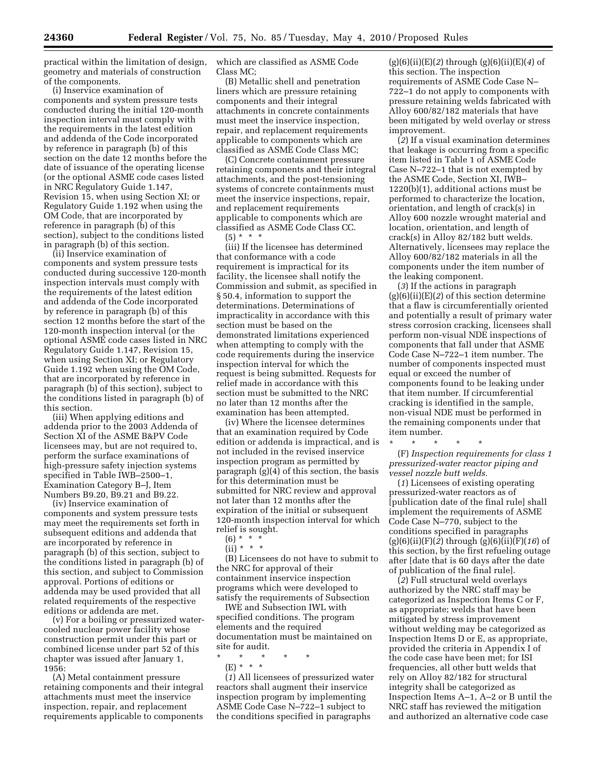practical within the limitation of design, geometry and materials of construction of the components.

(i) Inservice examination of components and system pressure tests conducted during the initial 120-month inspection interval must comply with the requirements in the latest edition and addenda of the Code incorporated by reference in paragraph (b) of this section on the date 12 months before the date of issuance of the operating license (or the optional ASME code cases listed in NRC Regulatory Guide 1.147, Revision 15, when using Section XI; or Regulatory Guide 1.192 when using the OM Code, that are incorporated by reference in paragraph (b) of this section), subject to the conditions listed in paragraph (b) of this section.

(ii) Inservice examination of components and system pressure tests conducted during successive 120-month inspection intervals must comply with the requirements of the latest edition and addenda of the Code incorporated by reference in paragraph (b) of this section 12 months before the start of the 120-month inspection interval (or the optional ASME code cases listed in NRC Regulatory Guide 1.147, Revision 15, when using Section XI; or Regulatory Guide 1.192 when using the OM Code, that are incorporated by reference in paragraph (b) of this section), subject to the conditions listed in paragraph (b) of this section.

(iii) When applying editions and addenda prior to the 2003 Addenda of Section XI of the ASME B&PV Code licensees may, but are not required to, perform the surface examinations of high-pressure safety injection systems specified in Table IWB–2500–1, Examination Category B–J, Item Numbers B9.20, B9.21 and B9.22.

(iv) Inservice examination of components and system pressure tests may meet the requirements set forth in subsequent editions and addenda that are incorporated by reference in paragraph (b) of this section, subject to the conditions listed in paragraph (b) of this section, and subject to Commission approval. Portions of editions or addenda may be used provided that all related requirements of the respective editions or addenda are met.

(v) For a boiling or pressurized watercooled nuclear power facility whose construction permit under this part or combined license under part 52 of this chapter was issued after January 1, 1956:

(A) Metal containment pressure retaining components and their integral attachments must meet the inservice inspection, repair, and replacement requirements applicable to components

which are classified as ASME Code Class MC;

(B) Metallic shell and penetration liners which are pressure retaining components and their integral attachments in concrete containments must meet the inservice inspection, repair, and replacement requirements applicable to components which are classified as ASME Code Class MC;

(C) Concrete containment pressure retaining components and their integral attachments, and the post-tensioning systems of concrete containments must meet the inservice inspections, repair, and replacement requirements applicable to components which are classified as ASME Code Class CC.  $(5) * * * *$ 

(iii) If the licensee has determined that conformance with a code requirement is impractical for its facility, the licensee shall notify the Commission and submit, as specified in § 50.4, information to support the determinations. Determinations of impracticality in accordance with this section must be based on the demonstrated limitations experienced when attempting to comply with the code requirements during the inservice inspection interval for which the request is being submitted. Requests for relief made in accordance with this section must be submitted to the NRC no later than 12 months after the examination has been attempted.

(iv) Where the licensee determines that an examination required by Code edition or addenda is impractical, and is not included in the revised inservice inspection program as permitted by paragraph (g)(4) of this section, the basis for this determination must be submitted for NRC review and approval not later than 12 months after the expiration of the initial or subsequent 120-month inspection interval for which relief is sought.

- $(6) * * * *$
- $(ii) * * * *$

(B) Licensees do not have to submit to the NRC for approval of their containment inservice inspection programs which were developed to satisfy the requirements of Subsection

IWE and Subsection IWL with specified conditions. The program elements and the required documentation must be maintained on site for audit.

\* \* \* \* \*

(E) \* \* \*

(*1*) All licensees of pressurized water reactors shall augment their inservice inspection program by implementing ASME Code Case N–722–1 subject to the conditions specified in paragraphs

(g)(6)(ii)(E)(*2*) through (g)(6)(ii)(E)(*4*) of this section. The inspection requirements of ASME Code Case N– 722–1 do not apply to components with pressure retaining welds fabricated with Alloy 600/82/182 materials that have been mitigated by weld overlay or stress improvement.

(*2*) If a visual examination determines that leakage is occurring from a specific item listed in Table 1 of ASME Code Case N–722–1 that is not exempted by the ASME Code, Section XI, IWB– 1220(b)(1), additional actions must be performed to characterize the location, orientation, and length of crack(s) in Alloy 600 nozzle wrought material and location, orientation, and length of crack(s) in Alloy 82/182 butt welds. Alternatively, licensees may replace the Alloy 600/82/182 materials in all the components under the item number of the leaking component.

(*3*) If the actions in paragraph (g)(6)(ii)(E)(*2*) of this section determine that a flaw is circumferentially oriented and potentially a result of primary water stress corrosion cracking, licensees shall perform non-visual NDE inspections of components that fall under that ASME Code Case N–722–1 item number. The number of components inspected must equal or exceed the number of components found to be leaking under that item number. If circumferential cracking is identified in the sample, non-visual NDE must be performed in the remaining components under that item number.

\* \* \* \* \* (F) *Inspection requirements for class 1 pressurized-water reactor piping and vessel nozzle butt welds.* 

(*1*) Licensees of existing operating pressurized-water reactors as of [publication date of the final rule] shall implement the requirements of ASME Code Case N–770, subject to the conditions specified in paragraphs (g)(6)(ii)(F)(*2*) through (g)(6)(ii)(F)(*16*) of this section, by the first refueling outage after [date that is 60 days after the date of publication of the final rule].

(*2*) Full structural weld overlays authorized by the NRC staff may be categorized as Inspection Items C or F, as appropriate; welds that have been mitigated by stress improvement without welding may be categorized as Inspection Items D or E, as appropriate, provided the criteria in Appendix I of the code case have been met; for ISI frequencies, all other butt welds that rely on Alloy 82/182 for structural integrity shall be categorized as Inspection Items A–1, A–2 or B until the NRC staff has reviewed the mitigation and authorized an alternative code case